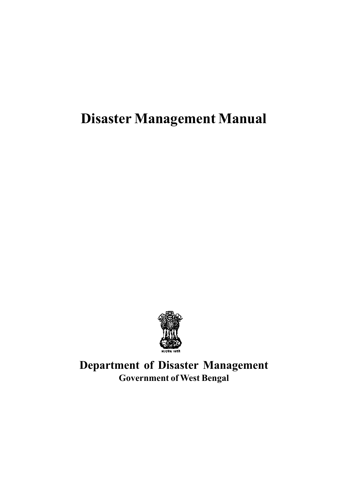

Department of Disaster Management Government of West Bengal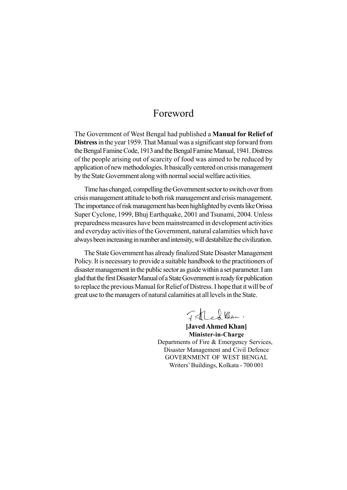## Foreword

The Government of West Bengal had published a Manual for Relief of Distress in the year 1959. That Manual was a significant step forward from the Bengal Famine Code, 1913 and the Bengal Famine Manual, 1941. Distress of the people arising out of scarcity of food was aimed to be reduced by application of newmethodologies. It basically centered on crisismanagement by the State Government along with normal social welfare activities.

Time has changed, compelling the Government sector to switch over from crisis management attitude to both risk management and crisis management. The importance of risk management has been highlighted by events like Orissa Super Cyclone, 1999, Bhuj Earthquake, 2001 and Tsunami, 2004. Unless preparedness measures have been mainstreamed in development activities and everyday activities of the Government, natural calamities which have always been increasing in number and intensity, will destabilize the civilization.

The State Government has already finalized State Disaster Management Policy. It is necessary to provide a suitable handbook to the practitioners of disaster management in the public sector as guide within a set parameter. I am gladthatthe firstDisasterManual ofaStateGovernmentis ready for publication to replace the previous Manual for Relief of Distress. I hope that it will be of great use to the managers of natural calamities at all levels in the State.

Thed Klan.

[JavedAhmed Khan] Minister-in-Charge Departments of Fire & Emergency Services, Disaster Management and Civil Defence GOVERNMENT OF WEST BENGAL Writers' Buildings, Kolkata - 700 001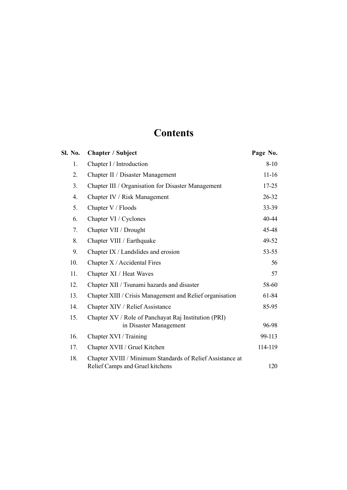# **Contents**

| Sl. No.        | <b>Chapter / Subject</b>                                                                     | Page No.  |
|----------------|----------------------------------------------------------------------------------------------|-----------|
| 1.             | Chapter I / Introduction                                                                     | $8 - 10$  |
| 2.             | Chapter II / Disaster Management                                                             | $11 - 16$ |
| 3 <sub>1</sub> | Chapter III / Organisation for Disaster Management                                           | $17 - 25$ |
| 4.             | Chapter IV / Risk Management                                                                 | $26 - 32$ |
| 5.             | Chapter V / Floods                                                                           | $33 - 39$ |
| 6.             | Chapter VI / Cyclones                                                                        | 40-44     |
| 7.             | Chapter VII / Drought                                                                        | 45-48     |
| 8.             | Chapter VIII / Earthquake                                                                    | 49-52     |
| 9.             | Chapter IX / Landslides and erosion                                                          | $53 - 55$ |
| 10.            | Chapter X / Accidental Fires                                                                 | 56        |
| 11.            | Chapter XI / Heat Waves                                                                      | 57        |
| 12.            | Chapter XII / Tsunami hazards and disaster                                                   | 58-60     |
| 13.            | Chapter XIII / Crisis Management and Relief organisation                                     | 61-84     |
| 14.            | Chapter XIV / Relief Assistance                                                              | 85-95     |
| 15.            | Chapter XV / Role of Panchayat Raj Institution (PRI)<br>in Disaster Management               | 96-98     |
| 16.            | Chapter XVI / Training                                                                       | 99-113    |
| 17.            | Chapter XVII / Gruel Kitchen                                                                 | 114-119   |
| 18.            | Chapter XVIII / Minimum Standards of Relief Assistance at<br>Relief Camps and Gruel kitchens | 120       |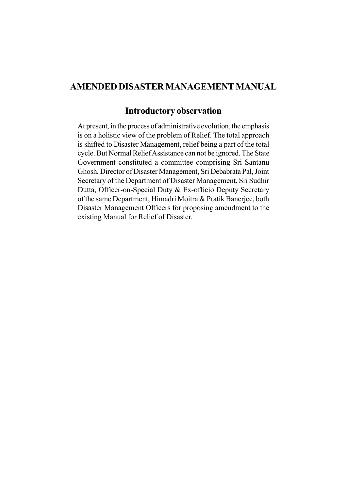## AMENDED DISASTER MANAGEMENT MANUAL

## Introductory observation

At present, in the process of administrative evolution, the emphasis is on a holistic view of the problem of Relief. The total approach is shifted to Disaster Management, relief being a part of the total cycle. But Normal ReliefAssistance can not be ignored. The State Government constituted a committee comprising Sri Santanu Ghosh, Director of Disaster Management, Sri Debabrata Pal, Joint Secretary of the Department of Disaster Management, Sri Sudhir Dutta, Officer-on-Special Duty & Ex-officio Deputy Secretary of the same Department, Himadri Moitra & Pratik Banerjee, both Disaster Management Officers for proposing amendment to the existing Manual for Relief of Disaster.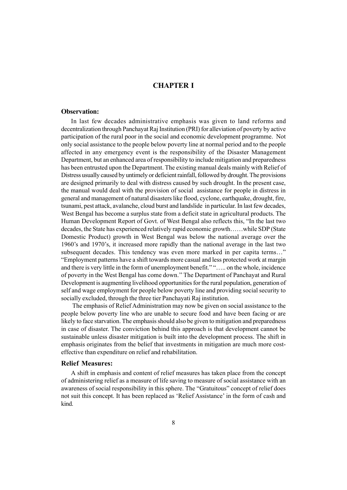## CHAPTER I

## Observation:

In last few decades administrative emphasis was given to land reforms and decentralization through Panchayat Raj Institution (PRI) for alleviation of poverty by active participation of the rural poor in the social and economic development programme. Not only social assistance to the people below poverty line at normal period and to the people affected in any emergency event is the responsibility of the Disaster Management Department, but an enhanced area of responsibility to include mitigation and preparedness has been entrusted upon the Department. The existing manual deals mainly with Relief of Distress usually caused by untimely or deficient rainfall, followed by drought. The provisions are designed primarily to deal with distress caused by such drought. In the present case, the manual would deal with the provision of social assistance for people in distress in general and management of natural disasters like flood, cyclone, earthquake, drought, fire, tsunami, pest attack, avalanche, cloud burst and landslide in particular. In last few decades, West Bengal has become a surplus state from a deficit state in agricultural products. The Human Development Report of Govt. of West Bengal also reflects this, "In the last two decades, the State has experienced relatively rapid economic growth......while SDP (State Domestic Product) growth in West Bengal was below the national average over the 1960's and 1970's, it increased more rapidly than the national average in the last two subsequent decades. This tendency was even more marked in per capita terms..." ìEmployment patterns have a shift towards more casual and less protected work at margin and there is very little in the form of unemployment benefit." "..... on the whole, incidence of poverty in the West Bengal has come down." The Department of Panchayat and Rural Development is augmenting livelihood opportunities for the rural population, generation of self and wage employment for people below poverty line and providing social security to socially excluded, through the three tier Panchayati Raj institution.

The emphasis of Relief Administration may now be given on social assistance to the people below poverty line who are unable to secure food and have been facing or are likely to face starvation. The emphasis should also be given to mitigation and preparedness in case of disaster. The conviction behind this approach is that development cannot be sustainable unless disaster mitigation is built into the development process. The shift in emphasis originates from the belief that investments in mitigation are much more costeffective than expenditure on relief and rehabilitation.

## Relief Measures:

A shift in emphasis and content of relief measures has taken place from the concept of administering relief as a measure of life saving to measure of social assistance with an awareness of social responsibility in this sphere. The "Gratuitous" concept of relief does not suit this concept. It has been replaced as 'Relief Assistance' in the form of cash and kind.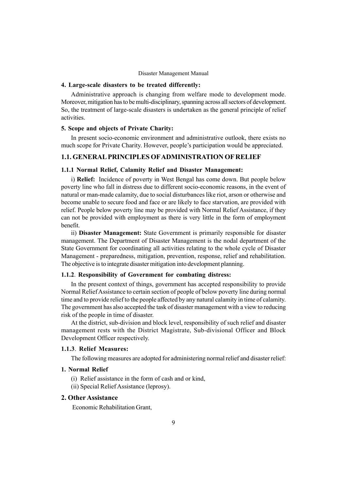## 4. Large-scale disasters to be treated differently:

Administrative approach is changing from welfare mode to development mode. Moreover, mitigation has to be multi-disciplinary, spanning across all sectors of development. So, the treatment of large-scale disasters is undertaken as the general principle of relief activities.

## 5. Scope and objects of Private Charity:

In present socio-economic environment and administrative outlook, there exists no much scope for Private Charity. However, people's participation would be appreciated.

## 1.1. GENERAL PRINCIPLES OFADMINISTRATION OF RELIEF

#### 1.1.1 Normal Relief, Calamity Relief and Disaster Management:

i) Relief: Incidence of poverty in West Bengal has come down. But people below poverty line who fall in distress due to different socio-economic reasons, in the event of natural or man-made calamity, due to social disturbances like riot, arson or otherwise and become unable to secure food and face or are likely to face starvation, are provided with relief. People below poverty line may be provided with Normal Relief Assistance, if they can not be provided with employment as there is very little in the form of employment benefit.

ii) Disaster Management: State Government is primarily responsible for disaster management. The Department of Disaster Management is the nodal department of the State Government for coordinating all activities relating to the whole cycle of Disaster Management - preparedness, mitigation, prevention, response, relief and rehabilitation. The objective is to integrate disaster mitigation into development planning.

#### 1.1.2. Responsibility of Government for combating distress:

In the present context of things, government has accepted responsibility to provide Normal Relief Assistance to certain section of people of below poverty line during normal time and to provide relief to the people affected by any natural calamity in time of calamity. The government has also accepted the task of disaster management with a view to reducing risk of the people in time of disaster.

At the district, sub-division and block level, responsibility of such relief and disaster management rests with the District Magistrate, Sub-divisional Officer and Block Development Officer respectively.

#### 1.1.3. Relief Measures:

The following measures are adopted for administering normal relief and disaster relief:

## 1. Normal Relief

- (i) Relief assistance in the form of cash and or kind,
- (ii) Special Relief Assistance (leprosy).

#### 2. Other Assistance

Economic Rehabilitation Grant,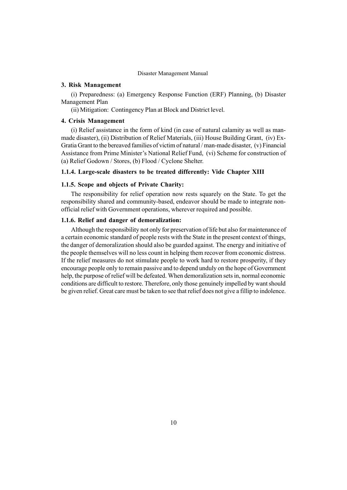## 3. Risk Management

(i) Preparedness: (a) Emergency Response Function (ERF) Planning, (b) Disaster Management Plan

(ii) Mitigation: Contingency Plan at Block and District level.

#### 4. Crisis Management

(i) Relief assistance in the form of kind (in case of natural calamity as well as manmade disaster), (ii) Distribution of Relief Materials, (iii) House Building Grant, (iv) Ex-Gratia Grant to the bereaved families of victim of natural / man-made disaster, (v) Financial Assistance from Prime Minister's National Relief Fund, (vi) Scheme for construction of (a) Relief Godown / Stores, (b) Flood / Cyclone Shelter.

#### 1.1.4. Large-scale disasters to be treated differently: Vide Chapter XIII

#### 1.1.5. Scope and objects of Private Charity:

The responsibility for relief operation now rests squarely on the State. To get the responsibility shared and community-based, endeavor should be made to integrate nonofficial relief with Government operations, wherever required and possible.

#### 1.1.6. Relief and danger of demoralization:

Although the responsibility not only for preservation of life but also for maintenance of a certain economic standard of people rests with the State in the present context of things, the danger of demoralization should also be guarded against. The energy and initiative of the people themselves will no less count in helping them recover from economic distress. If the relief measures do not stimulate people to work hard to restore prosperity, if they encourage people only to remain passive and to depend unduly on the hope of Government help, the purpose of relief will be defeated. When demoralization sets in, normal economic conditions are difficult to restore. Therefore, only those genuinely impelled by want should be given relief. Great care must be taken to see that relief does not give a fillip to indolence.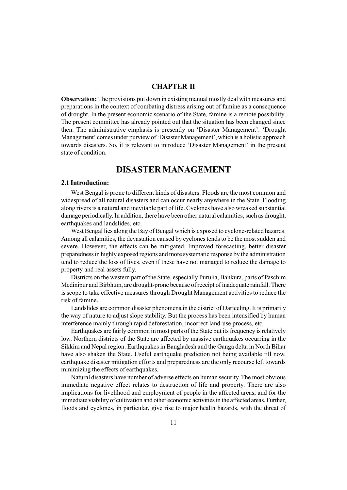## CHAPTER II

Observation: The provisions put down in existing manual mostly deal with measures and preparations in the context of combating distress arising out of famine as a consequence of drought. In the present economic scenario of the State, famine is a remote possibility. The present committee has already pointed out that the situation has been changed since then. The administrative emphasis is presently on 'Disaster Management'. 'Drought Management' comes under purview of 'Disaster Management', which is a holistic approach towards disasters. So, it is relevant to introduce 'Disaster Management' in the present state of condition.

## DISASTER MANAGEMENT

#### 2.1 Introduction:

West Bengal is prone to different kinds of disasters. Floods are the most common and widespread of all natural disasters and can occur nearly anywhere in the State. Flooding along rivers is a natural and inevitable part of life. Cyclones have also wreaked substantial damage periodically. In addition, there have been other natural calamities, such as drought, earthquakes and landslides, etc.

West Bengal lies along the Bay of Bengal which is exposed to cyclone-related hazards. Among all calamities, the devastation caused by cyclones tends to be the most sudden and severe. However, the effects can be mitigated. Improved forecasting, better disaster preparedness in highly exposed regions and more systematic response by the administration tend to reduce the loss of lives, even if these have not managed to reduce the damage to property and real assets fully.

Districts on the western part of the State, especially Purulia, Bankura, parts of Paschim Medinipur and Birbhum, are drought-prone because of receipt of inadequate rainfall. There is scope to take effective measures through Drought Management activities to reduce the risk of famine.

Landslides are common disaster phenomena in the district of Darjeeling. It is primarily the way of nature to adjust slope stability. But the process has been intensified by human interference mainly through rapid deforestation, incorrect land-use process, etc.

Earthquakes are fairly common in most parts of the State but its frequency is relatively low. Northern districts of the State are affected by massive earthquakes occurring in the Sikkim and Nepal region. Earthquakes in Bangladesh and the Ganga delta in North Bihar have also shaken the State. Useful earthquake prediction not being available till now, earthquake disaster mitigation efforts and preparedness are the only recourse left towards minimizing the effects of earthquakes.

Natural disasters have number of adverse effects on human security. The most obvious immediate negative effect relates to destruction of life and property. There are also implications for livelihood and employment of people in the affected areas, and for the immediate viability of cultivation and other economic activities in the affected areas. Further, floods and cyclones, in particular, give rise to major health hazards, with the threat of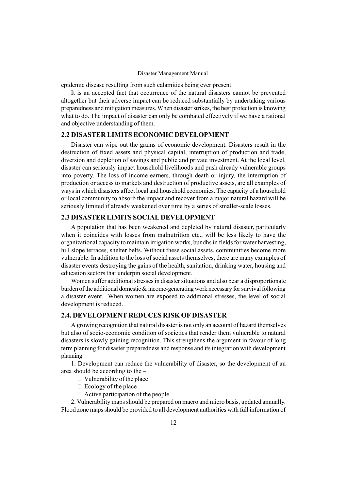epidemic disease resulting from such calamities being ever present.

It is an accepted fact that occurrence of the natural disasters cannot be prevented altogether but their adverse impact can be reduced substantially by undertaking various preparedness and mitigation measures. When disaster strikes, the best protection is knowing what to do. The impact of disaster can only be combated effectively if we have a rational and objective understanding of them.

## 2.2 DISASTER LIMITS ECONOMIC DEVELOPMENT

Disaster can wipe out the grains of economic development. Disasters result in the destruction of fixed assets and physical capital, interruption of production and trade, diversion and depletion of savings and public and private investment. At the local level, disaster can seriously impact household livelihoods and push already vulnerable groups into poverty. The loss of income earners, through death or injury, the interruption of production or access to markets and destruction of productive assets, are all examples of ways in which disasters affect local and household economies. The capacity of a household or local community to absorb the impact and recover from a major natural hazard will be seriously limited if already weakened over time by a series of smaller-scale losses.

## 2.3 DISASTER LIMITS SOCIAL DEVELOPMENT

A population that has been weakened and depleted by natural disaster, particularly when it coincides with losses from malnutrition etc., will be less likely to have the organizational capacity to maintain irrigation works, bundhs in fields for water harvesting, hill slope terraces, shelter belts. Without these social assets, communities become more vulnerable. In addition to the loss of social assets themselves, there are many examples of disaster events destroying the gains of the health, sanitation, drinking water, housing and education sectors that underpin social development.

Women suffer additional stresses in disaster situations and also bear a disproportionate burden of the additional domestic  $\&$  income-generating work necessary for survival following a disaster event. When women are exposed to additional stresses, the level of social development is reduced.

## 2.4. DEVELOPMENT REDUCES RISK OF DISASTER

A growing recognition that natural disaster is not only an account of hazard themselves but also of socio-economic condition of societies that render them vulnerable to natural disasters is slowly gaining recognition. This strengthens the argument in favour of long term planning for disaster preparedness and response and its integration with development planning.

1. Development can reduce the vulnerability of disaster, so the development of an area should be according to the  $-$ 

Vulnerability of the place

Ecology of the place

Active participation of the people.

2. Vulnerability maps should be prepared on macro and micro basis, updated annually. Flood zone maps should be provided to all development authorities with full information of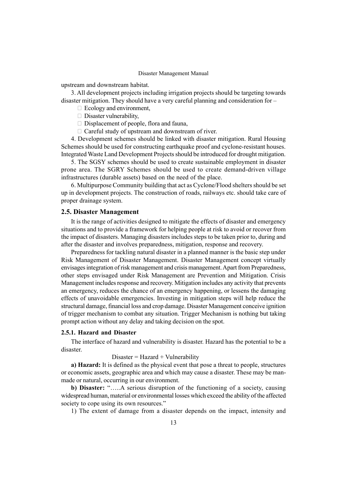upstream and downstream habitat.

3. All development projects including irrigation projects should be targeting towards disaster mitigation. They should have a very careful planning and consideration for  $-$ 

Ecology and environment,

Disaster vulnerability,

Displacement of people, flora and fauna,

Careful study of upstream and downstream of river.

4. Development schemes should be linked with disaster mitigation. Rural Housing Schemes should be used for constructing earthquake proof and cyclone-resistant houses. Integrated Waste Land Development Projects should be introduced for drought mitigation.

5. The SGSY schemes should be used to create sustainable employment in disaster prone area. The SGRY Schemes should be used to create demand-driven village infrastructures (durable assets) based on the need of the place.

6. Multipurpose Community building that act as Cyclone/Flood shelters should be set up in development projects. The construction of roads, railways etc. should take care of proper drainage system.

#### 2.5. Disaster Management

It is the range of activities designed to mitigate the effects of disaster and emergency situations and to provide a framework for helping people at risk to avoid or recover from the impact of disasters. Managing disasters includes steps to be taken prior to, during and after the disaster and involves preparedness, mitigation, response and recovery.

Preparedness for tackling natural disaster in a planned manner is the basic step under Risk Management of Disaster Management. Disaster Management concept virtually envisages integration of risk management and crisis management.Apart from Preparedness, other steps envisaged under Risk Management are Prevention and Mitigation. Crisis Management includes response and recovery. Mitigation includes any activity that prevents an emergency, reduces the chance of an emergency happening, or lessens the damaging effects of unavoidable emergencies. Investing in mitigation steps will help reduce the structural damage, financial loss and crop damage. Disaster Management conceive ignition of trigger mechanism to combat any situation. Trigger Mechanism is nothing but taking prompt action without any delay and taking decision on the spot.

### 2.5.1. Hazard and Disaster

The interface of hazard and vulnerability is disaster. Hazard has the potential to be a disaster.

 $Disaster = Hazard + Valnerability$ 

a) Hazard: It is defined as the physical event that pose a threat to people, structures or economic assets, geographic area and which may cause a disaster. These may be manmade or natural, occurring in our environment.

b) Disaster: ".....A serious disruption of the functioning of a society, causing widespread human, material or environmental losses which exceed the ability of the affected society to cope using its own resources."

1) The extent of damage from a disaster depends on the impact, intensity and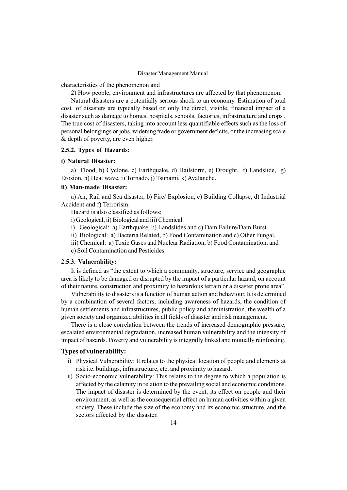characteristics of the phenomenon and

2) How people, environment and infrastructures are affected by that phenomenon.

Natural disasters are a potentially serious shock to an economy. Estimation of total cost of disasters are typically based on only the direct, visible, financial impact of a disaster such as damage to homes, hospitals, schools, factories, infrastructure and crops . The true cost of disasters, taking into account less quantifiable effects such as the loss of personal belongings or jobs, widening trade or government deficits, or the increasing scale & depth of poverty, are even higher.

#### 2.5.2. Types of Hazards:

#### i) Natural Disaster:

a) Flood, b) Cyclone, c) Earthquake, d) Hailstorm, e) Drought, f) Landslide, g) Erosion, h) Heat wave, i) Tornado, j) Tsunami, k) Avalanche.

#### ii) Man-made Disaster:

a) Air, Rail and Sea disaster, b) Fire/ Explosion, c) Building Collapse, d) Industrial Accident and f) Terrorism.

Hazard is also classified as follows:

i) Geological, ii) Biological and iii) Chemical.

i) Geological: a) Earthquake, b) Landslides and c) Dam Failure/Dam Burst.

ii) Biological: a) Bacteria Related, b) Food Contamination and c) Other Fungal.

iii) Chemical: a) Toxic Gases and Nuclear Radiation, b) Food Contamination, and

c) Soil Contamination and Pesticides.

#### 2.5.3. Vulnerability:

It is defined as "the extent to which a community, structure, service and geographic area is likely to be damaged or disrupted by the impact of a particular hazard, on account of their nature, construction and proximity to hazardous terrain or a disaster prone areaî.

Vulnerability to disasters is a function of human action and behaviour. It is determined by a combination of several factors, including awareness of hazards, the condition of human settlements and infrastructures, public policy and administration, the wealth of a given society and organized abilities in all fields of disaster and risk management.

There is a close correlation between the trends of increased demographic pressure, escalated environmental degradation, increased human vulnerability and the intensity of impact of hazards. Poverty and vulnerability is integrally linked and mutually reinforcing.

#### Types of vulnerability:

- i) Physical Vulnerability: It relates to the physical location of people and elements at risk i.e. buildings, infrastructure, etc. and proximity to hazard.
- ii) Socio-economic vulnerability: This relates to the degree to which a population is affected by the calamity in relation to the prevailing social and economic conditions. The impact of disaster is determined by the event, its effect on people and their environment, as well as the consequential effect on human activities within a given society. These include the size of the economy and its economic structure, and the sectors affected by the disaster.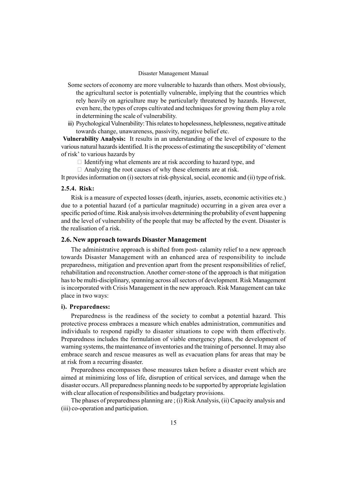- Some sectors of economy are more vulnerable to hazards than others. Most obviously, the agricultural sector is potentially vulnerable, implying that the countries which rely heavily on agriculture may be particularly threatened by hazards. However, even here, the types of crops cultivated and techniques for growing them play a role in determining the scale of vulnerability.
- iii) Psychological Vulnerability: This relates to hopelessness, helplessness, negative attitude towards change, unawareness, passivity, negative belief etc.

Vulnerability Analysis: It results in an understanding of the level of exposure to the various natural hazards identified. It is the process of estimating the susceptibility of ëelement of risk' to various hazards by

Identifying what elements are at risk according to hazard type, and

Analyzing the root causes of why these elements are at risk.

It provides information on (i) sectors at risk-physical, social, economic and (ii) type of risk.

## 2.5.4. Risk:

Risk is a measure of expected losses (death, injuries, assets, economic activities etc.) due to a potential hazard (of a particular magnitude) occurring in a given area over a specific period of time. Risk analysis involves determining the probability of event happening and the level of vulnerability of the people that may be affected by the event. Disaster is the realisation of a risk.

#### 2.6. New approach towards Disaster Management

The administrative approach is shifted from post- calamity relief to a new approach towards Disaster Management with an enhanced area of responsibility to include preparedness, mitigation and prevention apart from the present responsibilities of relief, rehabilitation and reconstruction. Another corner-stone of the approach is that mitigation has to be multi-disciplinary, spanning across all sectors of development. Risk Management is incorporated with Crisis Management in the new approach. Risk Management can take place in two ways:

#### i). Preparedness:

Preparedness is the readiness of the society to combat a potential hazard. This protective process embraces a measure which enables administration, communities and individuals to respond rapidly to disaster situations to cope with them effectively. Preparedness includes the formulation of viable emergency plans, the development of warning systems, the maintenance of inventories and the training of personnel. It may also embrace search and rescue measures as well as evacuation plans for areas that may be at risk from a recurring disaster.

Preparedness encompasses those measures taken before a disaster event which are aimed at minimizing loss of life, disruption of critical services, and damage when the disaster occurs. All preparedness planning needs to be supported by appropriate legislation with clear allocation of responsibilities and budgetary provisions.

The phases of preparedness planning are ; (i) Risk Analysis, (ii) Capacity analysis and (iii) co-operation and participation.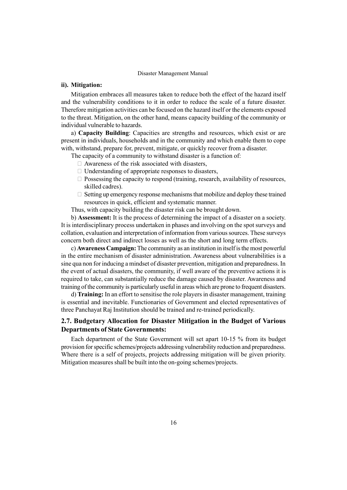## ii). Mitigation:

Mitigation embraces all measures taken to reduce both the effect of the hazard itself and the vulnerability conditions to it in order to reduce the scale of a future disaster. Therefore mitigation activities can be focused on the hazard itself or the elements exposed to the threat. Mitigation, on the other hand, means capacity building of the community or individual vulnerable to hazards.

a) Capacity Building: Capacities are strengths and resources, which exist or are present in individuals, households and in the community and which enable them to cope with, withstand, prepare for, prevent, mitigate, or quickly recover from a disaster.

The capacity of a community to withstand disaster is a function of:

Awareness of the risk associated with disasters,

Understanding of appropriate responses to disasters,

 Possessing the capacity to respond (training, research, availability of resources, skilled cadres).

 Setting up emergency response mechanisms that mobilize and deploy these trained resources in quick, efficient and systematic manner.

Thus, with capacity building the disaster risk can be brought down.

b) Assessment: It is the process of determining the impact of a disaster on a society. It is interdisciplinary process undertaken in phases and involving on the spot surveys and collation, evaluation and interpretation of information from various sources. These surveys concern both direct and indirect losses as well as the short and long term effects.

c) Awareness Campaign: The community as an institution in itself is the most powerful in the entire mechanism of disaster administration. Awareness about vulnerabilities is a sine qua non for inducing a mindset of disaster prevention, mitigation and preparedness. In the event of actual disasters, the community, if well aware of the preventive actions it is required to take, can substantially reduce the damage caused by disaster. Awareness and training of the community is particularly useful in areas which are prone to frequent disasters.

d) Training: In an effort to sensitise the role players in disaster management, training is essential and inevitable. Functionaries of Government and elected representatives of three Panchayat Raj Institution should be trained and re-trained periodically.

## 2.7. Budgetary Allocation for Disaster Mitigation in the Budget of Various Departments of State Governments:

Each department of the State Government will set apart 10-15 % from its budget provision for specific schemes/projects addressing vulnerability reduction and preparedness. Where there is a self of projects, projects addressing mitigation will be given priority. Mitigation measures shall be built into the on-going schemes/projects.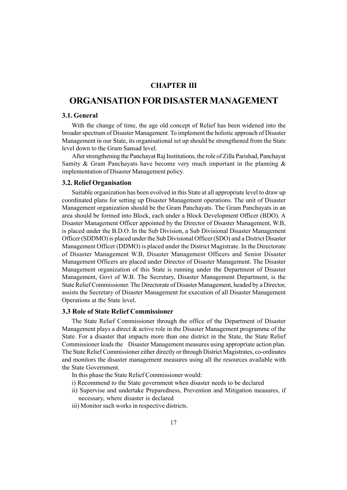## CHAPTER III

## ORGANISATION FOR DISASTER MANAGEMENT

## 3.1. General

With the change of time, the age old concept of Relief has been widened into the broader spectrum of Disaster Management. To implement the holistic approach of Disaster Management in our State, its organisational set up should be strengthened from the State level down to the Gram Sansad level.

After strengthening the Panchayat Raj Institutions, the role of Zilla Parishad, Panchayat Samity & Gram Panchayats have become very much important in the planning  $\&$ implementation of Disaster Management policy.

#### 3.2. Relief Organisation

Suitable organization has been evolved in this State at all appropriate level to draw up coordinated plans for setting up Disaster Management operations. The unit of Disaster Management organization should be the Gram Panchayats. The Gram Panchayats in an area should be formed into Block, each under a Block Development Officer (BDO). A Disaster Management Officer appointed by the Director of Disaster Management, W.B, is placed under the B.D.O. In the Sub Division, a Sub Divisional Disaster Management Officer (SDDMO) is placed under the Sub Divisional Officer (SDO) and a District Disaster Management Officer (DDMO) is placed under the District Magistrate. In the Directorate of Disaster Management W.B, Disaster Management Officers and Senior Disaster Management Officers are placed under Director of Disaster Management. The Disaster Management organization of this State is running under the Department of Disaster Management, Govt of W.B. The Secretary, Disaster Management Department, is the State Relief Commissioner. The Directorate of Disaster Management, headed by a Director, assists the Secretary of Disaster Management for execution of all Disaster Management Operations at the State level.

## 3.3 Role of State Relief Commissioner

The State Relief Commissioner through the office of the Department of Disaster Management plays a direct  $\&$  active role in the Disaster Management programme of the State. For a disaster that impacts more than one district in the State, the State Relief Commissioner leads the Disaster Management measures using appropriate action plan. The State Relief Commissioner either directly or through District Magistrates, co-ordinates and monitors the disaster management measures using all the resources available with the State Government.

- In this phase the State Relief Commissioner would:
- i) Recommend to the State government when disaster needs to be declared
- ii) Supervise and undertake Preparedness, Prevention and Mitigation measures, if necessary, where disaster is declared
- iii) Monitor such works in respective districts.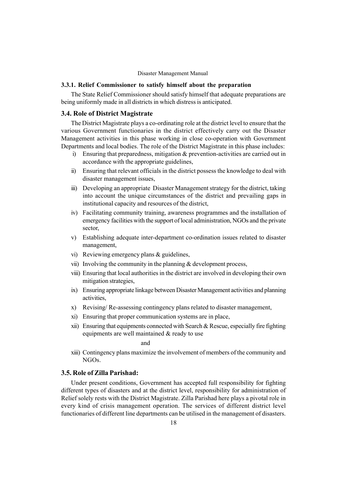## 3.3.1. Relief Commissioner to satisfy himself about the preparation

The State Relief Commissioner should satisfy himself that adequate preparations are being uniformly made in all districts in which distress is anticipated.

## 3.4. Role of District Magistrate

The District Magistrate plays a co-ordinating role at the district level to ensure that the various Government functionaries in the district effectively carry out the Disaster Management activities in this phase working in close co-operation with Government Departments and local bodies. The role of the District Magistrate in this phase includes:

- i) Ensuring that preparedness, mitigation & prevention-activities are carried out in accordance with the appropriate guidelines,
- ii) Ensuring that relevant officials in the district possess the knowledge to deal with disaster management issues,
- iii) Developing an appropriate Disaster Management strategy for the district, taking into account the unique circumstances of the district and prevailing gaps in institutional capacity and resources of the district,
- iv) Facilitating community training, awareness programmes and the installation of emergency facilities with the support of local administration, NGOs and the private sector,
- v) Establishing adequate inter-department co-ordination issues related to disaster management,
- vi) Reviewing emergency plans & guidelines,
- vii) Involving the community in the planning  $&$  development process,
- viii) Ensuring that local authorities in the district are involved in developing their own mitigation strategies,
- ix) Ensuring appropriate linkage between Disaster Management activities and planning activities,
- x) Revising/ Re-assessing contingency plans related to disaster management,
- xi) Ensuring that proper communication systems are in place,
- xii) Ensuring that equipments connected with Search & Rescue, especially fire fighting equipments are well maintained & ready to use

#### and

xiii) Contingency plans maximize the involvement of members of the community and NGOs.

## 3.5. Role of Zilla Parishad:

Under present conditions, Government has accepted full responsibility for fighting different types of disasters and at the district level, responsibility for administration of Relief solely rests with the District Magistrate. Zilla Parishad here plays a pivotal role in every kind of crisis management operation. The services of different district level functionaries of different line departments can be utilised in the management of disasters.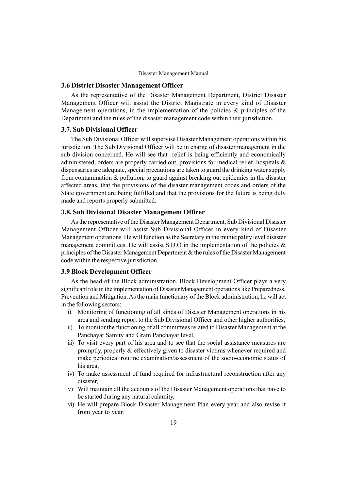#### 3.6 District Disaster Management Officer

As the representative of the Disaster Management Department, District Disaster Management Officer will assist the District Magistrate in every kind of Disaster Management operations, in the implementation of the policies  $\&$  principles of the Department and the rules of the disaster management code within their jurisdiction.

## 3.7. Sub Divisional Officer

The Sub Divisional Officer will supervise Disaster Management operations within his jurisdiction. The Sub Divisional Officer will be in charge of disaster management in the sub division concerned. He will see that relief is being efficiently and economically administered, orders are properly carried out, provisions for medical relief, hospitals & dispensaries are adequate, special precautions are taken to guard the drinking water supply from contamination & pollution, to guard against breaking out epidemics in the disaster affected areas, that the provisions of the disaster management codes and orders of the State government are being fulfilled and that the provisions for the future is being duly made and reports properly submitted.

## 3.8. Sub Divisional Disaster Management Officer

As the representative of the Disaster Management Department, Sub Divisional Disaster Management Officer will assist Sub Divisional Officer in every kind of Disaster Management operations. He will function as the Secretary in the municipality level disaster management committees. He will assist S.D.O in the implementation of the policies  $\&$ principles of the Disaster Management Department & the rules of the Disaster Management code within the respective jurisdiction.

## 3.9 Block Development Officer

As the head of the Block administration, Block Development Officer plays a very significant role in the implementation of Disaster Management operations like Preparedness, Prevention and Mitigation.As the main functionary of the Block administration, he will act in the following sectors:

- i) Monitoring of functioning of all kinds of Disaster Management operations in his area and sending report to the Sub Divisional Officer and other higher authorities,
- ii) To monitor the functioning of all committees related to Disaster Management at the Panchayat Samity and Gram Panchayat level,
- iii) To visit every part of his area and to see that the social assistance measures are promptly, properly & effectively given to disaster victims whenever required and make periodical routine examination/assessment of the socio-economic status of his area,
- iv) To make assessment of fund required for infrastructural reconstruction after any disaster
- v) Will maintain all the accounts of the Disaster Management operations that have to be started during any natural calamity,
- vi) He will prepare Block Disaster Management Plan every year and also revise it from year to year.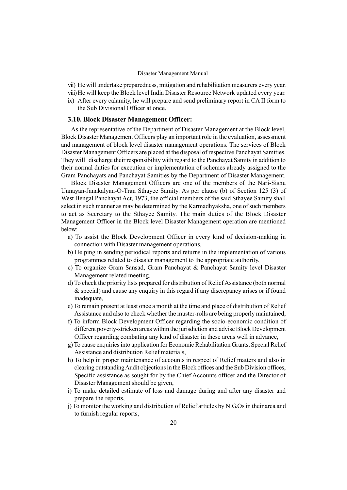- vii) He will undertake preparedness, mitigation and rehabilitation measurers every year.
- viii)He will keep the Block level India Disaster Resource Network updated every year.
- ix) After every calamity, he will prepare and send preliminary report in CA II form to the Sub Divisional Officer at once.

## 3.10. Block Disaster Management Officer:

As the representative of the Department of Disaster Management at the Block level, Block Disaster Management Officers play an important role in the evaluation, assessment and management of block level disaster management operations. The services of Block Disaster Management Officers are placed at the disposal of respective Panchayat Samities. They will discharge their responsibility with regard to the Panchayat Samity in addition to their normal duties for execution or implementation of schemes already assigned to the Gram Panchayats and Panchayat Samities by the Department of Disaster Management.

Block Disaster Management Officers are one of the members of the Nari-Sishu Unnayan-Janakalyan-O-Tran Sthayee Samity. As per clause (b) of Section 125 (3) of West Bengal Panchayat Act, 1973, the official members of the said Sthayee Samity shall select in such manner as may be determined by the Karmadhyaksha, one of such members to act as Secretary to the Sthayee Samity. The main duties of the Block Disaster Management Officer in the Block level Disaster Management operation are mentioned below:

- a) To assist the Block Development Officer in every kind of decision-making in connection with Disaster management operations,
- b) Helping in sending periodical reports and returns in the implementation of various programmes related to disaster management to the appropriate authority,
- c) To organize Gram Sansad, Gram Panchayat & Panchayat Samity level Disaster Management related meeting,
- d) To check the priority lists prepared for distribution of Relief Assistance (both normal & special) and cause any enquiry in this regard if any discrepancy arises or if found inadequate,
- e) To remain present at least once a month at the time and place of distribution of Relief Assistance and also to check whether the muster-rolls are being properly maintained,
- f) To inform Block Development Officer regarding the socio-economic condition of different poverty-stricken areas within the jurisdiction and advise Block Development Officer regarding combating any kind of disaster in these areas well in advance,
- g) To cause enquiries into application for Economic Rehabilitation Grants, Special Relief Assistance and distribution Relief materials,
- h) To help in proper maintenance of accounts in respect of Relief matters and also in clearing outstandingAudit objections in the Block offices and the Sub Division offices, Specific assistance as sought for by the Chief Accounts officer and the Director of Disaster Management should be given,
- i) To make detailed estimate of loss and damage during and after any disaster and prepare the reports,
- j) To monitor the working and distribution of Relief articles by N.G.Os in their area and to furnish regular reports,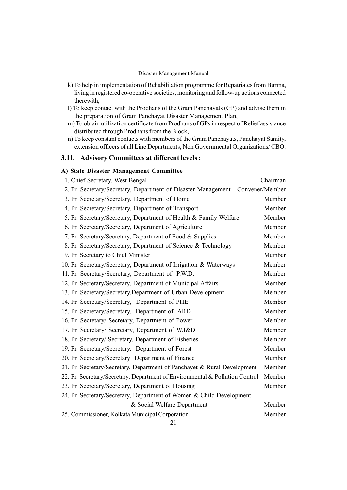- k) To help in implementation of Rehabilitation programme for Repatriates from Burma, living in registered co-operative societies, monitoring and follow-up actions connected therewith,
- l) To keep contact with the Prodhans of the Gram Panchayats (GP) and advise them in the preparation of Gram Panchayat Disaster Management Plan,
- m) To obtain utilization certificate from Prodhans of GPs in respect of Relief assistance distributed through Prodhans from the Block,
- n) To keep constant contacts with members of the Gram Panchayats, Panchayat Samity, extension officers of all Line Departments, Non Governmental Organizations/ CBO.

## 3.11. Advisory Committees at different levels :

## A) State Disaster Management Committee

| 1. Chief Secretary, West Bengal                                              | Chairman        |
|------------------------------------------------------------------------------|-----------------|
| 2. Pr. Secretary/Secretary, Department of Disaster Management                | Convener/Member |
| 3. Pr. Secretary/Secretary, Department of Home                               | Member          |
| 4. Pr. Secretary/Secretary, Department of Transport                          | Member          |
| 5. Pr. Secretary/Secretary, Department of Health & Family Welfare            | Member          |
| 6. Pr. Secretary/Secretary, Department of Agriculture                        | Member          |
| 7. Pr. Secretary/Secretary, Department of Food & Supplies                    | Member          |
| 8. Pr. Secretary/Secretary, Department of Science & Technology               | Member          |
| 9. Pr. Secretary to Chief Minister                                           | Member          |
| 10. Pr. Secretary/Secretary, Department of Irrigation & Waterways            | Member          |
| 11. Pr. Secretary/Secretary, Department of P.W.D.                            | Member          |
| 12. Pr. Secretary/Secretary, Department of Municipal Affairs                 | Member          |
| 13. Pr. Secretary/Secretary, Department of Urban Development                 | Member          |
| 14. Pr. Secretary/Secretary, Department of PHE                               | Member          |
| 15. Pr. Secretary/Secretary, Department of ARD                               | Member          |
| 16. Pr. Secretary/ Secretary, Department of Power                            | Member          |
| 17. Pr. Secretary/ Secretary, Department of W.I&D                            | Member          |
| 18. Pr. Secretary/ Secretary, Department of Fisheries                        | Member          |
| 19. Pr. Secretary/Secretary, Department of Forest                            | Member          |
| 20. Pr. Secretary/Secretary Department of Finance                            | Member          |
| 21. Pr. Secretary/Secretary, Department of Panchayet & Rural Development     | Member          |
| 22. Pr. Secretary/Secretary, Department of Environmental & Pollution Control | Member          |
| 23. Pr. Secretary/Secretary, Department of Housing                           | Member          |
| 24. Pr. Secretary/Secretary, Department of Women & Child Development         |                 |
| & Social Welfare Department                                                  | Member          |
| 25. Commissioner, Kolkata Municipal Corporation                              | Member          |
|                                                                              |                 |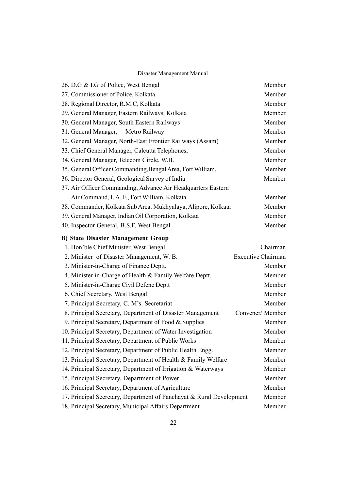| 26. D.G & I.G of Police, West Bengal                                         | Member   |
|------------------------------------------------------------------------------|----------|
| 27. Commissioner of Police, Kolkata.                                         | Member   |
| 28. Regional Director, R.M.C, Kolkata                                        | Member   |
| 29. General Manager, Eastern Railways, Kolkata                               | Member   |
| 30. General Manager, South Eastern Railways                                  | Member   |
| 31. General Manager, Metro Railway                                           | Member   |
| 32. General Manager, North-East Frontier Railways (Assam)                    | Member   |
| 33. Chief General Manager, Calcutta Telephones,                              | Member   |
| 34. General Manager, Telecom Circle, W.B.                                    | Member   |
| 35. General Officer Commanding, Bengal Area, Fort William,                   | Member   |
| 36. Director General, Geological Survey of India                             | Member   |
| 37. Air Officer Commanding, Advance Air Headquarters Eastern                 |          |
| Air Command, I. A. F., Fort William, Kolkata.                                | Member   |
| 38. Commander, Kolkata Sub Area. Mukhyalaya, Alipore, Kolkata                | Member   |
| 39. General Manager, Indian Oil Corporation, Kolkata                         | Member   |
| 40. Inspector General, B.S.F, West Bengal                                    | Member   |
| <b>B) State Disaster Management Group</b>                                    |          |
| 1. Hon'ble Chief Minister, West Bengal                                       | Chairman |
| 2. Minister of Disaster Management, W. B.<br><b>Executive Chairman</b>       |          |
| 3. Minister-in-Charge of Finance Deptt.                                      | Member   |
| 4. Minister-in-Charge of Health & Family Welfare Deptt.                      | Member   |
| 5. Minister-in-Charge Civil Defenc Deptt                                     | Member   |
| 6. Chief Secretary, West Bengal                                              | Member   |
| 7. Principal Secretary, C. M's. Secretariat                                  | Member   |
| 8. Principal Secretary, Department of Disaster Management<br>Convener/Member |          |
| 9. Principal Secretary, Department of Food & Supplies                        | Member   |
| 10. Principal Secretary, Department of Water Investigation                   | Member   |
| 11. Principal Secretary, Department of Public Works                          | Member   |
| 12. Principal Secretary, Department of Public Health Engg.                   | Member   |
| 13. Principal Secretary, Department of Health & Family Welfare               | Member   |
| 14. Principal Secretary, Department of Irrigation & Waterways                | Member   |
| 15. Principal Secretary, Department of Power                                 | Member   |
| 16. Principal Secretary, Department of Agriculture                           | Member   |
| 17. Principal Secretary, Department of Panchayat & Rural Development         | Member   |
| 18. Principal Secretary, Municipal Affairs Department                        | Member   |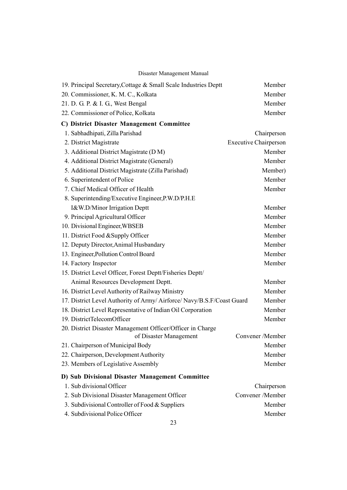| 19. Principal Secretary, Cottage & Small Scale Industries Deptt        | Member                       |
|------------------------------------------------------------------------|------------------------------|
| 20. Commissioner, K. M. C., Kolkata                                    | Member                       |
| 21. D. G. P. & I. G., West Bengal                                      | Member                       |
| 22. Commissioner of Police, Kolkata                                    | Member                       |
| C) District Disaster Management Committee                              |                              |
| 1. Sabhadhipati, Zilla Parishad                                        | Chairperson                  |
| 2. District Magistrate                                                 | <b>Executive Chairperson</b> |
| 3. Additional District Magistrate (D M)                                | Member                       |
| 4. Additional District Magistrate (General)                            | Member                       |
| 5. Additional District Magistrate (Zilla Parishad)                     | Member)                      |
| 6. Superintendent of Police                                            | Member                       |
| 7. Chief Medical Officer of Health                                     | Member                       |
| 8. Superintending/Executive Engineer, P.W.D/P.H.E                      |                              |
| I&W.D/Minor Irrigation Deptt                                           | Member                       |
| 9. Principal Agricultural Officer                                      | Member                       |
| 10. Divisional Engineer, WBSEB                                         | Member                       |
| 11. District Food & Supply Officer                                     | Member                       |
| 12. Deputy Director, Animal Husbandary                                 | Member                       |
| 13. Engineer, Pollution Control Board                                  | Member                       |
| 14. Factory Inspector                                                  | Member                       |
| 15. District Level Officer, Forest Deptt/Fisheries Deptt/              |                              |
| Animal Resources Development Deptt.                                    | Member                       |
| 16. District Level Authority of Railway Ministry                       | Member                       |
| 17. District Level Authority of Army/ Airforce/ Navy/B.S.F/Coast Guard | Member                       |
| 18. District Level Representative of Indian Oil Corporation            | Member                       |
| 19. DistrictTelecomOfficer                                             | Member                       |
| 20. District Disaster Management Officer/Officer in Charge             |                              |
| of Disaster Management                                                 | Convener /Member             |
| 21. Chairperson of Municipal Body                                      | Member                       |
| 22. Chairperson, Development Authority                                 | Member                       |
| 23. Members of Legislative Assembly                                    | Member                       |
| D) Sub Divisional Disaster Management Committee                        |                              |
| 1. Sub divisional Officer                                              | Chairperson                  |
| 2. Sub Divisional Disaster Management Officer                          | Convener /Member             |
| 3. Subdivisional Controller of Food & Suppliers                        | Member                       |
| 4. Subdivisional Police Officer                                        | Member                       |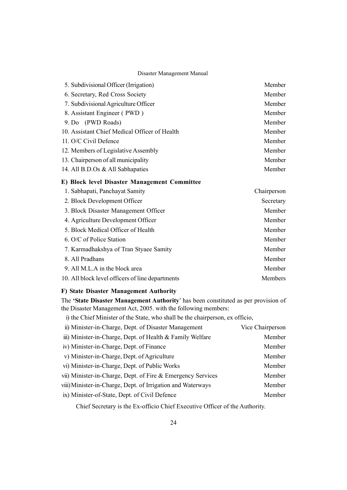| 5. Subdivisional Officer (Irrigation)         | Member |
|-----------------------------------------------|--------|
| 6. Secretary, Red Cross Society               | Member |
| 7. Subdivisional Agriculture Officer          | Member |
| 8. Assistant Engineer (PWD)                   | Member |
| 9. Do (PWD Roads)                             | Member |
| 10. Assistant Chief Medical Officer of Health | Member |
| 11. O/C Civil Defence                         | Member |
| 12. Members of Legislative Assembly           | Member |
| 13. Chairperson of all municipality           | Member |
| 14. All B.D.Os & All Sabhapaties              | Member |

## E) Block level Disaster Management Committee

| 1. Sabhapati, Panchayat Samity                   | Chairperson |
|--------------------------------------------------|-------------|
| 2. Block Development Officer                     | Secretary   |
| 3. Block Disaster Management Officer             | Member      |
| 4. Agriculture Development Officer               | Member      |
| 5. Block Medical Officer of Health               | Member      |
| 6. O/C of Police Station                         | Member      |
| 7. Karmadhakshya of Tran Styaee Samity           | Member      |
| 8. All Pradhans                                  | Member      |
| 9. All M.L.A in the block area                   | Member      |
| 10. All block level officers of line departments | Members     |

## F) State Disaster Management Authority

The 'State Disaster Management Authority' has been constituted as per provision of the Disaster Management Act, 2005. with the following members:

i) the Chief Minister of the State, who shall be the chairperson, ex officio,

| ii) Minister-in-Charge, Dept. of Disaster Management        | Vice Chairperson |
|-------------------------------------------------------------|------------------|
| iii) Minister-in-Charge, Dept. of Health & Family Welfare   | Member           |
| iv) Minister-in-Charge, Dept. of Finance                    | Member           |
| v) Minister-in-Charge, Dept. of Agriculture                 | Member           |
| vi) Minister-in-Charge, Dept. of Public Works               | Member           |
| vii) Minister-in-Charge, Dept. of Fire & Emergency Services | Member           |
| viii) Minister-in-Charge, Dept. of Irrigation and Waterways | Member           |
| ix) Minister-of-State, Dept. of Civil Defence               | Member           |

Chief Secretary is the Ex-officio Chief Executive Officer of the Authority.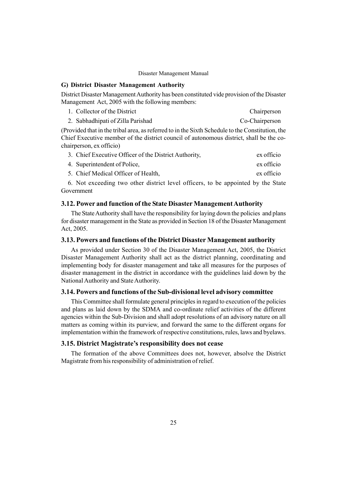## G) District Disaster Management Authority

District Disaster Management Authority has been constituted vide provision of the Disaster Management Act, 2005 with the following members:

| 1. Collector of the District      | Chairperson    |
|-----------------------------------|----------------|
| 2. Sabhadhipati of Zilla Parishad | Co-Chairperson |

(Provided that in the tribal area, as referred to in the Sixth Schedule to the Constitution, the Chief Executive member of the district council of autonomous district, shall be the cochairperson, ex officio)

| 3. Chief Executive Officer of the District Authority, | ex officio |
|-------------------------------------------------------|------------|
| 4. Superintendent of Police,                          | ex officio |
| 5. Chief Medical Officer of Health,                   | ex officio |

6. Not exceeding two other district level officers, to be appointed by the State Government

## 3.12. Power and function of the State Disaster Management Authority

The StateAuthority shall have the responsibility for laying down the policies and plans for disaster management in the State as provided in Section 18 of the Disaster Management Act, 2005.

## 3.13. Powers and functions of the District Disaster Management authority

As provided under Section 30 of the Disaster Management Act, 2005, the District Disaster Management Authority shall act as the district planning, coordinating and implementing body for disaster management and take all measures for the purposes of disaster management in the district in accordance with the guidelines laid down by the National Authority and State Authority.

#### 3.14. Powers and functions of the Sub-divisional level advisory committee

This Committee shall formulate general principles in regard to execution of the policies and plans as laid down by the SDMA and co-ordinate relief activities of the different agencies within the Sub-Division and shall adopt resolutions of an advisory nature on all matters as coming within its purview, and forward the same to the different organs for implementation within the framework of respective constitutions, rules, laws and byelaws.

## 3.15. District Magistrate's responsibility does not cease

The formation of the above Committees does not, however, absolve the District Magistrate from his responsibility of administration of relief.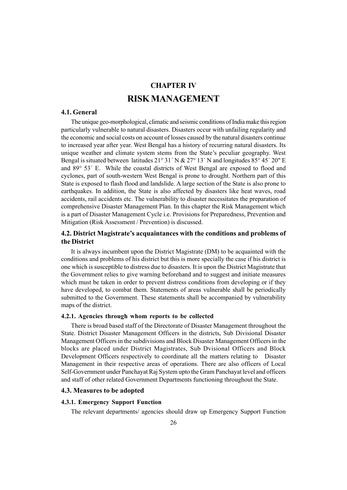# CHAPTER IV RISKMANAGEMENT

## 4.1. General

The unique geo-morphological, climatic and seismic conditions of India make this region particularly vulnerable to natural disasters. Disasters occur with unfailing regularity and the economic and social costs on account of losses caused by the natural disasters continue to increased year after year. West Bengal has a history of recurring natural disasters. Its unique weather and climate system stems from the State's peculiar geography. West Bengal is situated between latitudes  $21^{\circ}$  31' N &  $27^{\circ}$  13' N and longitudes 85° 45' 20" E and  $89^{\circ}$  53 $^{\prime}$  E. While the coastal districts of West Bengal are exposed to flood and cyclones, part of south-western West Bengal is prone to drought. Northern part of this State is exposed to flash flood and landslide. A large section of the State is also prone to earthquakes. In addition, the State is also affected by disasters like heat waves, road accidents, rail accidents etc. The vulnerability to disaster necessitates the preparation of comprehensive Disaster Management Plan. In this chapter the Risk Management which is a part of Disaster Management Cycle i.e. Provisions for Preparedness, Prevention and Mitigation (Risk Assessment / Prevention) is discussed.

## 4.2. District Magistrate's acquaintances with the conditions and problems of the District

It is always incumbent upon the District Magistrate (DM) to be acquainted with the conditions and problems of his district but this is more specially the case if his district is one which is susceptible to distress due to disasters. It is upon the District Magistrate that the Government relies to give warning beforehand and to suggest and initiate measures which must be taken in order to prevent distress conditions from developing or if they have developed, to combat them. Statements of areas vulnerable shall be periodically submitted to the Government. These statements shall be accompanied by vulnerability maps of the district.

#### 4.2.1. Agencies through whom reports to be collected

There is broad based staff of the Directorate of Disaster Management throughout the State. District Disaster Management Officers in the districts, Sub Divisional Disaster Management Officers in the subdivisions and Block Disaster Management Officers in the blocks are placed under District Magistrates, Sub Dvisional Officers and Block Development Officers respectively to coordinate all the matters relating to Disaster Management in their respective areas of operations. There are also officers of Local Self-Government under Panchayat Raj System upto the Gram Panchayat level and officers and staff of other related Government Departments functioning throughout the State.

## 4.3. Measures to be adopted

#### 4.3.1. Emergency Support Function

The relevant departments/ agencies should draw up Emergency Support Function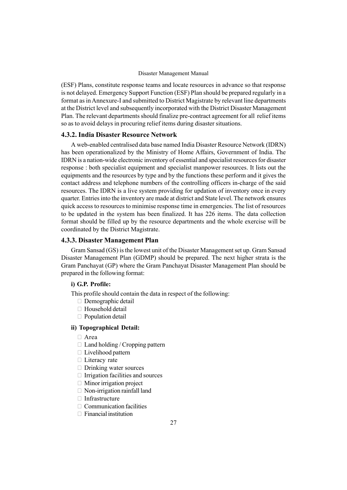(ESF) Plans, constitute response teams and locate resources in advance so that response is not delayed. Emergency Support Function (ESF) Plan should be prepared regularly in a format as in Annexure-I and submitted to District Magistrate by relevant line departments at the District level and subsequently incorporated with the District Disaster Management Plan. The relevant departments should finalize pre-contract agreement for all relief items so as to avoid delays in procuring relief items during disaster situations.

### 4.3.2. India Disaster Resource Network

A web-enabled centralised data base named India Disaster Resource Network (IDRN) has been operationalized by the Ministry of Home Affairs, Government of India. The IDRN is a nation-wide electronic inventory of essential and specialist resources for disaster response : both specialist equipment and specialist manpower resources. It lists out the equipments and the resources by type and by the functions these perform and it gives the contact address and telephone numbers of the controlling officers in-charge of the said resources. The IDRN is a live system providing for updation of inventory once in every quarter. Entries into the inventory are made at district and State level. The network ensures quick access to resources to minimise response time in emergencies. The list of resources to be updated in the system has been finalized. It has 226 items. The data collection format should be filled up by the resource departments and the whole exercise will be coordinated by the District Magistrate.

### 4.3.3. Disaster Management Plan

Gram Sansad (GS) is the lowest unit of the Disaster Management set up. Gram Sansad Disaster Management Plan (GDMP) should be prepared. The next higher strata is the Gram Panchayat (GP) where the Gram Panchayat Disaster Management Plan should be prepared in the following format:

#### i) G.P. Profile:

This profile should contain the data in respect of the following:

 Demographic detail Household detail Population detail

#### ii) Topographical Detail:

Area

 Land holding / Cropping pattern Livelihood pattern Literacy rate Drinking water sources Irrigation facilities and sources Minor irrigation project Non-irrigation rainfall land Infrastructure Communication facilities Financial institution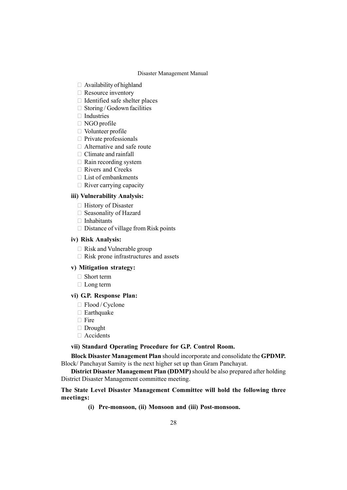Availability of highland Resource inventory Identified safe shelter places Storing / Godown facilities Industries NGO profile Volunteer profile Private professionals Alternative and safe route Climate and rainfall Rain recording system Rivers and Creeks List of embankments River carrying capacity

#### iii) Vulnerability Analysis:

 History of Disaster Seasonality of Hazard Inhabitants Distance of village from Risk points

#### iv) Risk Analysis:

 Risk and Vulnerable group Risk prone infrastructures and assets

#### v) Mitigation strategy:

 Short term Long term

#### vi) G.P. Response Plan:

 Flood / Cyclone Earthquake Fire Drought Accidents

#### vii) Standard Operating Procedure for G.P. Control Room.

Block Disaster Management Plan should incorporate and consolidate the GPDMP. Block/ Panchayat Samity is the next higher set up than Gram Panchayat.

District Disaster Management Plan (DDMP) should be also prepared after holding District Disaster Management committee meeting.

## The State Level Disaster Management Committee will hold the following three meetings:

(i) Pre-monsoon, (ii) Monsoon and (iii) Post-monsoon.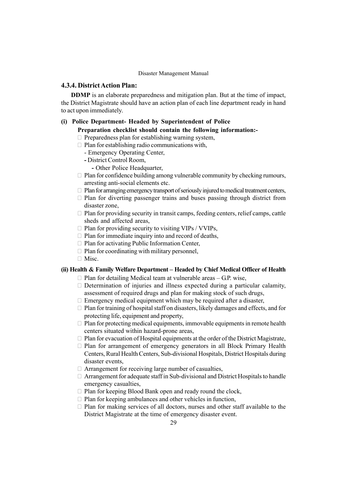## 4.3.4. DistrictAction Plan:

DDMP is an elaborate preparedness and mitigation plan. But at the time of impact, the District Magistrate should have an action plan of each line department ready in hand to act upon immediately.

### (i) Police Department- Headed by Superintendent of Police

## Preparation checklist should contain the following information:-

Preparedness plan for establishing warning system,

Plan for establishing radio communications with,

- Emergency Operating Center,
- District Control Room,
	- Other Police Headquarter,

 Plan for confidence building among vulnerable community by checking rumours, arresting anti-social elements etc.

Plan for arranging emergency transport of seriously injured to medical treatment centers, Plan for diverting passenger trains and buses passing through district from disaster zone,

 Plan for providing security in transit camps, feeding centers, relief camps, cattle sheds and affected areas,

Plan for providing security to visiting VIPs / VVIPs,

Plan for immediate inquiry into and record of deaths,

Plan for activating Public Information Center,

Plan for coordinating with military personnel,

Misc.

## (ii) Health  $\&$  Family Welfare Department  $-$  Headed by Chief Medical Officer of Health

Plan for detailing Medical team at vulnerable areas  $-$  G.P. wise,

 Determination of injuries and illness expected during a particular calamity, assessment of required drugs and plan for making stock of such drugs,

Emergency medical equipment which may be required after a disaster,

 Plan for training of hospital staff on disasters, likely damages and effects, and for protecting life, equipment and property,

 Plan for protecting medical equipments, immovable equipments in remote health centers situated within hazard-prone areas,

 Plan for evacuation of Hospital equipments at the order of the District Magistrate, Plan for arrangement of emergency generators in all Block Primary Health Centers, Rural Health Centers, Sub-divisional Hospitals, District Hospitals during disaster events,

Arrangement for receiving large number of casualties,

 Arrangement for adequate staff in Sub-divisional and District Hospitals to handle emergency casualties,

Plan for keeping Blood Bank open and ready round the clock,

Plan for keeping ambulances and other vehicles in function,

 Plan for making services of all doctors, nurses and other staff available to the District Magistrate at the time of emergency disaster event.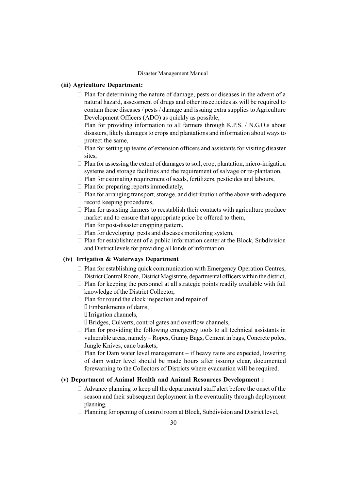## (iii) Agriculture Department:

 Plan for determining the nature of damage, pests or diseases in the advent of a natural hazard, assessment of drugs and other insecticides as will be required to contain those diseases / pests / damage and issuing extra supplies to Agriculture Development Officers (ADO) as quickly as possible,

 Plan for providing information to all farmers through K.P.S. / N.G.O.s about disasters, likely damages to crops and plantations and information about ways to protect the same,

 Plan for setting up teams of extension officers and assistants for visiting disaster sites,

 Plan for assessing the extent of damages to soil, crop, plantation, micro-irrigation systems and storage facilities and the requirement of salvage or re-plantation,

Plan for estimating requirement of seeds, fertilizers, pesticides and labours,

Plan for preparing reports immediately,

 Plan for arranging transport, storage, and distribution of the above with adequate record keeping procedures,

 Plan for assisting farmers to reestablish their contacts with agriculture produce market and to ensure that appropriate price be offered to them,

Plan for post-disaster cropping pattern,

Plan for developing pests and diseases monitoring system,

 Plan for establishment of a public information center at the Block, Subdivision and District levels for providing all kinds of information.

#### (iv) Irrigation & Waterways Department

 Plan for establishing quick communication with Emergency Operation Centres, District Control Room, District Magistrate, departmental officers within the district, Plan for keeping the personnel at all strategic points readily available with full knowledge of the District Collector,

Plan for round the clock inspection and repair of

Embankments of dams,

Irrigation channels,

Bridges, Culverts, control gates and overflow channels,

 Plan for providing the following emergency tools to all technical assistants in vulnerable areas, namely – Ropes, Gunny Bags, Cement in bags, Concrete poles, Jungle Knives, cane baskets,

Plan for Dam water level management  $-$  if heavy rains are expected, lowering of dam water level should be made hours after issuing clear, documented forewarning to the Collectors of Districts where evacuation will be required.

## (v) Department of Animal Health and Animal Resources Development :

 Advance planning to keep all the departmental staff alert before the onset of the season and their subsequent deployment in the eventuality through deployment planning,

Planning for opening of control room at Block, Subdivision and District level,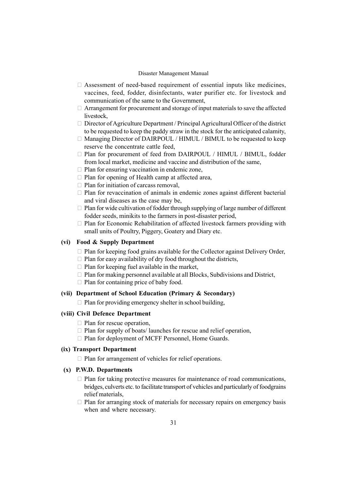Assessment of need-based requirement of essential inputs like medicines, vaccines, feed, fodder, disinfectants, water purifier etc. for livestock and communication of the same to the Government,

 Arrangement for procurement and storage of input materials to save the affected livestock,

 Director of Agriculture Department / Principal Agricultural Officer of the district to be requested to keep the paddy straw in the stock for the anticipated calamity, Managing Director of DAIRPOUL / HIMUL / BIMUL to be requested to keep reserve the concentrate cattle feed,

 Plan for procurement of feed from DAIRPOUL / HIMUL / BIMUL, fodder from local market, medicine and vaccine and distribution of the same,

Plan for ensuring vaccination in endemic zone,

Plan for opening of Health camp at affected area,

Plan for initiation of carcass removal,

 Plan for revaccination of animals in endemic zones against different bacterial and viral diseases as the case may be,

 Plan for wide cultivation of fodder through supplying of large number of different fodder seeds, minikits to the farmers in post-disaster period,

 Plan for Economic Rehabilitation of affected livestock farmers providing with small units of Poultry, Piggery, Goatery and Diary etc.

## (vi) Food & Supply Department

 Plan for keeping food grains available for the Collector against Delivery Order, Plan for easy availability of dry food throughout the districts, Plan for keeping fuel available in the market,

 Plan for making personnel available at all Blocks, Subdivisions and District, Plan for containing price of baby food.

## (vii) Department of School Education (Primary & Secondary)

Plan for providing emergency shelter in school building,

#### (viii) Civil Defence Department

 Plan for rescue operation, Plan for supply of boats/ launches for rescue and relief operation, Plan for deployment of MCFF Personnel, Home Guards.

## (ix) Transport Department

Plan for arrangement of vehicles for relief operations.

### (x) P.W.D. Departments

 Plan for taking protective measures for maintenance of road communications, bridges, culverts etc. to facilitate transport of vehicles and particularly of foodgrains relief materials,

 Plan for arranging stock of materials for necessary repairs on emergency basis when and where necessary.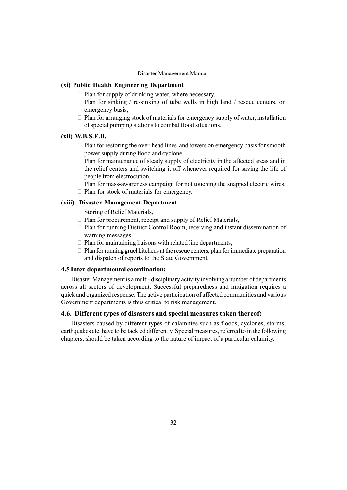## (xi) Public Health Engineering Department

Plan for supply of drinking water, where necessary,

Plan for sinking / re-sinking of tube wells in high land / rescue centers, on emergency basis,

 Plan for arranging stock of materials for emergency supply of water, installation of special pumping stations to combat flood situations.

## (xii) W.B.S.E.B.

 Plan for restoring the over-head lines and towers on emergency basis for smooth power supply during flood and cyclone,

 Plan for maintenance of steady supply of electricity in the affected areas and in the relief centers and switching it off whenever required for saving the life of people from electrocution,

 Plan for mass-awareness campaign for not touching the snapped electric wires, Plan for stock of materials for emergency.

### (xiii) Disaster Management Department

Storing of Relief Materials,

Plan for procurement, receipt and supply of Relief Materials,

 Plan for running District Control Room, receiving and instant dissemination of warning messages,

Plan for maintaining liaisons with related line departments,

 Plan for running gruel kitchens at the rescue centers, plan for immediate preparation and dispatch of reports to the State Government.

## 4.5 Inter-departmental coordination:

Disaster Management is a multi- disciplinary activity involving a number of departments across all sectors of development. Successful preparedness and mitigation requires a quick and organized response. The active participation of affected communities and various Government departments is thus critical to risk management.

## 4.6. Different types of disasters and special measures taken thereof:

Disasters caused by different types of calamities such as floods, cyclones, storms, earthquakes etc. have to be tackled differently. Special measures, referred to in the following chapters, should be taken according to the nature of impact of a particular calamity.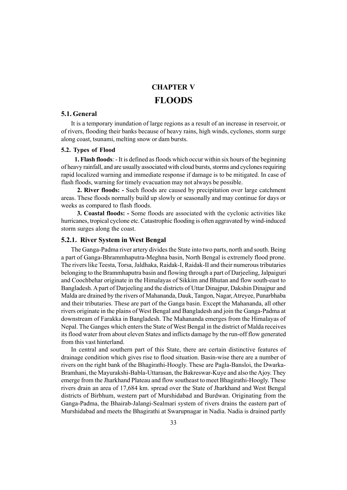# CHAPTER V FLOODS

## 5.1. General

It is a temporary inundation of large regions as a result of an increase in reservoir, or of rivers, flooding their banks because of heavy rains, high winds, cyclones, storm surge along coast, tsunami, melting snow or dam bursts.

#### 5.2. Types of Flood

1. Flash floods: - It is defined as floods which occur within six hours of the beginning of heavy rainfall, and are usually associated with cloud bursts, storms and cyclones requiring rapid localized warning and immediate response if damage is to be mitigated. In case of flash floods, warning for timely evacuation may not always be possible.

2. River floods: - Such floods are caused by precipitation over large catchment areas. These floods normally build up slowly or seasonally and may continue for days or weeks as compared to flash floods.

3. Coastal floods: - Some floods are associated with the cyclonic activities like hurricanes, tropical cyclone etc. Catastrophic flooding is often aggravated by wind-induced storm surges along the coast.

#### 5.2.1. River System in West Bengal

The Ganga-Padma river artery divides the State into two parts, north and south. Being a part of Ganga-Bhrammhaputra-Meghna basin, North Bengal is extremely flood prone. The rivers like Teesta, Torsa, Jaldhaka, Raidak-I, Raidak-II and their numerous tributaries belonging to the Brammhaputra basin and flowing through a part of Darjeeling, Jalpaiguri and Coochbehar originate in the Himalayas of Sikkim and Bhutan and flow south-east to Bangladesh. A part of Darjeeling and the districts of Uttar Dinajpur, Dakshin Dinajpur and Malda are drained by the rivers of Mahananda, Dauk, Tangon, Nagar, Atreyee, Punarbhaba and their tributaries. These are part of the Ganga basin. Except the Mahananda, all other rivers originate in the plains of West Bengal and Bangladesh and join the Ganga-Padma at downstream of Farakka in Bangladesh. The Mahananda emerges from the Himalayas of Nepal. The Ganges which enters the State of West Bengal in the district of Malda receives its flood water from about eleven States and inflicts damage by the run-off flow generated from this vast hinterland.

In central and southern part of this State, there are certain distinctive features of drainage condition which gives rise to flood situation. Basin-wise there are a number of rivers on the right bank of the Bhagirathi-Hoogly. These are Pagla-Bansloi, the Dwarka-Bramhani, the Mayurakshi-Babla-Uttarasan, the Bakreswar-Kuye and also the Ajoy. They emerge from the Jharkhand Plateau and flow southeast to meet Bhagirathi-Hoogly. These rivers drain an area of 17,684 km. spread over the State of Jharkhand and West Bengal districts of Birbhum, western part of Murshidabad and Burdwan. Originating from the Ganga-Padma, the Bhairab-Jalangi-Sealmari system of rivers drains the eastern part of Murshidabad and meets the Bhagirathi at Swarupnagar in Nadia. Nadia is drained partly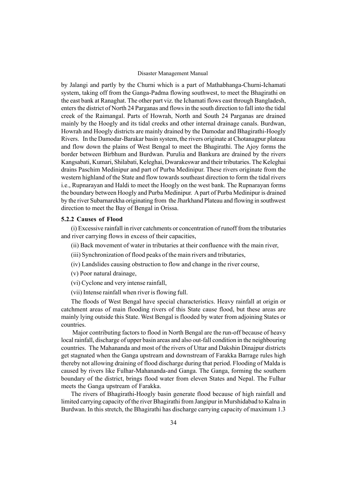by Jalangi and partly by the Churni which is a part of Mathabhanga-Churni-Ichamati system, taking off from the Ganga-Padma flowing southwest, to meet the Bhagirathi on the east bank at Ranaghat. The other part viz. the Ichamati flows east through Bangladesh, enters the district of North 24 Parganas and flows in the south direction to fall into the tidal creek of the Raimangal. Parts of Howrah, North and South 24 Parganas are drained mainly by the Hoogly and its tidal creeks and other internal drainage canals. Burdwan, Howrah and Hoogly districts are mainly drained by the Damodar and Bhagirathi-Hoogly Rivers. In the Damodar-Barakar basin system, the rivers originate at Chotanagpur plateau and flow down the plains of West Bengal to meet the Bhagirathi. The Ajoy forms the border between Birbhum and Burdwan. Purulia and Bankura are drained by the rivers Kangsabati, Kumari, Shilabati, Keleghai, Dwarakeswar and their tributaries. The Keleghai drains Paschim Medinipur and part of Purba Medinipur. These rivers originate from the western highland of the State and flow towards southeast direction to form the tidal rivers i.e., Rupnarayan and Haldi to meet the Hoogly on the west bank. The Rupnarayan forms the boundary between Hoogly and Purba Medinipur. A part of Purba Medinipur is drained by the river Subarnarekha originating from the Jharkhand Plateau and flowing in southwest direction to meet the Bay of Bengal in Orissa.

### 5.2.2 Causes of Flood

(i) Excessive rainfall in river catchments or concentration of runoff from the tributaries and river carrying flows in excess of their capacities,

(ii) Back movement of water in tributaries at their confluence with the main river,

(iii) Synchronization of flood peaks of the main rivers and tributaries,

- (iv) Landslides causing obstruction to flow and change in the river course,
- (v) Poor natural drainage,
- (vi) Cyclone and very intense rainfall,
- (vii) Intense rainfall when river is flowing full.

The floods of West Bengal have special characteristics. Heavy rainfall at origin or catchment areas of main flooding rivers of this State cause flood, but these areas are mainly lying outside this State. West Bengal is flooded by water from adjoining States or countries.

Major contributing factors to flood in North Bengal are the run-off because of heavy local rainfall, discharge of upper basin areas and also out-fall condition in the neighbouring countries. The Mahananda and most of the rivers of Uttar and Dakshin Dinajpur districts get stagnated when the Ganga upstream and downstream of Farakka Barrage rules high thereby not allowing draining of flood discharge during that period. Flooding of Malda is caused by rivers like Fulhar-Mahananda-and Ganga. The Ganga, forming the southern boundary of the district, brings flood water from eleven States and Nepal. The Fulhar meets the Ganga upstream of Farakka.

The rivers of Bhagirathi-Hoogly basin generate flood because of high rainfall and limited carrying capacity of the river Bhagirathi from Jangipur in Murshidabad to Kalna in Burdwan. In this stretch, the Bhagirathi has discharge carrying capacity of maximum 1.3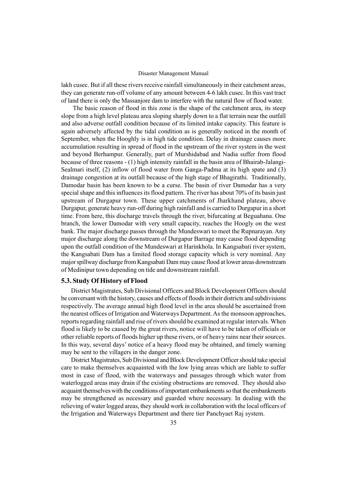lakh cusec. But if all these rivers receive rainfall simultaneously in their catchment areas, they can generate run-off volume of any amount between 4-6 lakh cusec. In this vast tract of land there is only the Massanjore dam to interfere with the natural flow of flood water.

The basic reason of flood in this zone is the shape of the catchment area, its steep slope from a high level plateau area sloping sharply down to a flat terrain near the outfall and also adverse outfall condition because of its limited intake capacity. This feature is again adversely affected by the tidal condition as is generally noticed in the month of September, when the Hooghly is in high tide condition. Delay in drainage causes more accumulation resulting in spread of flood in the upstream of the river system in the west and beyond Berhampur. Generally, part of Murshidabad and Nadia suffer from flood because of three reasons - (1) high intensity rainfall in the basin area of Bhairab-Jalangi-Sealmari itself, (2) inflow of flood water from Ganga-Padma at its high spate and (3) drainage congestion at its outfall because of the high stage of Bhagirathi. Traditionally, Damodar basin has been known to be a curse. The basin of river Damodar has a very special shape and this influences its flood pattern. The river has about 70% of its basin just upstream of Durgapur town. These upper catchments of Jharkhand plateau, above Durgapur, generate heavy run-off during high rainfall and is carried to Durgapur in a short time. From here, this discharge travels through the river, bifurcating at Beguahana. One branch, the lower Damodar with very small capacity, reaches the Hoogly on the west bank. The major discharge passes through the Mundeswari to meet the Rupnarayan. Any major discharge along the downstream of Durgapur Barrage may cause flood depending upon the outfall condition of the Mundeswari at Harinkhola. In Kangsabati river system, the Kangsabati Dam has a limited flood storage capacity which is very nominal. Any major spillway discharge from Kangsabati Dam may cause flood at lower areas downstream of Medinipur town depending on tide and downstream rainfall.

## 5.3. Study Of History of Flood

District Magistrates, Sub Divisional Officers and Block Development Officers should be conversant with the history, causes and effects of floods in their districts and subdivisions respectively. The average annual high flood level in the area should be ascertained from the nearest offices of Irrigation and Waterways Department. As the monsoon approaches, reports regarding rainfall and rise of rivers should be examined at regular intervals. When flood is likely to be caused by the great rivers, notice will have to be taken of officials or other reliable reports of floods higher up these rivers, or of heavy rains near their sources. In this way, several days' notice of a heavy flood may be obtained, and timely warning may be sent to the villagers in the danger zone.

District Magistrates, Sub Divisional and Block Development Officer should take special care to make themselves acquainted with the low lying areas which are liable to suffer most in case of flood, with the waterways and passages through which water from waterlogged areas may drain if the existing obstructions are removed. They should also acquaint themselves with the conditions of important embankments so that the embankments may be strengthened as necessary and guarded where necessary. In dealing with the relieving of water logged areas, they should work in collaboration with the local officers of the Irrigation and Waterways Department and there tier Panchyaet Raj system.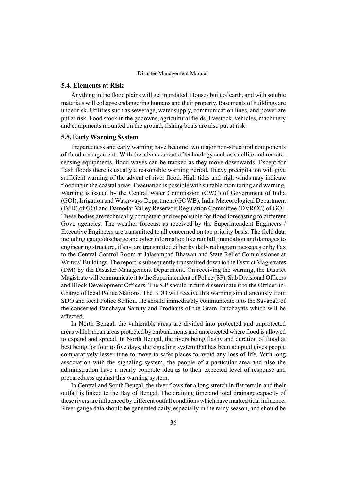## 5.4. Elements at Risk

Anything in the flood plains will get inundated. Houses built of earth, and with soluble materials will collapse endangering humans and their property. Basements of buildings are under risk. Utilities such as sewerage, water supply, communication lines, and power are put at risk. Food stock in the godowns, agricultural fields, livestock, vehicles, machinery and equipments mounted on the ground, fishing boats are also put at risk.

## 5.5. EarlyWarning System

Preparedness and early warning have become two major non-structural components of flood management. With the advancement of technology such as satellite and remotesensing equipments, flood waves can be tracked as they move downwards. Except for flash floods there is usually a reasonable warning period. Heavy precipitation will give sufficient warning of the advent of river flood. High tides and high winds may indicate flooding in the coastal areas. Evacuation is possible with suitable monitoring and warning. Warning is issued by the Central Water Commission (CWC) of Government of India (GOI), Irrigation and Waterways Department (GOWB), India Meteorological Department (IMD) of GOI and Damodar Valley Reservoir Regulation Committee (DVRCC) of GOI. These bodies are technically competent and responsible for flood forecasting to different Govt. agencies. The weather forecast as received by the Superintendent Engineers / Executive Engineers are transmitted to all concerned on top priority basis. The field data including gauge/discharge and other information like rainfall, inundation and damages to engineering structure, if any, are transmitted either by daily radiogram messages or by Fax to the Central Control Room at Jalasampad Bhawan and State Relief Commissioner at Writers' Buildings. The report is subsequently transmitted down to the District Magistrates (DM) by the Disaster Management Department. On receiving the warning, the District Magistrate will communicate it to the Superintendent of Police (SP), Sub Divisional Officers and Block Development Officers. The S.P should in turn disseminate it to the Officer-in-Charge of local Police Stations. The BDO will receive this warning simultaneously from SDO and local Police Station. He should immediately communicate it to the Savapati of the concerned Panchayat Samity and Prodhans of the Gram Panchayats which will be affected.

In North Bengal, the vulnerable areas are divided into protected and unprotected areas which mean areas protected by embankments and unprotected where flood is allowed to expand and spread. In North Bengal, the rivers being flashy and duration of flood at best being for four to five days, the signaling system that has been adopted gives people comparatively lesser time to move to safer places to avoid any loss of life. With long association with the signaling system, the people of a particular area and also the administration have a nearly concrete idea as to their expected level of response and preparedness against this warning system.

In Central and South Bengal, the river flows for a long stretch in flat terrain and their outfall is linked to the Bay of Bengal. The draining time and total drainage capacity of these rivers are influenced by different outfall conditions which have marked tidal influence. River gauge data should be generated daily, especially in the rainy season, and should be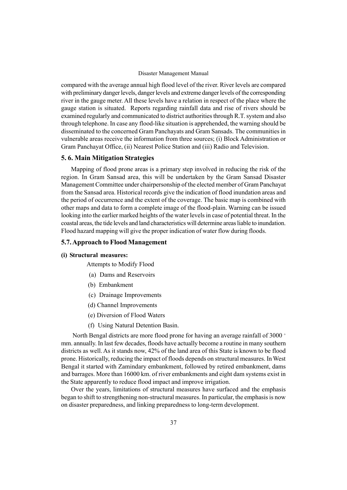compared with the average annual high flood level of the river. River levels are compared with preliminary danger levels, danger levels and extreme danger levels of the corresponding river in the gauge meter. All these levels have a relation in respect of the place where the gauge station is situated. Reports regarding rainfall data and rise of rivers should be examined regularly and communicated to district authorities through R.T. system and also through telephone. In case any flood-like situation is apprehended, the warning should be disseminated to the concerned Gram Panchayats and Gram Sansads. The communities in vulnerable areas receive the information from three sources; (i) Block Administration or Gram Panchayat Office, (ii) Nearest Police Station and (iii) Radio and Television.

### 5. 6. Main Mitigation Strategies

Mapping of flood prone areas is a primary step involved in reducing the risk of the region. In Gram Sansad area, this will be undertaken by the Gram Sansad Disaster Management Committee under chairpersonship of the elected member of Gram Panchayat from the Sansad area. Historical records give the indication of flood inundation areas and the period of occurrence and the extent of the coverage. The basic map is combined with other maps and data to form a complete image of the flood-plain. Warning can be issued looking into the earlier marked heights of the water levels in case of potential threat. In the coastal areas, the tide levels and land characteristics will determine areas liable to inundation. Flood hazard mapping will give the proper indication of water flow during floods.

### 5.7. Approach to Flood Management

### (i) Structural measures:

Attempts to Modify Flood

- (a) Dams and Reservoirs
- (b) Embankment
- (c) Drainage Improvements
- (d) Channel Improvements
- (e) Diversion of Flood Waters
- (f) Using Natural Detention Basin.

North Bengal districts are more flood prone for having an average rainfall of 3000 + mm. annually. In last few decades, floods have actually become a routine in many southern districts as well. As it stands now, 42% of the land area of this State is known to be flood prone. Historically, reducing the impact of floods depends on structural measures. In West Bengal it started with Zamindary embankment, followed by retired embankment, dams and barrages. More than 16000 km. of river embankments and eight dam systems exist in the State apparently to reduce flood impact and improve irrigation.

Over the years, limitations of structural measures have surfaced and the emphasis began to shift to strengthening non-structural measures. In particular, the emphasis is now on disaster preparedness, and linking preparedness to long-term development.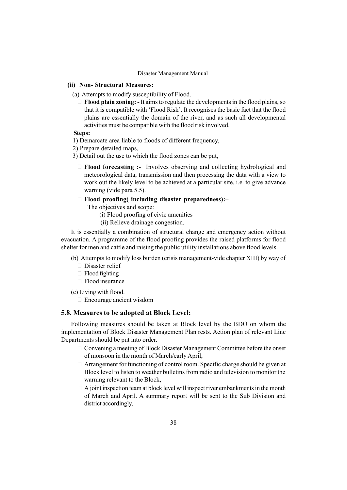## (ii) Non- Structural Measures:

(a) Attempts to modify susceptibility of Flood.

 Flood plain zoning: - It aims to regulate the developments in the flood plains, so that it is compatible with 'Flood Risk'. It recognises the basic fact that the flood plains are essentially the domain of the river, and as such all developmental activities must be compatible with the flood risk involved.

### Steps:

- 1) Demarcate area liable to floods of different frequency,
- 2) Prepare detailed maps,
- 3) Detail out the use to which the flood zones can be put,

 Flood forecasting :- Involves observing and collecting hydrological and meteorological data, transmission and then processing the data with a view to work out the likely level to be achieved at a particular site, i.e. to give advance warning (vide para 5.5).

## Flood proofing( including disaster preparedness): $-$

The objectives and scope:

- (i) Flood proofing of civic amenities
- (ii) Relieve drainage congestion.

It is essentially a combination of structural change and emergency action without evacuation. A programme of the flood proofing provides the raised platforms for flood shelter for men and cattle and raising the public utility installations above flood levels.

- (b) Attempts to modify loss burden (crisis management-vide chapter XIII) by way of Disaster relief Flood fighting Flood insurance
- (c) Living with flood.

Encourage ancient wisdom

### 5.8. Measures to be adopted at Block Level:

Following measures should be taken at Block level by the BDO on whom the implementation of Block Disaster Management Plan rests. Action plan of relevant Line Departments should be put into order.

> Convening a meeting of Block Disaster Management Committee before the onset of monsoon in the month of March/early April,

> Arrangement for functioning of control room. Specific charge should be given at Block level to listen to weather bulletins from radio and television to monitor the warning relevant to the Block,

> A joint inspection team at block level will inspect river embankments in the month of March and April. A summary report will be sent to the Sub Division and district accordingly,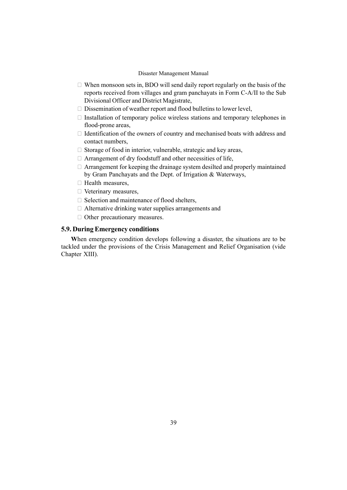When monsoon sets in, BDO will send daily report regularly on the basis of the reports received from villages and gram panchayats in Form C-A/II to the Sub Divisional Officer and District Magistrate,

Dissemination of weather report and flood bulletins to lower level,

 Installation of temporary police wireless stations and temporary telephones in flood-prone areas,

 Identification of the owners of country and mechanised boats with address and contact numbers,

Storage of food in interior, vulnerable, strategic and key areas,

Arrangement of dry foodstuff and other necessities of life,

 Arrangement for keeping the drainage system desilted and properly maintained by Gram Panchayats and the Dept. of Irrigation & Waterways,

Health measures,

Veterinary measures,

Selection and maintenance of flood shelters,

Alternative drinking water supplies arrangements and

Other precautionary measures.

# 5.9. During Emergency conditions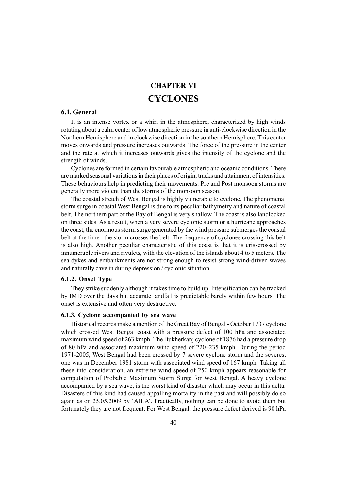# CHAPTER VI CYCLONES

# 6.1. General

It is an intense vortex or a whirl in the atmosphere, characterized by high winds rotating about a calm center of low atmospheric pressure in anti-clockwise direction in the Northern Hemisphere and in clockwise direction in the southern Hemisphere. This center moves onwards and pressure increases outwards. The force of the pressure in the center and the rate at which it increases outwards gives the intensity of the cyclone and the strength of winds.

Cyclones are formed in certain favourable atmospheric and oceanic conditions. There are marked seasonal variations in their places of origin, tracks and attainment of intensities. These behaviours help in predicting their movements. Pre and Post monsoon storms are generally more violent than the storms of the monsoon season.

The coastal stretch of West Bengal is highly vulnerable to cyclone. The phenomenal storm surge in coastal West Bengal is due to its peculiar bathymetry and nature of coastal belt. The northern part of the Bay of Bengal is very shallow. The coast is also landlocked on three sides. As a result, when a very severe cyclonic storm or a hurricane approaches the coast, the enormous storm surge generated by the wind pressure submerges the coastal belt at the time the storm crosses the belt. The frequency of cyclones crossing this belt is also high. Another peculiar characteristic of this coast is that it is crisscrossed by innumerable rivers and rivulets, with the elevation of the islands about 4 to 5 meters. The sea dykes and embankments are not strong enough to resist strong wind-driven waves and naturally cave in during depression / cyclonic situation.

# 6.1.2. Onset Type

They strike suddenly although it takes time to build up. Intensification can be tracked by IMD over the days but accurate landfall is predictable barely within few hours. The onset is extensive and often very destructive.

### 6.1.3. Cyclone accompanied by sea wave

Historical records make a mention of the Great Bay of Bengal - October 1737 cyclone which crossed West Bengal coast with a pressure defect of 100 hPa and associated maximum wind speed of 263 kmph. The Bukherkanj cyclone of 1876 had a pressure drop of 80 hPa and associated maximum wind speed of 220–235 kmph. During the period 1971-2005, West Bengal had been crossed by 7 severe cyclone storm and the severest one was in December 1981 storm with associated wind speed of 167 kmph. Taking all these into consideration, an extreme wind speed of 250 kmph appears reasonable for computation of Probable Maximum Storm Surge for West Bengal. A heavy cyclone accompanied by a sea wave, is the worst kind of disaster which may occur in this delta. Disasters of this kind had caused appalling mortality in the past and will possibly do so again as on 25.05.2009 by 'AILA'. Practically, nothing can be done to avoid them but fortunately they are not frequent. For West Bengal, the pressure defect derived is 90 hPa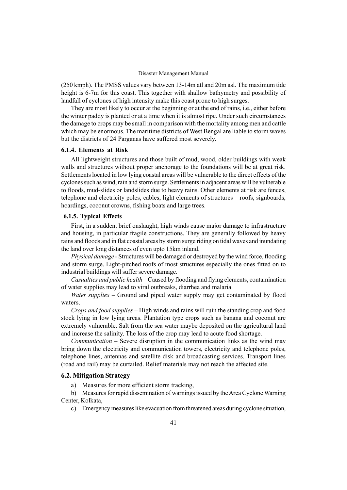(250 kmph). The PMSS values vary between 13-14m atl and 20m asl. The maximum tide height is 6-7m for this coast. This together with shallow bathymetry and possibility of landfall of cyclones of high intensity make this coast prone to high surges.

They are most likely to occur at the beginning or at the end of rains, i.e., either before the winter paddy is planted or at a time when it is almost ripe. Under such circumstances the damage to crops may be small in comparison with the mortality among men and cattle which may be enormous. The maritime districts of West Bengal are liable to storm waves but the districts of 24 Parganas have suffered most severely.

### 6.1.4. Elements at Risk

All lightweight structures and those built of mud, wood, older buildings with weak walls and structures without proper anchorage to the foundations will be at great risk. Settlements located in low lying coastal areas will be vulnerable to the direct effects of the cyclones such as wind, rain and storm surge. Settlements in adjacent areas will be vulnerable to floods, mud-slides or landslides due to heavy rains. Other elements at risk are fences, telephone and electricity poles, cables, light elements of structures - roofs, signboards, hoardings, coconut crowns, fishing boats and large trees.

### 6.1.5. Typical Effects

First, in a sudden, brief onslaught, high winds cause major damage to infrastructure and housing, in particular fragile constructions. They are generally followed by heavy rains and floods and in flat coastal areas by storm surge riding on tidal waves and inundating the land over long distances of even upto 15km inland.

Physical damage - Structures will be damaged or destroyed by the wind force, flooding and storm surge. Light-pitched roofs of most structures especially the ones fitted on to industrial buildings will suffer severe damage.

Casualties and public health – Caused by flooding and flying elements, contamination of water supplies may lead to viral outbreaks, diarrhea and malaria.

*Water supplies – Ground and piped water supply may get contaminated by flood* waters.

Crops and food supplies – High winds and rains will ruin the standing crop and food stock lying in low lying areas. Plantation type crops such as banana and coconut are extremely vulnerable. Salt from the sea water maybe deposited on the agricultural land and increase the salinity. The loss of the crop may lead to acute food shortage.

 $Communication - Server$  disruption in the communication links as the wind may bring down the electricity and communication towers, electricity and telephone poles, telephone lines, antennas and satellite disk and broadcasting services. Transport lines (road and rail) may be curtailed. Relief materials may not reach the affected site.

### 6.2. Mitigation Strategy

a) Measures for more efficient storm tracking,

b) Measures for rapid dissemination of warnings issued by the Area Cyclone Warning Center, Kolkata,

c) Emergency measures like evacuation from threatened areas during cyclone situation,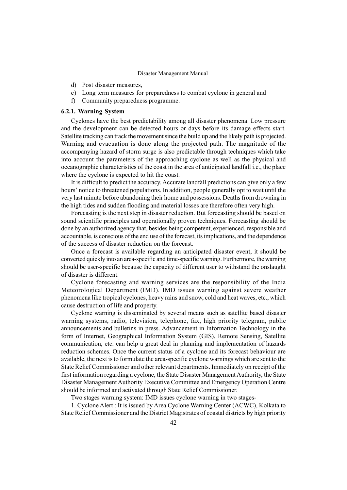- d) Post disaster measures,
- e) Long term measures for preparedness to combat cyclone in general and
- f) Community preparedness programme.

## 6.2.1. Warning System

Cyclones have the best predictability among all disaster phenomena. Low pressure and the development can be detected hours or days before its damage effects start. Satellite tracking can track the movement since the build up and the likely path is projected. Warning and evacuation is done along the projected path. The magnitude of the accompanying hazard of storm surge is also predictable through techniques which take into account the parameters of the approaching cyclone as well as the physical and oceanographic characteristics of the coast in the area of anticipated landfall i.e., the place where the cyclone is expected to hit the coast.

It is difficult to predict the accuracy. Accurate landfall predictions can give only a few hours' notice to threatened populations. In addition, people generally opt to wait until the very last minute before abandoning their home and possessions. Deaths from drowning in the high tides and sudden flooding and material losses are therefore often very high.

Forecasting is the next step in disaster reduction. But forecasting should be based on sound scientific principles and operationally proven techniques. Forecasting should be done by an authorized agency that, besides being competent, experienced, responsible and accountable, is conscious of the end use of the forecast, its implications, and the dependence of the success of disaster reduction on the forecast.

Once a forecast is available regarding an anticipated disaster event, it should be converted quickly into an area-specific and time-specific warning. Furthermore, the warning should be user-specific because the capacity of different user to withstand the onslaught of disaster is different.

Cyclone forecasting and warning services are the responsibility of the India Meteorological Department (IMD). IMD issues warning against severe weather phenomena like tropical cyclones, heavy rains and snow, cold and heat waves, etc., which cause destruction of life and property.

Cyclone warning is disseminated by several means such as satellite based disaster warning systems, radio, television, telephone, fax, high priority telegram, public announcements and bulletins in press. Advancement in Information Technology in the form of Internet, Geographical Information System (GIS), Remote Sensing, Satellite communication, etc. can help a great deal in planning and implementation of hazards reduction schemes. Once the current status of a cyclone and its forecast behaviour are available, the next is to formulate the area-specific cyclone warnings which are sent to the State Relief Commissioner and other relevant departments. Immediately on receipt of the first information regarding a cyclone, the State Disaster Management Authority, the State Disaster Management Authority Executive Committee and Emergency Operation Centre should be informed and activated through State Relief Commissioner.

Two stages warning system: IMD issues cyclone warning in two stages-

1. Cyclone Alert : It is issued by Area Cyclone Warning Center (ACWC), Kolkata to State Relief Commissioner and the District Magistrates of coastal districts by high priority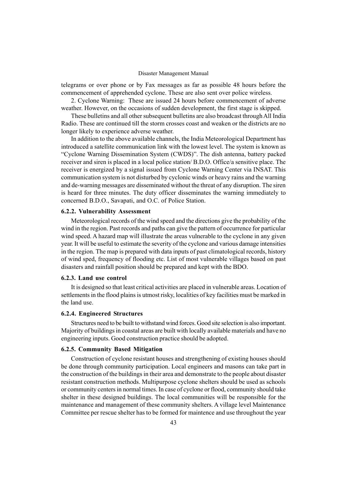telegrams or over phone or by Fax messages as far as possible 48 hours before the commencement of apprehended cyclone. These are also sent over police wireless.

2. Cyclone Warning: These are issued 24 hours before commencement of adverse weather. However, on the occasions of sudden development, the first stage is skipped.

These bulletins and all other subsequent bulletins are also broadcast through All India Radio. These are continued till the storm crosses coast and weaken or the districts are no longer likely to experience adverse weather.

In addition to the above available channels, the India Meteorological Department has introduced a satellite communication link with the lowest level. The system is known as "Cyclone Warning Dissemination System (CWDS)". The dish antenna, battery packed receiver and siren is placed in a local police station/ B.D.O. Office/a sensitive place. The receiver is energized by a signal issued from Cyclone Warning Center via INSAT. This communication system is not disturbed by cyclonic winds or heavy rains and the warning and de-warning messages are disseminated without the threat of any disruption. The siren is heard for three minutes. The duty officer disseminates the warning immediately to concerned B.D.O., Savapati, and O.C. of Police Station.

### 6.2.2. Vulnerability Assessment

Meteorological records of the wind speed and the directions give the probability of the wind in the region. Past records and paths can give the pattern of occurrence for particular wind speed. A hazard map will illustrate the areas vulnerable to the cyclone in any given year. It will be useful to estimate the severity of the cyclone and various damage intensities in the region. The map is prepared with data inputs of past climatological records, history of wind sped, frequency of flooding etc. List of most vulnerable villages based on past disasters and rainfall position should be prepared and kept with the BDO.

### 6.2.3. Land use control

It is designed so that least critical activities are placed in vulnerable areas. Location of settlements in the flood plains is utmost risky, localities of key facilities must be marked in the land use.

### 6.2.4. Engineered Structures

Structures need to be built to withstand wind forces. Good site selection is also important. Majority of buildings in coastal areas are built with locally available materials and have no engineering inputs. Good construction practice should be adopted.

## 6.2.5. Community Based Mitigation

Construction of cyclone resistant houses and strengthening of existing houses should be done through community participation. Local engineers and masons can take part in the construction of the buildings in their area and demonstrate to the people about disaster resistant construction methods. Multipurpose cyclone shelters should be used as schools or community centers in normal times. In case of cyclone or flood, community should take shelter in these designed buildings. The local communities will be responsible for the maintenance and management of these community shelters. A village level Maintenance Committee per rescue shelter has to be formed for maintence and use throughout the year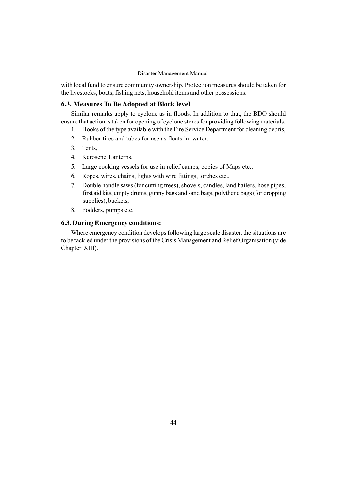with local fund to ensure community ownership. Protection measures should be taken for the livestocks, boats, fishing nets, household items and other possessions.

# 6.3. Measures To Be Adopted at Block level

Similar remarks apply to cyclone as in floods. In addition to that, the BDO should ensure that action is taken for opening of cyclone stores for providing following materials:

- 1. Hooks of the type available with the Fire Service Department for cleaning debris,
- 2. Rubber tires and tubes for use as floats in water,
- 3. Tents,
- 4. Kerosene Lanterns,
- 5. Large cooking vessels for use in relief camps, copies of Maps etc.,
- 6. Ropes, wires, chains, lights with wire fittings, torches etc.,
- 7. Double handle saws (for cutting trees), shovels, candles, land hailers, hose pipes, first aid kits, empty drums, gunny bags and sand bags, polythene bags (for dropping supplies), buckets,
- 8. Fodders, pumps etc.

# 6.3. During Emergency conditions: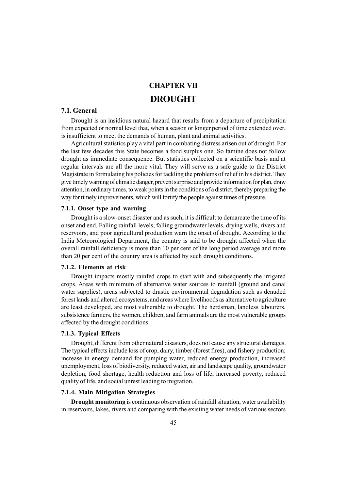# CHAPTER VII **DROUGHT**

## 7.1. General

Drought is an insidious natural hazard that results from a departure of precipitation from expected or normal level that, when a season or longer period of time extended over, is insufficient to meet the demands of human, plant and animal activities.

Agricultural statistics play a vital part in combating distress arisen out of drought. For the last few decades this State becomes a food surplus one. So famine does not follow drought as immediate consequence. But statistics collected on a scientific basis and at regular intervals are all the more vital. They will serve as a safe guide to the District Magistrate in formulating his policies for tackling the problems of relief in his district.They give timely warning of climatic danger, prevent surprise and provide information for plan, draw attention, in ordinary times, to weak points in the conditions of a district, thereby preparing the way for timely improvements, which will fortify the people against times of pressure.

### 7.1.1. Onset type and warning

Drought is a slow-onset disaster and as such, it is difficult to demarcate the time of its onset and end. Falling rainfall levels, falling groundwater levels, drying wells, rivers and reservoirs, and poor agricultural production warn the onset of drought. According to the India Meteorological Department, the country is said to be drought affected when the overall rainfall deficiency is more than 10 per cent of the long period average and more than 20 per cent of the country area is affected by such drought conditions.

## 7.1.2. Elements at risk

Drought impacts mostly rainfed crops to start with and subsequently the irrigated crops. Areas with minimum of alternative water sources to rainfall (ground and canal water supplies), areas subjected to drastic environmental degradation such as denuded forest lands and altered ecosystems, and areas where livelihoods as alternative to agriculture are least developed, are most vulnerable to drought. The herdsman, landless labourers, subsistence farmers, the women, children, and farm animals are the most vulnerable groups affected by the drought conditions.

### 7.1.3. Typical Effects

Drought, different from other natural disasters, does not cause any structural damages. The typical effects include loss of crop, dairy, timber (forest fires), and fishery production; increase in energy demand for pumping water, reduced energy production, increased unemployment, loss of biodiversity, reduced water, air and landscape quality, groundwater depletion, food shortage, health reduction and loss of life, increased poverty, reduced quality of life, and social unrest leading to migration.

## 7.1.4. Main Mitigation Strategies

Drought monitoring is continuous observation of rainfall situation, water availability in reservoirs, lakes, rivers and comparing with the existing water needs of various sectors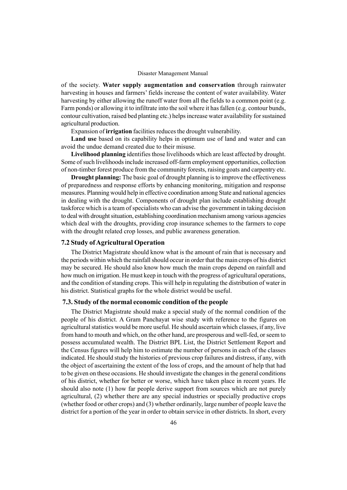of the society. Water supply augmentation and conservation through rainwater harvesting in houses and farmers' fields increase the content of water availability. Water harvesting by either allowing the runoff water from all the fields to a common point (e.g. Farm ponds) or allowing it to infiltrate into the soil where it has fallen (e.g. contour bunds, contour cultivation, raised bed planting etc.) helps increase water availability for sustained agricultural production.

Expansion of irrigation facilities reduces the drought vulnerability.

Land use based on its capability helps in optimum use of land and water and can avoid the undue demand created due to their misuse.

Livelihood planning identifies those livelihoods which are least affected by drought. Some of such livelihoods include increased off-farm employment opportunities, collection of non-timber forest produce from the community forests, raising goats and carpentry etc.

Drought planning: The basic goal of drought planning is to improve the effectiveness of preparedness and response efforts by enhancing monitoring, mitigation and response measures. Planning would help in effective coordination among State and national agencies in dealing with the drought. Components of drought plan include establishing drought taskforce which is a team of specialists who can advise the government in taking decision to deal with drought situation, establishing coordination mechanism among various agencies which deal with the droughts, providing crop insurance schemes to the farmers to cope with the drought related crop losses, and public awareness generation.

## 7.2 Study of Agricultural Operation

The District Magistrate should know what is the amount of rain that is necessary and the periods within which the rainfall should occur in order that the main crops of his district may be secured. He should also know how much the main crops depend on rainfall and how much on irrigation. He must keep in touch with the progress of agricultural operations, and the condition of standing crops. This will help in regulating the distribution of water in his district. Statistical graphs for the whole district would be useful.

### 7.3. Study of the normal economic condition of the people

The District Magistrate should make a special study of the normal condition of the people of his district. A Gram Panchayat wise study with reference to the figures on agricultural statistics would be more useful. He should ascertain which classes, if any, live from hand to mouth and which, on the other hand, are prosperous and well-fed, or seem to possess accumulated wealth. The District BPL List, the District Settlement Report and the Census figures will help him to estimate the number of persons in each of the classes indicated. He should study the histories of previous crop failures and distress, if any, with the object of ascertaining the extent of the loss of crops, and the amount of help that had to be given on these occasions. He should investigate the changes in the general conditions of his district, whether for better or worse, which have taken place in recent years. He should also note (1) how far people derive support from sources which are not purely agricultural, (2) whether there are any special industries or specially productive crops (whether food or other crops) and (3) whether ordinarily, large number of people leave the district for a portion of the year in order to obtain service in other districts. In short, every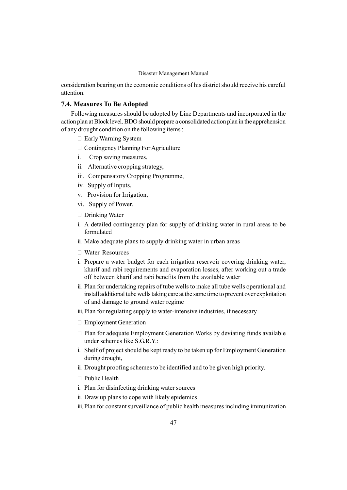consideration bearing on the economic conditions of his district should receive his careful attention.

## 7.4. Measures To Be Adopted

Following measures should be adopted by Line Departments and incorporated in the action plan at Block level. BDO should prepare a consolidated action plan in the apprehension of any drought condition on the following items :

Early Warning System

Contingency Planning For Agriculture

- i. Crop saving measures,
- ii. Alternative cropping strategy,
- iii. Compensatory Cropping Programme,
- iv. Supply of Inputs,
- v. Provision for Irrigation,
- vi. Supply of Power.

Drinking Water

- i. A detailed contingency plan for supply of drinking water in rural areas to be formulated
- ii. Make adequate plans to supply drinking water in urban areas

Water Resources

- i. Prepare a water budget for each irrigation reservoir covering drinking water, kharif and rabi requirements and evaporation losses, after working out a trade off between kharif and rabi benefits from the available water
- ii. Plan for undertaking repairs of tube wells to make all tube wells operational and install additional tube wells taking care at the same time to prevent over exploitation of and damage to ground water regime
- iii. Plan for regulating supply to water-intensive industries, if necessary

Employment Generation

 Plan for adequate Employment Generation Works by deviating funds available under schemes like S.G.R.Y.:

- i. Shelf of project should be kept ready to be taken up for Employment Generation during drought,
- ii. Drought proofing schemes to be identified and to be given high priority.

Public Health

- i. Plan for disinfecting drinking water sources
- ii. Draw up plans to cope with likely epidemics
- iii. Plan for constant surveillance of public health measures including immunization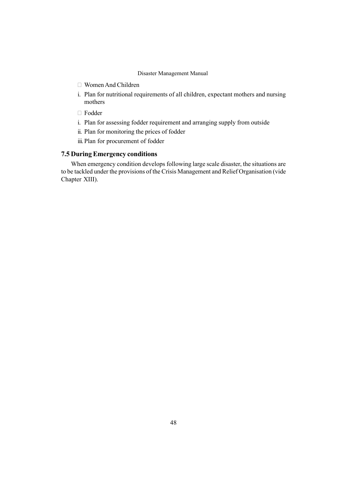Women And Children

i. Plan for nutritional requirements of all children, expectant mothers and nursing mothers

Fodder

- i. Plan for assessing fodder requirement and arranging supply from outside
- ii. Plan for monitoring the prices of fodder
- iii. Plan for procurement of fodder

# 7.5 During Emergency conditions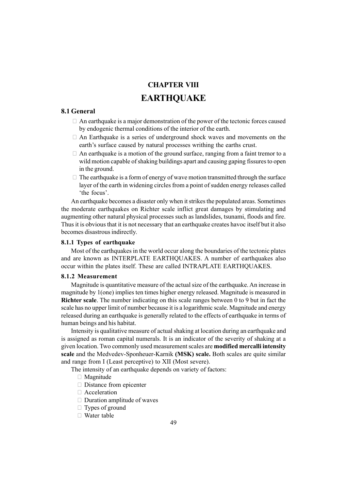# CHAPTER VIII **EARTHOUAKE**

# 8.1 General

 An earthquake is a major demonstration of the power of the tectonic forces caused by endogenic thermal conditions of the interior of the earth.

 An Earthquake is a series of underground shock waves and movements on the earth's surface caused by natural processes writhing the earths crust.

An earthquake is a motion of the ground surface, ranging from a faint tremor to a wild motion capable of shaking buildings apart and causing gaping fissures to open in the ground.

 The earthquake is a form of energy of wave motion transmitted through the surface layer of the earth in widening circles from a point of sudden energy releases called 'the focus'.

An earthquake becomes a disaster only when it strikes the populated areas. Sometimes the moderate earthquakes on Richter scale inflict great damages by stimulating and augmenting other natural physical processes such as landslides, tsunami, floods and fire. Thus it is obvious that it is not necessary that an earthquake creates havoc itself but it also becomes disastrous indirectly.

## 8.1.1 Types of earthquake

Most of the earthquakes in the world occur along the boundaries of the tectonic plates and are known as INTERPLATE EARTHQUAKES. A number of earthquakes also occur within the plates itself. These are called INTRAPLATE EARTHQUAKES.

## 8.1.2 Measurement

Magnitude is quantitative measure of the actual size of the earthquake. An increase in magnitude by 1(one) implies ten times higher energy released. Magnitude is measured in Richter scale. The number indicating on this scale ranges between 0 to 9 but in fact the scale has no upper limit of number because it is a logarithmic scale. Magnitude and energy released during an earthquake is generally related to the effects of earthquake in terms of human beings and his habitat.

Intensity is qualitative measure of actual shaking at location during an earthquake and is assigned as roman capital numerals. It is an indicator of the severity of shaking at a given location. Two commonly used measurement scales are modified mercalli intensity scale and the Medvedev-Sponheuer-Karnik (MSK) scale. Both scales are quite similar and range from I (Least perceptive) to XII (Most severe).

The intensity of an earthquake depends on variety of factors:

 Magnitude Distance from epicenter Acceleration Duration amplitude of waves Types of ground Water table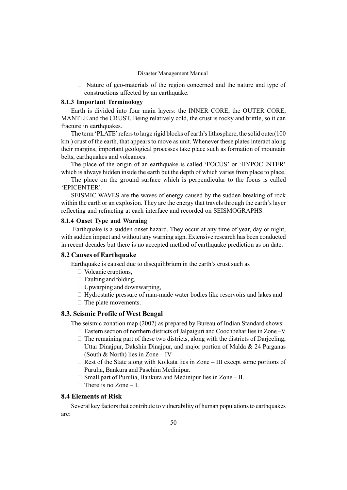Nature of geo-materials of the region concerned and the nature and type of constructions affected by an earthquake.

## 8.1.3 Important Terminology

Earth is divided into four main layers: the INNER CORE, the OUTER CORE, MANTLE and the CRUST. Being relatively cold, the crust is rocky and brittle, so it can fracture in earthquakes.

The term 'PLATE' refers to large rigid blocks of earth's lithosphere, the solid outer(100 km.) crust of the earth, that appears to move as unit. Whenever these plates interact along their margins, important geological processes take place such as formation of mountain belts, earthquakes and volcanoes.

The place of the origin of an earthquake is called 'FOCUS' or 'HYPOCENTER' which is always hidden inside the earth but the depth of which varies from place to place.

The place on the ground surface which is perpendicular to the focus is called 'EPICENTER'.

SEISMIC WAVES are the waves of energy caused by the sudden breaking of rock within the earth or an explosion. They are the energy that travels through the earth's layer reflecting and refracting at each interface and recorded on SEISMOGRAPHS.

### 8.1.4 Onset Type and Warning

Earthquake is a sudden onset hazard. They occur at any time of year, day or night, with sudden impact and without any warning sign. Extensive research has been conducted in recent decades but there is no accepted method of earthquake prediction as on date.

## 8.2 Causes of Earthquake

Earthquake is caused due to disequilibrium in the earth's crust such as

Volcanic eruptions,

Faulting and folding,

Upwarping and downwarping,

 Hydrostatic pressure of man-made water bodies like reservoirs and lakes and The plate movements.

## 8.3. Seismic Profile of West Bengal

The seismic zonation map (2002) as prepared by Bureau of Indian Standard shows: Eastern section of northern districts of Jalpaiguri and Coochbehar lies in Zone  $-V$  The remaining part of these two districts, along with the districts of Darjeeling, Uttar Dinajpur, Dakshin Dinajpur, and major portion of Malda & 24 Parganas (South & North) lies in Zone  $-$  IV

Rest of the State along with Kolkata lies in Zone – III except some portions of Purulia, Bankura and Paschim Medinipur.

Small part of Purulia, Bankura and Medinipur lies in Zone - II. There is no Zone  $- I$ .

## 8.4 Elements at Risk

Several key factors that contribute to vulnerability of human populations to earthquakes are: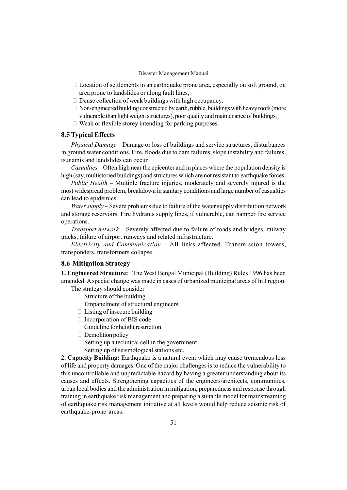Location of settlements in an earthquake prone area, especially on soft ground, on area prone to landslides or along fault lines,

Dense collection of weak buildings with high occupancy,

 Non-engineered building constructed by earth, rubble, buildings with heavy roofs (more vulnerable than light weight structures), poor quality and maintenance of buildings, Weak or flexible storey intending for parking purposes.

## 8.5 Typical Effects

Physical Damage – Damage or loss of buildings and service structures, disturbances in ground water conditions. Fire, floods due to dam failures, slope instability and failures, tsunamis and landslides can occur.

Casualties – Often high near the epicenter and in places where the population density is high (say, multistoried buildings) and structures which are not resistant to earthquake forces.

Public Health  $-$  Multiple fracture injuries, moderately and severely injured is the most widespread problem, breakdown in sanitary conditions and large number of casualties can lead to epidemics.

*Water supply* – Severe problems due to failure of the water supply distribution network and storage reservoirs. Fire hydrants supply lines, if vulnerable, can hamper fire service operations.

Transport network  $-$  Severely affected due to failure of roads and bridges, railway tracks, failure of airport runways and related infrastructure.

Electricity and Communication  $-$  All links affected. Transmission towers, transponders, transformers collapse.

# 8.6 Mitigation Strategy

1. Engineered Structure: The West Bengal Municipal (Building) Rules 1996 has been amended. A special change was made in cases of urbanized municipal areas of hill region.

The strategy should consider

 Structure of the building Empanelment of structural engineers Listing of insecure building Incorporation of BIS code Guideline for height restriction Demolition policy Setting up a technical cell in the government Setting up of seismological stations etc.

2. Capacity Building: Earthquake is a natural event which may cause tremendous loss of life and property damages. One of the major challenges is to reduce the vulnerability to this uncontrollable and unpredictable hazard by having a greater understanding about its causes and effects. Strengthening capacities of the engineers/architects, communities, urban local bodies and the administration in mitigation, preparedness and response through training in earthquake risk management and preparing a suitable model for mainstreaming of earthquake risk management initiative at all levels would help reduce seismic risk of earthquake-prone areas.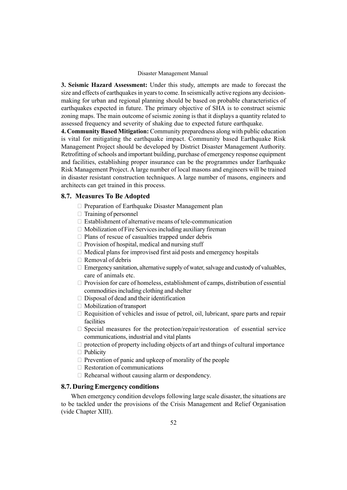3. Seismic Hazard Assessment: Under this study, attempts are made to forecast the size and effects of earthquakes in years to come. In seismically active regions any decisionmaking for urban and regional planning should be based on probable characteristics of earthquakes expected in future. The primary objective of SHA is to construct seismic zoning maps. The main outcome of seismic zoning is that it displays a quantity related to assessed frequency and severity of shaking due to expected future earthquake.

4. Community Based Mitigation: Community preparedness along with public education is vital for mitigating the earthquake impact. Community based Earthquake Risk Management Project should be developed by District Disaster Management Authority. Retrofitting of schools and important building, purchase of emergency response equipment and facilities, establishing proper insurance can be the programmes under Earthquake Risk Management Project. A large number of local masons and engineers will be trained in disaster resistant construction techniques. A large number of masons, engineers and architects can get trained in this process.

### 8.7. Measures To Be Adopted

 Preparation of Earthquake Disaster Management plan Training of personnel Establishment of alternative means of tele-communication Mobilization of Fire Services including auxiliary fireman Plans of rescue of casualties trapped under debris Provision of hospital, medical and nursing stuff Medical plans for improvised first aid posts and emergency hospitals Removal of debris Emergency sanitation, alternative supply of water, salvage and custody of valuables, care of animals etc. Provision for care of homeless, establishment of camps, distribution of essential commodities including clothing and shelter Disposal of dead and their identification Mobilization of transport Requisition of vehicles and issue of petrol, oil, lubricant, spare parts and repair facilities Special measures for the protection/repair/restoration of essential service communications, industrial and vital plants protection of property including objects of art and things of cultural importance Publicity Prevention of panic and upkeep of morality of the people Restoration of communications Rehearsal without causing alarm or despondency.

# 8.7. During Emergency conditions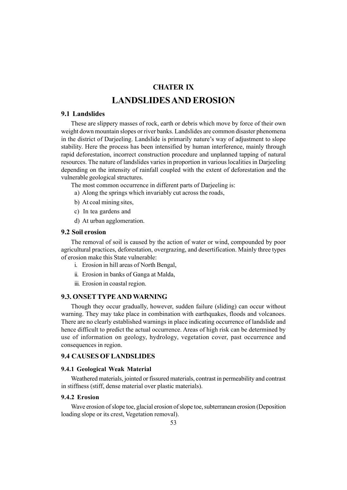# CHATER IX

# LANDSLIDESAND EROSION

## 9.1 Landslides

These are slippery masses of rock, earth or debris which move by force of their own weight down mountain slopes or river banks. Landslides are common disaster phenomena in the district of Darjeeling. Landslide is primarily nature's way of adjustment to slope stability. Here the process has been intensified by human interference, mainly through rapid deforestation, incorrect construction procedure and unplanned tapping of natural resources. The nature of landslides varies in proportion in various localities in Darjeeling depending on the intensity of rainfall coupled with the extent of deforestation and the vulnerable geological structures.

The most common occurrence in different parts of Darjeeling is:

- a) Along the springs which invariably cut across the roads,
- b) At coal mining sites,
- c) In tea gardens and
- d) At urban agglomeration.

## 9.2 Soil erosion

The removal of soil is caused by the action of water or wind, compounded by poor agricultural practices, deforestation, overgrazing, and desertification. Mainly three types of erosion make this State vulnerable:

- i. Erosion in hill areas of North Bengal,
- ii. Erosion in banks of Ganga at Malda,
- iii. Erosion in coastal region.

## 9.3. ONSET TYPE AND WARNING

Though they occur gradually, however, sudden failure (sliding) can occur without warning. They may take place in combination with earthquakes, floods and volcanoes. There are no clearly established warnings in place indicating occurrence of landslide and hence difficult to predict the actual occurrence. Areas of high risk can be determined by use of information on geology, hydrology, vegetation cover, past occurrence and consequences in region.

## 9.4 CAUSES OF LANDSLIDES

### 9.4.1 Geological Weak Material

Weathered materials, jointed or fissured materials, contrast in permeability and contrast in stiffness (stiff, dense material over plastic materials).

### 9.4.2 Erosion

Wave erosion of slope toe, glacial erosion of slope toe, subterranean erosion (Deposition loading slope or its crest, Vegetation removal).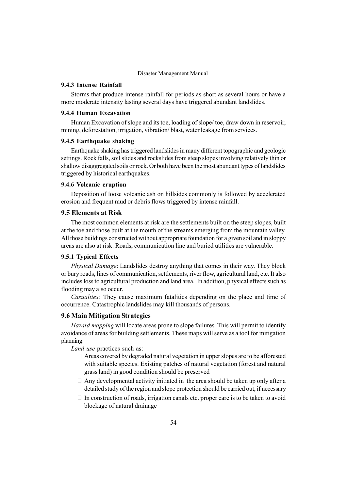## 9.4.3 Intense Rainfall

Storms that produce intense rainfall for periods as short as several hours or have a more moderate intensity lasting several days have triggered abundant landslides.

## 9.4.4 Human Excavation

Human Excavation of slope and its toe, loading of slope/ toe, draw down in reservoir, mining, deforestation, irrigation, vibration/ blast, water leakage from services.

### 9.4.5 Earthquake shaking

Earthquake shaking has triggered landslides in many different topographic and geologic settings. Rock falls, soil slides and rockslides from steep slopes involving relatively thin or shallow disaggregated soils or rock. Or both have been the most abundant types of landslides triggered by historical earthquakes.

### 9.4.6 Volcanic eruption

Deposition of loose volcanic ash on hillsides commonly is followed by accelerated erosion and frequent mud or debris flows triggered by intense rainfall.

## 9.5 Elements at Risk

The most common elements at risk are the settlements built on the steep slopes, built at the toe and those built at the mouth of the streams emerging from the mountain valley. All those buildings constructed without appropriate foundation for a given soil and in sloppy areas are also at risk. Roads, communication line and buried utilities are vulnerable.

## 9.5.1 Typical Effects

Physical Damage: Landslides destroy anything that comes in their way. They block or bury roads, lines of communication, settlements, river flow, agricultural land, etc. It also includes loss to agricultural production and land area. In addition, physical effects such as flooding may also occur.

Casualties: They cause maximum fatalities depending on the place and time of occurrence. Catastrophic landslides may kill thousands of persons.

### 9.6 Main Mitigation Strategies

Hazard mapping will locate areas prone to slope failures. This will permit to identify avoidance of areas for building settlements. These maps will serve as a tool for mitigation planning.

Land use practices such as:

 Areas covered by degraded natural vegetation in upper slopes are to be afforested with suitable species. Existing patches of natural vegetation (forest and natural grass land) in good condition should be preserved

 Any developmental activity initiated in the area should be taken up only after a detailed study of the region and slope protection should be carried out, if necessary In construction of roads, irrigation canals etc. proper care is to be taken to avoid blockage of natural drainage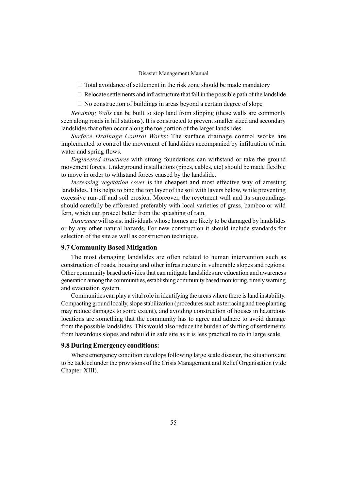Total avoidance of settlement in the risk zone should be made mandatory

Relocate settlements and infrastructure that fall in the possible path of the landslide

No construction of buildings in areas beyond a certain degree of slope

Retaining Walls can be built to stop land from slipping (these walls are commonly seen along roads in hill stations). It is constructed to prevent smaller sized and secondary landslides that often occur along the toe portion of the larger landslides.

Surface Drainage Control Works: The surface drainage control works are implemented to control the movement of landslides accompanied by infiltration of rain water and spring flows.

Engineered structures with strong foundations can withstand or take the ground movement forces. Underground installations (pipes, cables, etc) should be made flexible to move in order to withstand forces caused by the landslide.

Increasing vegetation cover is the cheapest and most effective way of arresting landslides. This helps to bind the top layer of the soil with layers below, while preventing excessive run-off and soil erosion. Moreover, the revetment wall and its surroundings should carefully be afforested preferably with local varieties of grass, bamboo or wild fern, which can protect better from the splashing of rain.

Insurance will assist individuals whose homes are likely to be damaged by landslides or by any other natural hazards. For new construction it should include standards for selection of the site as well as construction technique.

## 9.7 Community Based Mitigation

The most damaging landslides are often related to human intervention such as construction of roads, housing and other infrastructure in vulnerable slopes and regions. Other community based activities that can mitigate landslides are education and awareness generation amongthe communities, establishing community based monitoring,timely warning and evacuation system.

Communities can play a vital role in identifying the areas where there is land instability. Compacting ground locally, slope stabilization (procedures such as terracing and tree planting may reduce damages to some extent), and avoiding construction of houses in hazardous locations are something that the community has to agree and adhere to avoid damage from the possible landslides. This would also reduce the burden of shifting of settlements from hazardous slopes and rebuild in safe site as it is less practical to do in large scale.

## 9.8 During Emergency conditions: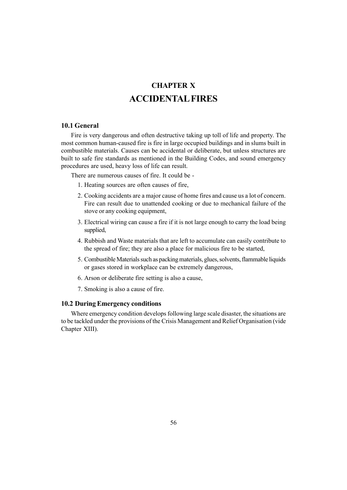# CHAPTER X ACCIDENTALFIRES

## 10.1 General

Fire is very dangerous and often destructive taking up toll of life and property. The most common human-caused fire is fire in large occupied buildings and in slums built in combustible materials. Causes can be accidental or deliberate, but unless structures are built to safe fire standards as mentioned in the Building Codes, and sound emergency procedures are used, heavy loss of life can result.

There are numerous causes of fire. It could be -

- 1. Heating sources are often causes of fire,
- 2. Cooking accidents are a major cause of home fires and cause us a lot of concern. Fire can result due to unattended cooking or due to mechanical failure of the stove or any cooking equipment,
- 3. Electrical wiring can cause a fire if it is not large enough to carry the load being supplied,
- 4. Rubbish and Waste materials that are left to accumulate can easily contribute to the spread of fire; they are also a place for malicious fire to be started,
- 5. CombustibleMaterials such as packing materials, glues, solvents, flammable liquids or gases stored in workplace can be extremely dangerous,
- 6. Arson or deliberate fire setting is also a cause,
- 7. Smoking is also a cause of fire.

### 10.2 During Emergency conditions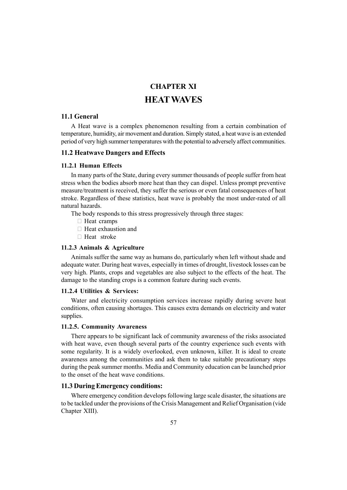# CHAPTER XI HEATWAVES

## 11.1 General

A Heat wave is a complex phenomenon resulting from a certain combination of temperature, humidity, air movement and duration. Simply stated, a heat wave is an extended period of very high summer temperatures with the potential to adversely affect communities.

### 11.2 Heatwave Dangers and Effects

### 11.2.1 Human Effects

In many parts of the State, during every summer thousands of people suffer from heat stress when the bodies absorb more heat than they can dispel. Unless prompt preventive measure/treatment is received, they suffer the serious or even fatal consequences of heat stroke. Regardless of these statistics, heat wave is probably the most under-rated of all natural hazards.

The body responds to this stress progressively through three stages:

 Heat cramps Heat exhaustion and Heat stroke

### 11.2.3 Animals & Agriculture

Animals suffer the same way as humans do, particularly when left without shade and adequate water. During heat waves, especially in times of drought, livestock losses can be very high. Plants, crops and vegetables are also subject to the effects of the heat. The damage to the standing crops is a common feature during such events.

### 11.2.4 Utilities & Services:

Water and electricity consumption services increase rapidly during severe heat conditions, often causing shortages. This causes extra demands on electricity and water supplies.

## 11.2.5. Community Awareness

There appears to be significant lack of community awareness of the risks associated with heat wave, even though several parts of the country experience such events with some regularity. It is a widely overlooked, even unknown, killer. It is ideal to create awareness among the communities and ask them to take suitable precautionary steps during the peak summer months. Media and Community education can be launched prior to the onset of the heat wave conditions.

## 11.3 During Emergency conditions: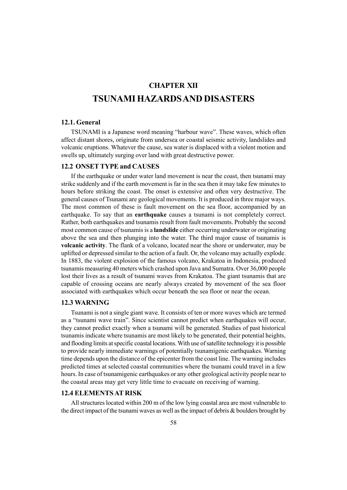# CHAPTER XII TSUNAMI HAZARDSAND DISASTERS

## 12.1. General

TSUNAMI is a Japanese word meaning "harbour wave". These waves, which often affect distant shores, originate from undersea or coastal seismic activity, landslides and volcanic eruptions. Whatever the cause, sea water is displaced with a violent motion and swells up, ultimately surging over land with great destructive power.

## 12.2 ONSET TYPE and CAUSES

If the earthquake or under water land movement is near the coast, then tsunami may strike suddenly and if the earth movement is far in the sea then it may take few minutes to hours before striking the coast. The onset is extensive and often very destructive. The general causes of Tsunami are geological movements. It is produced in three major ways. The most common of these is fault movement on the sea floor, accompanied by an earthquake. To say that an earthquake causes a tsunami is not completely correct. Rather, both earthquakes and tsunamis result from fault movements. Probably the second most common cause of tsunamis is a **landslide** either occurring underwater or originating above the sea and then plunging into the water. The third major cause of tsunamis is volcanic activity. The flank of a volcano, located near the shore or underwater, may be uplifted or depressed similar to the action of a fault. Or, the volcano may actually explode. In 1883, the violent explosion of the famous volcano, Krakatoa in Indonesia, produced tsunamis measuring 40 meters which crashed upon Java and Sumatra. Over 36,000 people lost their lives as a result of tsunami waves from Krakatoa. The giant tsunamis that are capable of crossing oceans are nearly always created by movement of the sea floor associated with earthquakes which occur beneath the sea floor or near the ocean.

## 12.3 WARNING

Tsunami is not a single giant wave. It consists of ten or more waves which are termed as a "tsunami wave train". Since scientist cannot predict when earthquakes will occur, they cannot predict exactly when a tsunami will be generated. Studies of past historical tsunamis indicate where tsunamis are most likely to be generated, their potential heights, and flooding limits at specific coastal locations.With use of satellite technology it is possible to provide nearly immediate warnings of potentially tsunamigenic earthquakes. Warning time depends upon the distance of the epicenter from the coast line. The warning includes predicted times at selected coastal communities where the tsunami could travel in a few hours. In case of tsunamigenic earthquakes or any other geological activity people near to the coastal areas may get very little time to evacuate on receiving of warning.

# 12.4 ELEMENTS AT RISK

All structures located within 200 m of the low lying coastal area are most vulnerable to the direct impact of the tsunami waves as well as the impact of debris & boulders brought by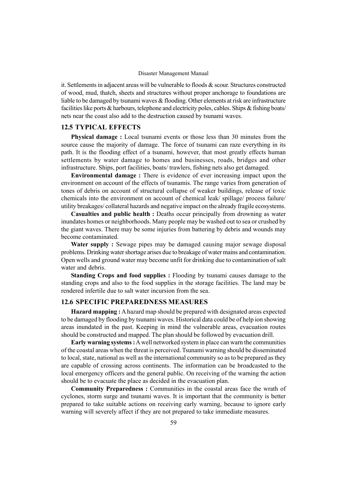it. Settlements in adjacent areas will be vulnerable to floods  $\&$  scour. Structures constructed of wood, mud, thatch, sheets and structures without proper anchorage to foundations are liable to be damaged by tsunami waves & flooding. Other elements at risk are infrastructure facilities like ports & harbours, telephone and electricity poles, cables. Ships & fishing boats/ nets near the coast also add to the destruction caused by tsunami waves.

## 12.5 TYPICAL EFFECTS

Physical damage : Local tsunami events or those less than 30 minutes from the source cause the majority of damage. The force of tsunami can raze everything in its path. It is the flooding effect of a tsunami, however, that most greatly effects human settlements by water damage to homes and businesses, roads, bridges and other infrastructure. Ships, port facilities, boats/ trawlers, fishing nets also get damaged.

Environmental damage : There is evidence of ever increasing impact upon the environment on account of the effects of tsunamis. The range varies from generation of tones of debris on account of structural collapse of weaker buildings, release of toxic chemicals into the environment on account of chemical leak/ spillage/ process failure/ utility breakages/ collateral hazards and negative impact on the already fragile ecosystems.

Casualties and public health : Deaths occur principally from drowning as water inundates homes or neighborhoods. Many people may be washed out to sea or crushed by the giant waves. There may be some injuries from battering by debris and wounds may become contaminated.

Water supply : Sewage pipes may be damaged causing major sewage disposal problems. Drinking water shortage arises due to breakage of water mains and contamination. Open wells and ground water may become unfit for drinking due to contamination of salt water and debris.

Standing Crops and food supplies : Flooding by tsunami causes damage to the standing crops and also to the food supplies in the storage facilities. The land may be rendered infertile due to salt water incursion from the sea.

## 12.6 SPECIFIC PREPAREDNESS MEASURES

Hazard mapping : A hazard map should be prepared with designated areas expected to be damaged by flooding by tsunami waves. Historical data could be of help ion showing areas inundated in the past. Keeping in mind the vulnerable areas, evacuation routes should be constructed and mapped. The plan should be followed by evacuation drill.

Early warning systems : A well networked system in place can warn the communities of the coastal areas when the threat is perceived. Tsunami warning should be disseminated to local, state, national as well as the international community so as to be prepared as they are capable of crossing across continents. The information can be broadcasted to the local emergency officers and the general public. On receiving of the warning the action should be to evacuate the place as decided in the evacuation plan.

Community Preparedness : Communities in the coastal areas face the wrath of cyclones, storm surge and tsunami waves. It is important that the community is better prepared to take suitable actions on receiving early warning, because to ignore early warning will severely affect if they are not prepared to take immediate measures.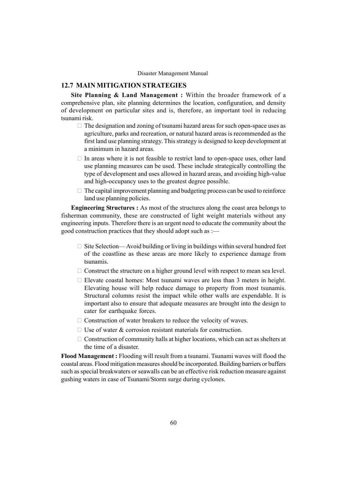## 12.7 MAIN MITIGATION STRATEGIES

Site Planning & Land Management : Within the broader framework of a comprehensive plan, site planning determines the location, configuration, and density of development on particular sites and is, therefore, an important tool in reducing tsunami risk.

> The designation and zoning of tsunami hazard areas for such open-space uses as agriculture, parks and recreation, or natural hazard areas is recommended as the first land use planning strategy. This strategy is designed to keep development at a minimum in hazard areas.

> In areas where it is not feasible to restrict land to open-space uses, other land use planning measures can be used. These include strategically controlling the type of development and uses allowed in hazard areas, and avoiding high-value and high-occupancy uses to the greatest degree possible.

> The capital improvement planning and budgeting process can be used to reinforce land use planning policies.

Engineering Structures : As most of the structures along the coast area belongs to fisherman community, these are constructed of light weight materials without any engineering inputs. Therefore there is an urgent need to educate the community about the good construction practices that they should adopt such as  $:=$ 

> Site Selection—Avoid building or living in buildings within several hundred feet of the coastline as these areas are more likely to experience damage from tsunamis.

> Construct the structure on a higher ground level with respect to mean sea level.

 Elevate coastal homes: Most tsunami waves are less than 3 meters in height. Elevating house will help reduce damage to property from most tsunamis. Structural columns resist the impact while other walls are expendable. It is important also to ensure that adequate measures are brought into the design to cater for earthquake forces.

Construction of water breakers to reduce the velocity of waves.

Use of water  $&$  corrosion resistant materials for construction.

 Construction of community halls at higher locations, which can act as shelters at the time of a disaster.

Flood Management : Flooding will result from a tsunami. Tsunami waves will flood the coastal areas. Flood mitigation measures should be incorporated. Building barriers or buffers such as special breakwaters or seawalls can be an effective risk reduction measure against gushing waters in case of Tsunami/Storm surge during cyclones.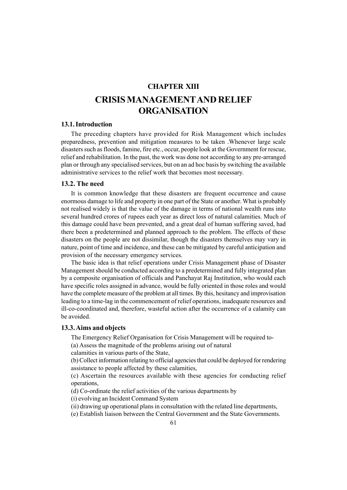# CHAPTER XIII CRISISMANAGEMENTAND RELIEF **ORGANISATION**

# 13.1. Introduction

The preceding chapters have provided for Risk Management which includes preparedness, prevention and mitigation measures to be taken .Whenever large scale disasters such as floods, famine, fire etc., occur, people look at the Government for rescue, relief and rehabilitation. In the past, the work was done not according to any pre-arranged plan or through any specialised services, but on an ad hoc basis by switching the available administrative services to the relief work that becomes most necessary.

### 13.2. The need

It is common knowledge that these disasters are frequent occurrence and cause enormous damage to life and property in one part of the State or another. What is probably not realised widely is that the value of the damage in terms of national wealth runs into several hundred crores of rupees each year as direct loss of natural calamities. Much of this damage could have been prevented, and a great deal of human suffering saved, had there been a predetermined and planned approach to the problem. The effects of these disasters on the people are not dissimilar, though the disasters themselves may vary in nature, point of time and incidence, and these can be mitigated by careful anticipation and provision of the necessary emergency services.

The basic idea is that relief operations under Crisis Management phase of Disaster Management should be conducted according to a predetermined and fully integrated plan by a composite organisation of officials and Panchayat Raj Institution, who would each have specific roles assigned in advance, would be fully oriented in those roles and would have the complete measure of the problem at all times. By this, hesitancy and improvisation leading to a time-lag in the commencement of relief operations, inadequate resources and ill-co-coordinated and, therefore, wasteful action after the occurrence of a calamity can be avoided.

## 13.3. Aims and objects

The Emergency Relief Organisation for Crisis Management will be required to- (a) Assess the magnitude of the problems arising out of natural

calamities in various parts of the State,

(b) Collect information relating to official agencies that could be deployed for rendering assistance to people affected by these calamities,

(c) Ascertain the resources available with these agencies for conducting relief operations,

(d) Co-ordinate the relief activities of the various departments by

(i) evolving an Incident Command System

(ii) drawing up operational plans in consultation with the related line departments,

(e) Establish liaison between the Central Government and the State Governments.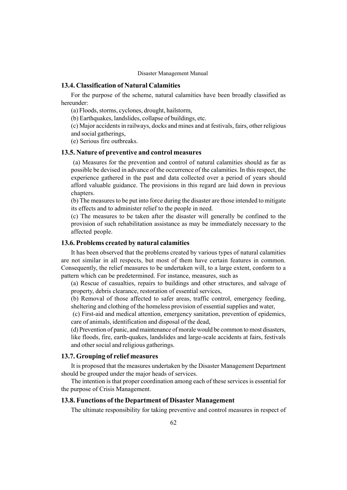## 13.4. Classification of Natural Calamities

For the purpose of the scheme, natural calamities have been broadly classified as hereunder:

(a) Floods, storms, cyclones, drought, hailstorm,

(b) Earthquakes, landslides, collapse of buildings, etc.

(c) Major accidents in railways, docks and mines and at festivals, fairs, other religious and social gatherings,

(e) Serious fire outbreaks.

### 13.5. Nature of preventive and control measures

(a) Measures for the prevention and control of natural calamities should as far as possible be devised in advance of the occurrence of the calamities. In this respect, the experience gathered in the past and data collected over a period of years should afford valuable guidance. The provisions in this regard are laid down in previous chapters.

(b) The measures to be put into force during the disaster are those intended to mitigate its effects and to administer relief to the people in need.

(c) The measures to be taken after the disaster will generally be confined to the provision of such rehabilitation assistance as may be immediately necessary to the affected people.

# 13.6. Problems created by natural calamities

It has been observed that the problems created by various types of natural calamities are not similar in all respects, but most of them have certain features in common. Consequently, the relief measures to be undertaken will, to a large extent, conform to a pattern which can be predetermined. For instance, measures, such as

(a) Rescue of casualties, repairs to buildings and other structures, and salvage of property, debris clearance, restoration of essential services,

(b) Removal of those affected to safer areas, traffic control, emergency feeding, sheltering and clothing of the homeless provision of essential supplies and water,

(c) First-aid and medical attention, emergency sanitation, prevention of epidemics, care of animals, identification and disposal of the dead,

(d) Prevention of panic, and maintenance of morale would be common to most disasters, like floods, fire, earth-quakes, landslides and large-scale accidents at fairs, festivals and other social and religious gatherings.

## 13.7. Grouping of relief measures

It is proposed that the measures undertaken by the Disaster Management Department should be grouped under the major heads of services.

The intention is that proper coordination among each of these services is essential for the purpose of Crisis Management.

# 13.8. Functions of the Department of Disaster Management

The ultimate responsibility for taking preventive and control measures in respect of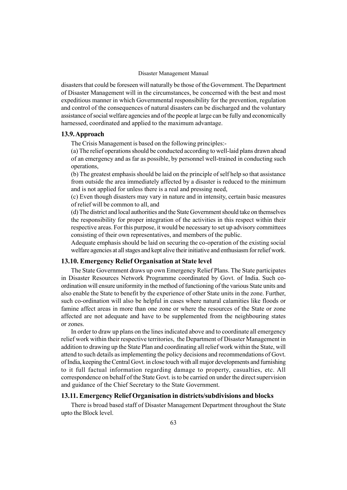disasters that could be foreseen will naturally be those of the Government. The Department of Disaster Management will in the circumstances, be concerned with the best and most expeditious manner in which Governmental responsibility for the prevention, regulation and control of the consequences of natural disasters can be discharged and the voluntary assistance of social welfare agencies and of the people at large can be fully and economically harnessed, coordinated and applied to the maximum advantage.

## 13.9.Approach

The Crisis Management is based on the following principles:-

(a) The relief operations should be conducted according to well-laid plans drawn ahead of an emergency and as far as possible, by personnel well-trained in conducting such operations,

(b) The greatest emphasis should be laid on the principle of self help so that assistance from outside the area immediately affected by a disaster is reduced to the minimum and is not applied for unless there is a real and pressing need,

(c) Even though disasters may vary in nature and in intensity, certain basic measures of relief will be common to all, and

(d) The district and local authorities and the State Government should take on themselves the responsibility for proper integration of the activities in this respect within their respective areas. For this purpose, it would be necessary to set up advisory committees consisting of their own representatives, and members of the public.

Adequate emphasis should be laid on securing the co-operation of the existing social welfare agencies at all stages and kept alive their initiative and enthusiasm for relief work.

## 13.10. Emergency Relief Organisation at State level

The State Government draws up own Emergency Relief Plans. The State participates in Disaster Resources Network Programme coordinated by Govt. of India. Such coordination will ensure uniformity in the method of functioning of the various State units and also enable the State to benefit by the experience of other State units in the zone. Further, such co-ordination will also be helpful in cases where natural calamities like floods or famine affect areas in more than one zone or where the resources of the State or zone affected are not adequate and have to be supplemented from the neighbouring states or zones.

In order to draw up plans on the lines indicated above and to coordinate all emergency relief work within their respective territories, the Department of Disaster Management in addition to drawing up the State Plan and coordinating all relief work within the State, will attend to such details as implementing the policy decisions and recommendations of Govt. of India, keeping the Central Govt. in close touch with all major developments and furnishing to it full factual information regarding damage to property, casualties, etc. All correspondence on behalf of the State Govt. is to be carried on under the direct supervision and guidance of the Chief Secretary to the State Government.

## 13.11. Emergency Relief Organisation in districts/subdivisions and blocks

There is broad based staff of Disaster Management Department throughout the State upto the Block level.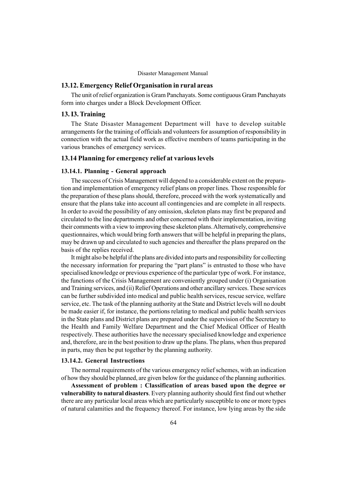## 13.12. Emergency Relief Organisation in rural areas

The unit of relief organization is Gram Panchayats. Some contiguous Gram Panchayats form into charges under a Block Development Officer.

## 13. I3. Training

The State Disaster Management Department will have to develop suitable arrangements for the training of officials and volunteers for assumption of responsibility in connection with the actual field work as effective members of teams participating in the various branches of emergency services.

## 13.14 Planning for emergency relief at various levels

#### 13.14.1. Planning - General approach

The success of Crisis Management will depend to a considerable extent on the preparation and implementation of emergency relief plans on proper lines. Those responsible for the preparation of these plans should, therefore, proceed with the work systematically and ensure that the plans take into account all contingencies and are complete in all respects. In order to avoid the possibility of any omission, skeleton plans may first be prepared and circulated to the line departments and other concerned with their implementation, inviting their comments with a view to improving these skeleton plans.Alternatively, comprehensive questionnaires, which would bring forth answers that will be helpful in preparing the plans, may be drawn up and circulated to such agencies and thereafter the plans prepared on the basis of the replies received.

It might also be helpful if the plans are divided into parts and responsibility for collecting the necessary information for preparing the "part plans" is entrusted to those who have specialised knowledge or previous experience of the particular type of work. For instance, the functions of the Crisis Management are conveniently grouped under (i) Organisation and Training services, and (ii) Relief Operations and other ancillary services. These services can be further subdivided into medical and public health services, rescue service, welfare service, etc. The task of the planning authority at the State and District levels will no doubt be made easier if, for instance, the portions relating to medical and public health services in the State plans and District plans are prepared under the supervision of the Secretary to the Health and Family Welfare Department and the Chief Medical Officer of Health respectively. These authorities have the necessary specialised knowledge and experience and, therefore, are in the best position to draw up the plans. The plans, when thus prepared in parts, may then be put together by the planning authority.

### 13.14.2. General Instructions

The normal requirements of the various emergency relief schemes, with an indication of how they should be planned, are given below for the guidance of the planning authorities.

Assessment of problem : Classification of areas based upon the degree or vulnerability to natural disasters. Every planning authority should first find out whether there are any particular local areas which are particularly susceptible to one or more types of natural calamities and the frequency thereof. For instance, low lying areas by the side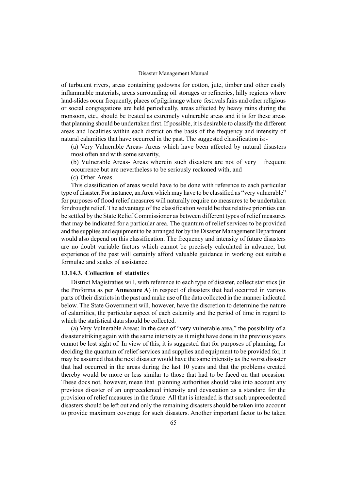of turbulent rivers, areas containing godowns for cotton, jute, timber and other easily inflammable materials, areas surrounding oil storages or refineries, hilly regions where land-slides occur frequently, places of pilgrimage where festivals fairs and other religious or social congregations are held periodically, areas affected by heavy rains during the monsoon, etc., should be treated as extremely vulnerable areas and it is for these areas that planning should be undertaken first. If possible, it is desirable to classify the different areas and localities within each district on the basis of the frequency and intensity of natural calamities that have occurred in the past. The suggested classification is:-

(a) Very Vulnerable Areas- Areas which have been affected by natural disasters most often and with some severity,

(b) Vulnerable Areas- Areas wherein such disasters are not of very frequent occurrence but are nevertheless to be seriously reckoned with, and

(c) Other Areas.

This classification of areas would have to be done with reference to each particular type of disaster. For instance, an Area which may have to be classified as "very vulnerable" for purposes of flood relief measures will naturally require no measures to be undertaken for drought relief. The advantage of the classification would be that relative priorities can be settled by the State Relief Commissioner as between different types of relief measures that may be indicated for a particular area. The quantum of relief services to be provided and the supplies and equipment to be arranged for by the Disaster Management Department would also depend on this classification. The frequency and intensity of future disasters are no doubt variable factors which cannot be precisely calculated in advance, but experience of the past will certainly afford valuable guidance in working out suitable formulae and scales of assistance.

## 13.14.3. Collection of statistics

District Magistraties will, with reference to each type of disaster, collect statistics (in the Proforma as per Annexure A) in respect of disasters that had occurred in various parts of their districts in the past and make use of the data collected in the manner indicated below. The State Government will, however, have the discretion to determine the nature of calamities, the particular aspect of each calamity and the period of time in regard to which the statistical data should be collected.

(a) Very Vulnerable Areas: In the case of "very vulnerable area," the possibility of a disaster striking again with the same intensity as it might have done in the previous years cannot be lost sight of. In view of this, it is suggested that for purposes of planning, for deciding the quantum of relief services and supplies and equipment to be provided for, it may be assumed that the next disaster would have the same intensity as the worst disaster that had occurred in the areas during the last 10 years and that the problems created thereby would be more or less similar to those that had to be faced on that occasion. These docs not, however, mean that planning authorities should take into account any previous disaster of an unprecedented intensity and devastation as a standard for the provision of relief measures in the future. All that is intended is that such unprecedented disasters should be left out and only the remaining disasters should be taken into account to provide maximum coverage for such disasters. Another important factor to be taken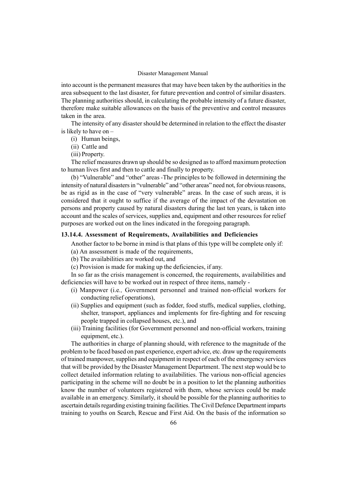into account is the permanent measures that may have been taken by the authorities in the area subsequent to the last disaster, for future prevention and control of similar disasters. The planning authorities should, in calculating the probable intensity of a future disaster, therefore make suitable allowances on the basis of the preventive and control measures taken in the area.

The intensity of any disaster should be determined in relation to the effect the disaster is likely to have on  $-$ 

- (i) Human beings,
- (ii) Cattle and
- (iii) Property.

The relief measures drawn up should be so designed as to afford maximum protection to human lives first and then to cattle and finally to property.

(b) "Vulnerable" and "other" areas -The principles to be followed in determining the intensity of natural disasters in "vulnerable" and "other areas" need not, for obvious reasons, be as rigid as in the case of "very vulnerable" areas. In the case of such areas, it is considered that it ought to suffice if the average of the impact of the devastation on persons and property caused by natural disasters during the last ten years, is taken into account and the scales of services, supplies and, equipment and other resources for relief purposes are worked out on the lines indicated in the foregoing paragraph.

## 13.14.4. Assessment of Requirements, Availabilities and Deficiencies

Another factor to be borne in mind is that plans of this type will be complete only if:

- (a) An assessment is made of the requirements,
- (b) The availabilities are worked out, and
- (c) Provision is made for making up the deficiencies, if any.

In so far as the crisis management is concerned, the requirements, availabilities and deficiencies will have to be worked out in respect of three items, namely -

- (i) Manpower (i.e., Government personnel and trained non-official workers for conducting relief operations),
- (ii) Supplies and equipment (such as fodder, food stuffs, medical supplies, clothing, shelter, transport, appliances and implements for fire-fighting and for rescuing people trapped in collapsed houses, etc.), and
- (iii) Training facilities (for Government personnel and non-official workers, training equipment, etc.).

The authorities in charge of planning should, with reference to the magnitude of the problem to be faced based on past experience, expert advice, etc. draw up the requirements of trained manpower, supplies and equipment in respect of each of the emergency services that will be provided by the Disaster Management Department. The next step would be to collect detailed information relating to availabilities. The various non-official agencies participating in the scheme will no doubt be in a position to let the planning authorities know the number of volunteers registered with them, whose services could be made available in an emergency. Similarly, it should be possible for the planning authorities to ascertain details regarding existing training facilities. The Civil Defence Department imparts training to youths on Search, Rescue and First Aid. On the basis of the information so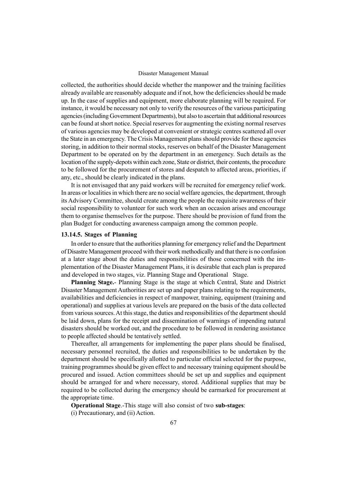collected, the authorities should decide whether the manpower and the training facilities already available are reasonably adequate and if not, how the deficiencies should be made up. In the case of supplies and equipment, more elaborate planning will be required. For instance, it would be necessary not only to verify the resources of the various participating agencies (including Government Departments), but also to ascertain that additional resources can be found at short notice. Special reserves for augmenting the existing normal reserves of various agencies may be developed at convenient or strategic centres scattered all over the State in an emergency. The Crisis Management plans should provide for these agencies storing, in addition to their normal stocks, reserves on behalf of the Disaster Management Department to be operated on by the department in an emergency. Such details as the location of the supply-depots within each zone, State or district, their contents, the procedure to be followed for the procurement of stores and despatch to affected areas, priorities, if any, etc., should be clearly indicated in the plans.

It is not envisaged that any paid workers will be recruited for emergency relief work. In areas or localities in which there are no social welfare agencies, the department, through its Advisory Committee, should create among the people the requisite awareness of their social responsibility to volunteer for such work when an occasion arises and encourage them to organise themselves for the purpose. There should be provision of fund from the plan Budget for conducting awareness campaign among the common people.

### 13.14.5. Stages of Planning

In order to ensure that the authorities planning for emergency relief and the Department of Disastre Management proceed with their work methodically and that there is no confusion at a later stage about the duties and responsibilities of those concerned with the implementation of the Disaster Management Plans, it is desirable that each plan is prepared and developed in two stages, viz. Planning Stage and Operational Stage.

Planning Stage.- Planning Stage is the stage at which Central, State and District Disaster Management Authorities are set up and paper plans relating to the requirements, availabilities and deficiencies in respect of manpower, training, equipment (training and operational) and supplies at various levels are prepared on the basis of the data collected from various sources. At this stage, the duties and responsibilities of the department should be laid down, plans for the receipt and dissemination of warnings of impending natural disasters should be worked out, and the procedure to be followed in rendering assistance to people affected should be tentatively settled.

Thereafter, all arrangements for implementing the paper plans should be finalised, necessary personnel recruited, the duties and responsibilities to be undertaken by the department should be specifically allotted to particular official selected for the purpose, training programmes should be given effect to and necessary training equipment should be procured and issued. Action committees should be set up and supplies and equipment should be arranged for and where necessary, stored. Additional supplies that may be required to be collected during the emergency should be earmarked for procurement at the appropriate time.

Operational Stage.-This stage will also consist of two sub-stages:

(i) Precautionary, and (ii) Action.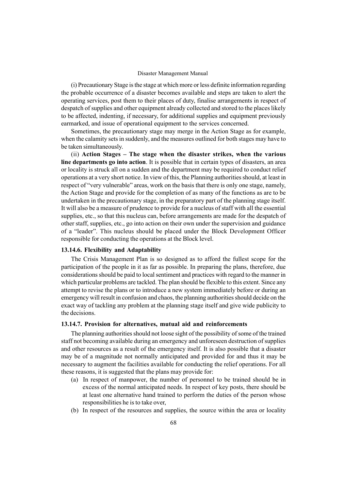(i) Precautionary Stage is the stage at which more or less definite information regarding the probable occurrence of a disaster becomes available and steps are taken to alert the operating services, post them to their places of duty, finalise arrangements in respect of despatch of supplies and other equipment already collected and stored to the places likely to be affected, indenting, if necessary, for additional supplies and equipment previously earmarked, and issue of operational equipment to the services concerned.

Sometimes, the precautionary stage may merge in the Action Stage as for example, when the calamity sets in suddenly, and the measures outlined for both stages may have to be taken simultaneously.

(ii) Action Stages  $-$  The stage when the disaster strikes, when the various line departments go into action. It is possible that in certain types of disasters, an area or locality is struck all on a sudden and the department may be required to conduct relief operations at a very short notice. In view of this, the Planning authorities should, at least in respect of "very vulnerable" areas, work on the basis that there is only one stage, namely, the Action Stage and provide for the completion of as many of the functions as are to be undertaken in the precautionary stage, in the preparatory part of the planning stage itself. It will also be a measure of prudence to provide for a nucleus of staff with all the essential supplies, etc., so that this nucleus can, before arrangements are made for the despatch of other staff, supplies, etc., go into action on their own under the supervision and guidance of a "leader". This nucleus should be placed under the Block Development Officer responsible for conducting the operations at the Block level.

### 13.14.6. Flexibility and Adaptability

The Crisis Management Plan is so designed as to afford the fullest scope for the participation of the people in it as far as possible. In preparing the plans, therefore, due considerations should be paid to local sentiment and practices with regard to the manner in which particular problems are tackled. The plan should be flexible to this extent. Since any attempt to revise the plans or to introduce a new system immediately before or during an emergency will result in confusion and chaos, the planning authorities should decide on the exact way of tackling any problem at the planning stage itself and give wide publicity to the decisions.

### 13.14.7. Provision for alternatives, mutual aid and reinforcements

The planning authorities should not loose sight of the possibility of some of the trained staff not becoming available during an emergency and unforeseen destruction of supplies and other resources as a result of the emergency itself. It is also possible that a disaster may be of a magnitude not normally anticipated and provided for and thus it may be necessary to augment the facilities available for conducting the relief operations. For all these reasons, it is suggested that the plans may provide for:

- (a) In respect of manpower, the number of personnel to be trained should be in excess of the normal anticipated needs. In respect of key posts, there should be at least one alternative hand trained to perform the duties of the person whose responsibilities he is to take over,
- (b) In respect of the resources and supplies, the source within the area or locality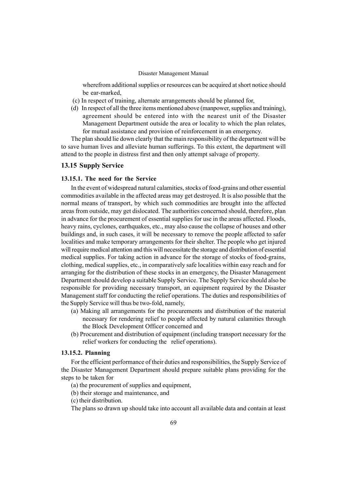wherefrom additional supplies or resources can be acquired at short notice should be ear-marked,

- (c) In respect of training, alternate arrangements should be planned for,
- (d) In respect of all the three items mentioned above (manpower, supplies and training), agreement should be entered into with the nearest unit of the Disaster Management Department outside the area or locality to which the plan relates, for mutual assistance and provision of reinforcement in an emergency.

The plan should lie down clearly that the main responsibility of the department will be to save human lives and alleviate human sufferings. To this extent, the department will attend to the people in distress first and then only attempt salvage of property.

### 13.15 Supply Service

## 13.15.1. The need for the Service

In the event of widespread natural calamities, stocks of food-grains and other essential commodities available in the affected areas may get destroyed. It is also possible that the normal means of transport, by which such commodities are brought into the affected areas from outside, may get dislocated. The authorities concerned should, therefore, plan in advance for the procurement of essential supplies for use in the areas affected. Floods, heavy rains, cyclones, earthquakes, etc., may also cause the collapse of houses and other buildings and, in such cases, it will be necessary to remove the people affected to safer localities and make temporary arrangements for their shelter. The people who get injured will require medical attention and this will necessitate the storage and distribution of essential medical supplies. For taking action in advance for the storage of stocks of food-grains, clothing, medical supplies, etc., in comparatively safe localities within easy reach and for arranging for the distribution of these stocks in an emergency, the Disaster Management Department should develop a suitable Supply Service. The Supply Service should also be responsible for providing necessary transport, an equipment required by the Disaster Management staff for conducting the relief operations. The duties and responsibilities of the Supply Service will thus be two-fold, namely,

- (a) Making all arrangements for the procurements and distribution of the material necessary for rendering relief to people affected by natural calamities through the Block Development Officer concerned and
- (b) Procurement and distribution of equipment (including transport necessary for the relief workers for conducting the relief operations).

## 13.15.2. Planning

For the efficient performance of their duties and responsibilities, the Supply Service of the Disaster Management Department should prepare suitable plans providing for the steps to be taken for

(a) the procurement of supplies and equipment,

(b) their storage and maintenance, and

(c) their distribution.

The plans so drawn up should take into account all available data and contain at least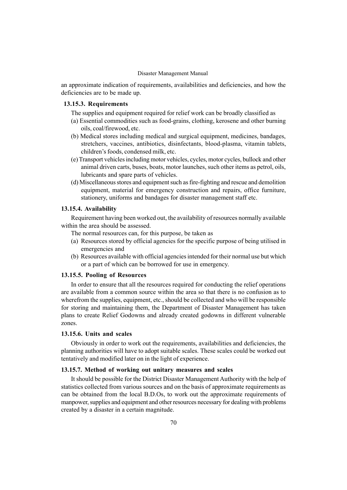an approximate indication of requirements, availabilities and deficiencies, and how the deficiencies are to be made up.

# 13.15.3. Requirements

The supplies and equipment required for relief work can be broadly classified as

- (a) Essential commodities such as food-grains, clothing, kerosene and other burning oils, coal/firewood, etc.
- (b) Medical stores including medical and surgical equipment, medicines, bandages, stretchers, vaccines, antibiotics, disinfectants, blood-plasma, vitamin tablets, children's foods, condensed milk, etc.
- (e) Transport vehicles including motor vehicles, cycles, motor cycles, bullock and other animal driven carts, buses, boats, motor launches, such other items as petrol, oils, lubricants and spare parts of vehicles.
- (d) Miscellaneous stores and equipment such as fire-fighting and rescue and demolition equipment, material for emergency construction and repairs, office furniture, stationery, uniforms and bandages for disaster management staff etc.

### 13.15.4. Availability

Requirement having been worked out, the availability of resources normally available within the area should be assessed.

- The normal resources can, for this purpose, be taken as
- (a) Resources stored by official agencies for the specific purpose of being utilised in emergencies and
- (b) Resources available with official agencies intended for their normal use but which or a part of which can be borrowed for use in emergency.

## 13.15.5. Pooling of Resources

In order to ensure that all the resources required for conducting the relief operations are available from a common source within the area so that there is no confusion as to wherefrom the supplies, equipment, etc., should be collected and who will be responsible for storing and maintaining them, the Department of Disaster Management has taken plans to create Relief Godowns and already created godowns in different vulnerable zones.

### 13.15.6. Units and scales

Obviously in order to work out the requirements, availabilities and deficiencies, the planning authorities will have to adopt suitable scales. These scales could be worked out tentatively and modified later on in the light of experience.

### 13.15.7. Method of working out unitary measures and scales

It should be possible for the District Disaster Management Authority with the help of statistics collected from various sources and on the basis of approximate requirements as can be obtained from the local B.D.Os, to work out the approximate requirements of manpower, supplies and equipment and other resources necessary for dealing with problems created by a disaster in a certain magnitude.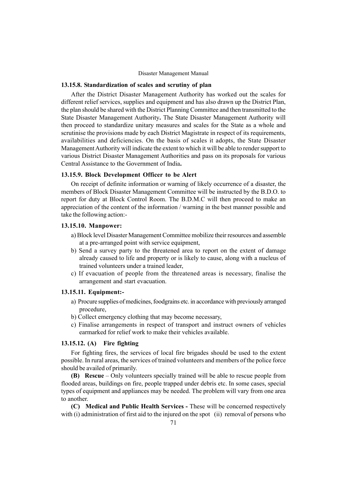## 13.15.8. Standardization of scales and scrutiny of plan

After the District Disaster Management Authority has worked out the scales for different relief services, supplies and equipment and has also drawn up the District Plan, the plan should be shared with the District Planning Committee and then transmitted to the State Disaster Management Authority. The State Disaster Management Authority will then proceed to standardize unitary measures and scales for the State as a whole and scrutinise the provisions made by each District Magistrate in respect of its requirements, availabilities and deficiencies. On the basis of scales it adopts, the State Disaster Management Authority will indicate the extent to which it will be able to render support to various District Disaster Management Authorities and pass on its proposals for various Central Assistance to the Government of India.

### 13.15.9. Block Development Officer to be Alert

On receipt of definite information or warning of likely occurrence of a disaster, the members of Block Disaster Management Committee will be instructed by the B.D.O. to report for duty at Block Control Room. The B.D.M.C will then proceed to make an appreciation of the content of the information / warning in the best manner possible and take the following action:-

## 13.15.10. Manpower:

- a) Block level Disaster Management Committee mobilize their resources and assemble at a pre-arranged point with service equipment,
- b) Send a survey party to the threatened area to report on the extent of damage already caused to life and property or is likely to cause, along with a nucleus of trained volunteers under a trained leader,
- c) If evacuation of people from the threatened areas is necessary, finalise the arrangement and start evacuation.

## 13.15.11. Equipment:-

- a) Procure supplies of medicines, foodgrains etc. in accordance with previously arranged procedure,
- b) Collect emergency clothing that may become necessary,
- c) Finalise arrangements in respect of transport and instruct owners of vehicles earmarked for relief work to make their vehicles available.

## 13.15.12. (A) Fire fighting

For fighting fires, the services of local fire brigades should be used to the extent possible. In rural areas, the services of trained volunteers and members of the police force should be availed of primarily.

(B) Rescue  $\sim$  Only volunteers specially trained will be able to rescue people from flooded areas, buildings on fire, people trapped under debris etc. In some cases, special types of equipment and appliances may be needed. The problem will vary from one area to another.

(C) Medical and Public Health Services - These will be concerned respectively with (i) administration of first aid to the injured on the spot (ii) removal of persons who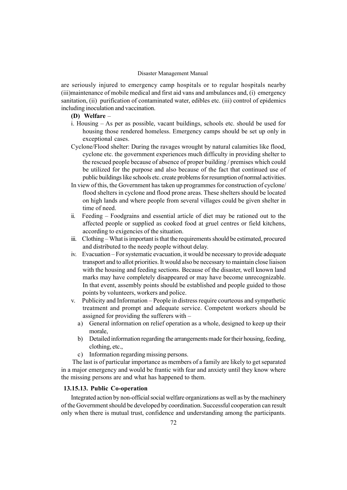are seriously injured to emergency camp hospitals or to regular hospitals nearby (iii)maintenance of mobile medical and first aid vans and ambulances and, (i) emergency sanitation, (ii) purification of contaminated water, edibles etc. (iii) control of epidemics including inoculation and vaccination.

# (D) Welfare  $-$

- i. Housing  $-$  As per as possible, vacant buildings, schools etc. should be used for housing those rendered homeless. Emergency camps should be set up only in exceptional cases.
- Cyclone/Flood shelter: During the ravages wrought by natural calamities like flood, cyclone etc. the government experiences much difficulty in providing shelter to the rescued people because of absence of proper building / premises which could be utilized for the purpose and also because of the fact that continued use of public buildings like schools etc. create problems for resumption of normal activities.
- In view of this, the Government has taken up programmes for construction of cyclone/ flood shelters in cyclone and flood prone areas. These shelters should be located on high lands and where people from several villages could be given shelter in time of need.
- ii. Feeding Foodgrains and essential article of diet may be rationed out to the affected people or supplied as cooked food at gruel centres or field kitchens, according to exigencies of the situation.
- iii. Clothing What is important is that the requirements should be estimated, procured and distributed to the needy people without delay.
- iv. Evacuation For systematic evacuation, it would be necessary to provide adequate transport and to allot priorities. It would also be necessary to maintain close liaison with the housing and feeding sections. Because of the disaster, well known land marks may have completely disappeared or may have become unrecognizable. In that event, assembly points should be established and people guided to those points by volunteers, workers and police.
- $v.$  Publicity and Information People in distress require courteous and sympathetic treatment and prompt and adequate service. Competent workers should be assigned for providing the sufferers with  $$ 
	- a) General information on relief operation as a whole, designed to keep up their morale,
	- b) Detailed information regarding the arrangements made for their housing, feeding, clothing, etc.,
	- c) Information regarding missing persons.

The last is of particular importance as members of a family are likely to get separated in a major emergency and would be frantic with fear and anxiety until they know where the missing persons are and what has happened to them.

## 13.15.13. Public Co-operation

Integrated action by non-official social welfare organizations as well as by the machinery of the Government should be developed by coordination. Successful cooperation can result only when there is mutual trust, confidence and understanding among the participants.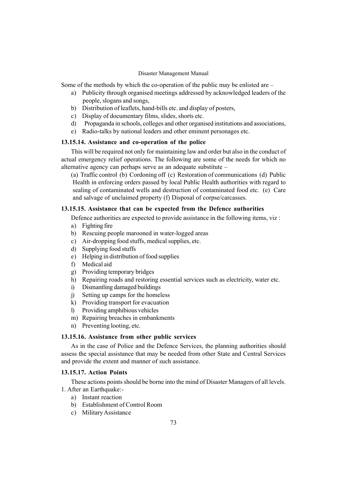Some of the methods by which the co-operation of the public may be enlisted are  $-$ 

- a) Publicity through organised meetings addressed by acknowledged leaders of the people, slogans and songs,
- b) Distribution of leaflets, hand-bills etc. and display of posters,
- c) Display of documentary films, slides, shorts etc.
- d) Propaganda in schools, colleges and other organised institutions and associations,
- e) Radio-talks by national leaders and other eminent personages etc.

### 13.15.14. Assistance and co-operation of the police

This will be required not only for maintaining law and order but also in the conduct of actual emergency relief operations. The following are some of the needs for which no alternative agency can perhaps serve as an adequate substitute  $-$ 

(a) Traffic control (b) Cordoning off (c) Restoration of communications (d) Public Health in enforcing orders passed by local Public Health authorities with regard to sealing of contaminated wells and destruction of contaminated food etc. (e) Care and salvage of unclaimed property (f) Disposal of corpse/carcasses.

#### 13.15.15. Assistance that can be expected from the Defence authorities

Defence authorities are expected to provide assistance in the following items, viz :

- a) Fighting fire
- b) Rescuing people marooned in water-logged areas
- c) Air-dropping food stuffs, medical supplies, etc.
- d) Supplying food stuffs
- e) Helping in distribution of food supplies
- f) Medical aid
- g) Providing temporary bridges
- h) Repairing roads and restoring essential services such as electricity, water etc.
- i) Dismantling damaged buildings
- j) Setting up camps for the homeless
- k) Providing transport for evacuation
- l) Providing amphibious vehicles
- m) Repairing breaches in embankments
- n) Preventing looting, etc.

### 13.15.16. Assistance from other public services

As in the case of Police and the Defence Services, the planning authorities should assess the special assistance that may be needed from other State and Central Services and provide the extent and manner of such assistance.

#### 13.15.17. Action Points

These actions points should be borne into the mind of Disaster Managers of all levels. 1. After an Earthquake:-

- a) Instant reaction
- b) Establishment of Control Room
- c) Military Assistance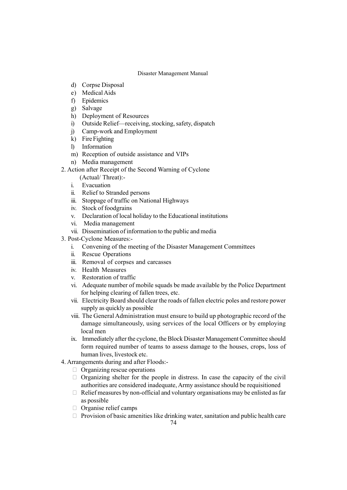- d) Corpse Disposal
- e) Medical Aids
- f) Epidemics
- g) Salvage
- h) Deployment of Resources
- i) Outside Relief—receiving, stocking, safety, dispatch
- j) Camp-work and Employment
- k) Fire Fighting
- l) Information
- m) Reception of outside assistance and VIPs
- n) Media management
- 2. Action after Receipt of the Second Warning of Cyclone
	- (Actual/ Threat):-
	- i. Evacuation
	- ii. Relief to Stranded persons
	- iii. Stoppage of traffic on National Highways
	- iv. Stock of foodgrains
	- v. Declaration of local holiday to the Educational institutions
	- vi. Media management
	- vii. Dissemination of information to the public and media
- 3. Post-Cyclone Measures:
	- i. Convening of the meeting of the Disaster Management Committees
	- ii. Rescue Operations
	- iii. Removal of corpses and carcasses
	- iv. Health Measures
	- v. Restoration of traffic
	- vi. Adequate number of mobile squads be made available by the Police Department for helping clearing of fallen trees, etc.
	- vii. Electricity Board should clear the roads of fallen electric poles and restore power supply as quickly as possible
	- viii. The General Administration must ensure to build up photographic record of the damage simultaneously, using services of the local Officers or by employing local men
	- ix. Immediately after the cyclone, the Block Disaster Management Committee should form required number of teams to assess damage to the houses, crops, loss of human lives, livestock etc.
- 4. Arrangements during and after Floods:-

Organizing rescue operations

 Organizing shelter for the people in distress. In case the capacity of the civil authorities are considered inadequate, Army assistance should be requisitioned Relief measures by non-official and voluntary organisations may be enlisted as far as possible

Organise relief camps

Provision of basic amenities like drinking water, sanitation and public health care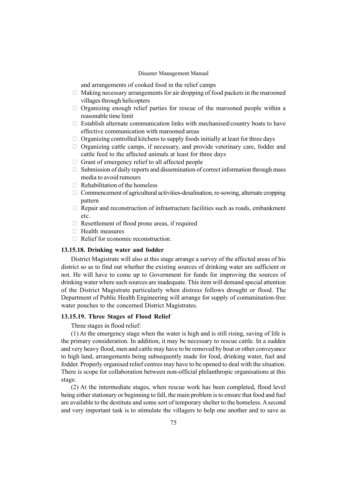and arrangements of cooked food in the relief camps

 Making necessary arrangements for air dropping of food packets in the marooned villages through helicopters

 Organizing enough relief parties for rescue of the marooned people within a reasonable time limit

 Establish alternate communication links with mechanised/country boats to have effective communication with marooned areas

Organizing controlled kitchens to supply foods initially at least for three days

 Organizing cattle camps, if necessary, and provide veterinary care, fodder and cattle feed to the affected animals at least for three days

Grant of emergency relief to all affected people

 Submission of daily reports and dissemination of correct information through mass media to avoid rumours

Rehabilitation of the homeless

 Commencement of agricultural activities-desalination, re-sowing, alternate cropping pattern

 Repair and reconstruction of infrastructure facilities such as roads, embankment etc.

Resettlement of flood prone areas, if required

Health measures

Relief for economic reconstruction.

#### 13.15.18. Drinking water and fodder

District Magistrate will also at this stage arrange a survey of the affected areas of his district so as to find out whether the existing sources of drinking water are sufficient or not. He will have to come up to Government for funds for improving the sources of drinking water where such sources are inadequate. This item will demand special attention of the District Magistrate particularly when distress follows drought or flood. The Department of Public Health Engineering will arrange for supply of contamination-free water pouches to the concerned District Magistrates.

#### 13.15.19. Three Stages of Flood Relief

Three stages in flood relief:

(1) At the emergency stage when the water is high and is still rising, saving of life is the primary consideration. In addition, it may be necessary to rescue cattle. In a sudden and very heavy flood, men and cattle may have to be removed by boat or other conveyance to high land, arrangements being subsequently made for food, drinking water, fuel and fodder. Properly organised relief centres may have to be opened to deal with the situation. There is scope for collaboration between non-official philanthropic organisations at this stage.

(2) At the intermediate stages, when rescue work has been completed, flood level being either stationary or beginning to fall, the main problem is to ensure that food and fuel are available to the destitute and some sort of temporary shelter to the homeless. A second and very important task is to stimulate the villagers to help one another and to save as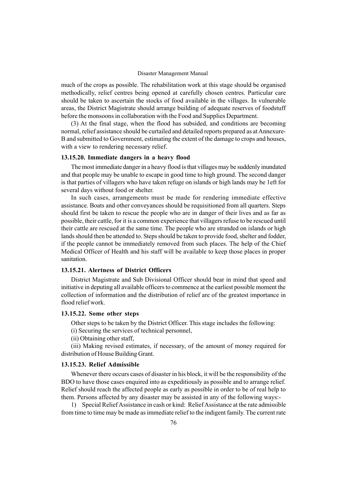much of the crops as possible. The rehabilitation work at this stage should be organised methodically, relief centres being opened at carefully chosen centres. Particular care should be taken to ascertain the stocks of food available in the villages. In vulnerable areas, the District Magistrate should arrange building of adequate reserves of foodstuff before the monsoons in collaboration with the Food and Supplies Department.

(3) At the final stage, when the flood has subsided, and conditions are becoming normal, relief assistance should be curtailed and detailed reports prepared as at Annexure-B and submitted to Government, estimating the extent of the damage to crops and houses, with a view to rendering necessary relief.

#### 13.15.20. Immediate dangers in a heavy flood

The most immediate danger in a heavy flood is that villages may be suddenly inundated and that people may be unable to escape in good time to high ground. The second danger is that parties of villagers who have taken refuge on islands or high lands may be 1eft for several days without food or shelter.

In such cases, arrangements must be made for rendering immediate effective assistance. Boats and other conveyances should be requisitioned from all quarters. Steps should first be taken to rescue the people who are in danger of their lives and as far as possible, their cattle, for it is a common experience that villagers refuse to be rescued until their cattle are rescued at the same time. The people who are stranded on islands or high lands should then be attended to. Steps should be taken to provide food, shelter and fodder, if the people cannot be immediately removed from such places. The help of the Chief Medical Officer of Health and his staff will be available to keep those places in proper sanitation.

### 13.15.21. Alertness of District Officers

District Magistrate and Sub Divisional Officer should bear in mind that speed and initiative in deputing all available officers to commence at the earliest possible moment the collection of information and the distribution of relief are of the greatest importance in flood relief work.

#### 13.15.22. Some other steps

Other steps to be taken by the District Officer. This stage includes the following:

(i) Securing the services of technical personnel,

(ii) Obtaining other staff,

(iii) Making revised estimates, if necessary, of the amount of money required for distribution of House Building Grant.

#### 13.15.23. Relief Admissible

Whenever there occurs cases of disaster in his block, it will be the responsibility of the BDO to have those cases enquired into as expeditiously as possible and to arrange relief. Relief should reach the affected people as early as possible in order to be of real help to them. Persons affected by any disaster may be assisted in any of the following ways:-

1) Special Relief Assistance in cash or kind: Relief Assistance at the rate admissible from time to time may be made as immediate relief to the indigent family. The current rate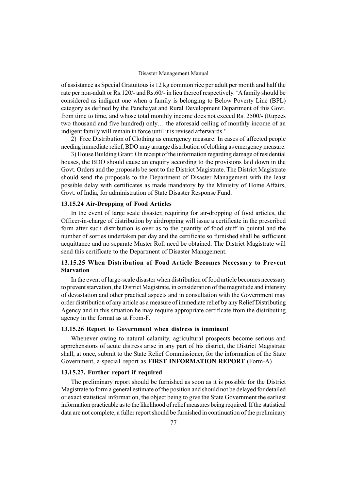of assistance as Special Gratuitous is 12 kg common rice per adult per month and half the rate per non-adult or Rs.120/- and Rs.60/- in lieu thereof respectively. 'A family should be considered as indigent one when a family is belonging to Below Poverty Line (BPL) category as defined by the Panchayat and Rural Development Department of this Govt. from time to time, and whose total monthly income does not exceed Rs. 2500/- (Rupees two thousand and five hundred) only... the aforesaid ceiling of monthly income of an indigent family will remain in force until it is revised afterwards.'

2) Free Distribution of Clothing as emergency measure: In cases of affected people needing immediate relief, BDO may arrange distribution of clothing as emergency measure.

3) House Building Grant: On receipt of the information regarding damage of residential houses, the BDO should cause an enquiry according to the provisions laid down in the Govt. Orders and the proposals be sent to the District Magistrate. The District Magistrate should send the proposals to the Department of Disaster Management with the least possible delay with certificates as made mandatory by the Ministry of Home Affairs, Govt. of India, for administration of State Disaster Response Fund.

#### 13.15.24 Air-Dropping of Food Articles

In the event of large scale disaster, requiring for air-dropping of food articles, the Officer-in-charge of distribution by airdropping will issue a certificate in the prescribed form after such distribution is over as to the quantity of food stuff in quintal and the number of sorties undertaken per day and the certificate so furnished shall be sufficient acquittance and no separate Muster Roll need be obtained. The District Magistrate will send this certificate to the Department of Disaster Management.

### 13.15.25 When Distribution of Food Article Becomes Necessary to Prevent **Starvation**

In the event of large-scale disaster when distribution of food article becomes necessary to prevent starvation, the District Magistrate, in consideration of the magnitude and intensity of devastation and other practical aspects and in consultation with the Government may order distribution of any article as a measure of immediate relief by any Relief Distributing Agency and in this situation he may require appropriate certificate from the distributing agency in the format as at From-F.

#### 13.15.26 Report to Government when distress is imminent

Whenever owing to natural calamity, agricultural prospects become serious and apprehensions of acute distress arise in any part of his district, the District Magistrate shall, at once, submit to the State Relief Commissioner, for the information of the State Government, a specia1 report as FIRST INFORMATION REPORT (Form-A)

#### 13.15.27. Further report if required

The preliminary report should be furnished as soon as it is possible for the District Magistrate to form a general estimate of the position and should not be delayed for detailed or exact statistical information, the object being to give the State Government the earliest information practicable as to the likelihood of relief measures being required. If the statistical data are not complete, a fuller report should be furnished in continuation of the preliminary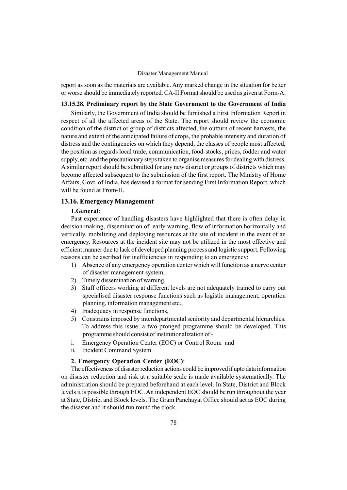report as soon as the materials are available. Any marked change in the situation for better or worse should be immediately reported. CA-II Format should be used as given at Form-A.

### 13.15.28. Preliminary report by the State Government to the Government of India

Similarly, the Government of India should be furnished a First Information Report in respect of all the affected areas of the State. The report should review the economic condition of the district or group of districts affected, the outturn of recent harvests, the nature and extent of the anticipated failure of crops, the probable intensity and duration of distress and the contingencies on which they depend, the classes of people most affected, the position as regards local trade, communication, food-stocks, prices, fodder and water supply, etc. and the precautionary steps taken to organise measures for dealing with distress. A similar report should be submitted for any new district or groups of districts which may become affected subsequent to the submission of the first report. The Ministry of Home Affairs, Govt. of India, has devised a format for sending First Information Report, which will be found at From-H.

### 13.16. Emergency Management

#### 1.General:

Past experience of handling disasters have highlighted that there is often delay in decision making, dissemination of early warning, flow of information horizontally and vertically, mobilizing and deploying resources at the site of incident in the event of an emergency. Resources at the incident site may not be utilized in the most effective and efficient manner due to lack of developed planning process and logistic support. Following reasons can be ascribed for inefficiencies in responding to an emergency:

- 1) Absence of any emergency operation center which will function as a nerve center of disaster management system,
- 2) Timely dissemination of warning,
- 3) Staff officers working at different levels are not adequately trained to carry out specialised disaster response functions such as logistic management, operation planning, information management etc.,
- 4) Inadequacy in response functions,
- 5) Constrains imposed by interdepartmental seniority and departmental hierarchies. To address this issue, a two-pronged programme should be developed. This programme should consist of institutionalization of -
- i. Emergency Operation Center (EOC) or Control Room and
- ii. Incident Command System.

### 2. Emergency Operation Center (EOC):

The effectiveness of disaster reduction actions could be improved if upto data information on disaster reduction and risk at a suitable scale is made available systematically. The administration should be prepared beforehand at each level. In State, District and Block levels it is possible through EOC. An independent EOC should be run throughout the year at State, District and Block levels. The Gram Panchayat Office should act as EOC during the disaster and it should run round the clock.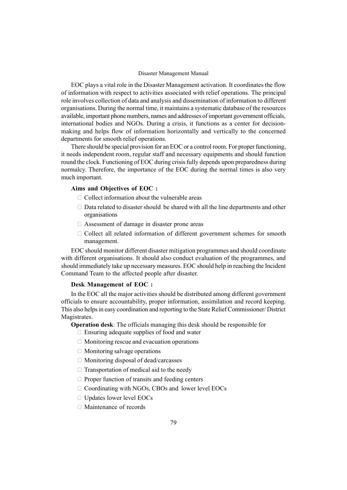EOC plays a vital role in the Disaster Management activation. It coordinates the flow of information with respect to activities associated with relief operations. The principal role involves collection of data and analysis and dissemination of information to different organisations. During the normal time, it maintains a systematic database of the resources available, important phone numbers, names and addresses of important government officials, international bodies and NGOs. During a crisis, it functions as a center for decisionmaking and helps flow of information horizontally and vertically to the concerned departments for smooth relief operations.

There should be special provision for an EOC or a control room. For proper functioning, it needs independent room, regular staff and necessary equipments and should function round the clock. Functioning of EOC during crisis fully depends upon preparedness during normalcy. Therefore, the importance of the EOC during the normal times is also very much important.

#### Aims and Objectives of EOC :

Collect information about the vulnerable areas

 Data related to disaster should be shared with all the line departments and other organisations

Assessment of damage in disaster prone areas

 Collect all related information of different government schemes for smooth management.

EOC should monitor different disaster mitigation programmes and should coordinate with different organisations. It should also conduct evaluation of the programmes, and should immediately take up necessary measures. EOC should help in reaching the Incident Command Team to the affected people after disaster.

#### Desk Management of EOC :

In the EOC all the major activities should be distributed among different government officials to ensure accountability, proper information, assimilation and record keeping. This also helps in easy coordination and reporting to the State Relief Commissioner/ District Magistrates.

Operation desk: The officials managing this desk should be responsible for

Ensuring adequate supplies of food and water

Monitoring rescue and evacuation operations

Monitoring salvage operations

Monitoring disposal of dead/carcasses

Transportation of medical aid to the needy

Proper function of transits and feeding centers

Coordinating with NGOs, CBOs and lower level EOCs

Updates lower level EOCs

Maintenance of records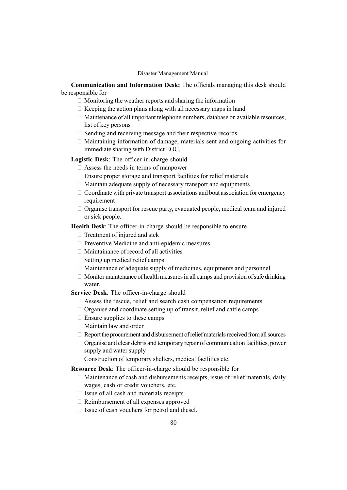Communication and Information Desk: The officials managing this desk should be responsible for

Monitoring the weather reports and sharing the information

Keeping the action plans along with all necessary maps in hand

 Maintenance of all important telephone numbers, database on available resources, list of key persons

Sending and receiving message and their respective records

 Maintaining information of damage, materials sent and ongoing activities for immediate sharing with District EOC.

#### Logistic Desk: The officer-in-charge should

Assess the needs in terms of manpower

Ensure proper storage and transport facilities for relief materials

Maintain adequate supply of necessary transport and equipments

 Coordinate with private transport associations and boat association for emergency requirement

 Organise transport for rescue party, evacuated people, medical team and injured or sick people.

Health Desk: The officer-in-charge should be responsible to ensure

Treatment of injured and sick

Preventive Medicine and anti-epidemic measures

Maintainance of record of all activities

Setting up medical relief camps

 Maintenance of adequate supply of medicines, equipments and personnel Monitor maintenance of health measures in all camps and provision of safe drinking

### water.

Service Desk: The officer-in-charge should

Assess the rescue, relief and search cash compensation requirements

Organise and coordinate setting up of transit, relief and cattle camps

Ensure supplies to these camps

Maintain law and order

Report the procurement and disbursement of relief materials received from all sources Organise and clear debris and temporary repair of communication facilities, power supply and water supply

Construction of temporary shelters, medical facilities etc.

#### Resource Desk: The officer-in-charge should be responsible for

 Maintenance of cash and disbursements receipts, issue of relief materials, daily wages, cash or credit vouchers, etc.

Issue of all cash and materials receipts

Reimbursement of all expenses approved

Issue of cash vouchers for petrol and diesel.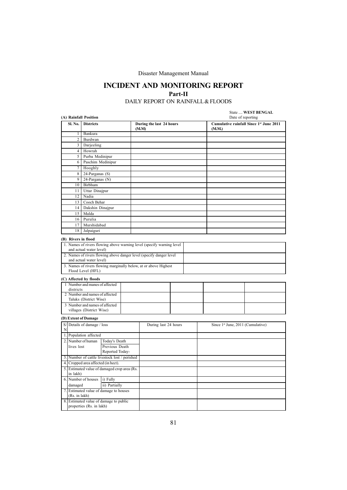### INCIDENT AND MONITORING REPORT Part-II DAILY REPORT ON RAINFALL& FLOODS

# State .... **WEST BENGAL**<br>Date of reporting

| (A) Rainfall Position<br>Date of reporting |                 |                                        |                                               |  |                                                                       |  |  |        |  |                                               |
|--------------------------------------------|-----------------|----------------------------------------|-----------------------------------------------|--|-----------------------------------------------------------------------|--|--|--------|--|-----------------------------------------------|
|                                            | Sl. No.         | <b>Districts</b>                       |                                               |  | During the last 24 hours<br>(M.M)                                     |  |  | (M.M.) |  | Cumulative rainfall Since 1st June 2011       |
|                                            | 1 <sub>1</sub>  | Bankura                                |                                               |  |                                                                       |  |  |        |  |                                               |
|                                            | 2 <sub>1</sub>  | Burdwan                                |                                               |  |                                                                       |  |  |        |  |                                               |
|                                            | $\overline{3}$  | Darjeeling                             |                                               |  |                                                                       |  |  |        |  |                                               |
|                                            | 4 <sup>1</sup>  | Howrah                                 |                                               |  |                                                                       |  |  |        |  |                                               |
|                                            | 5 <sup>1</sup>  | Purba Medinipur                        |                                               |  |                                                                       |  |  |        |  |                                               |
|                                            | 6               | Paschim Medinipur                      |                                               |  |                                                                       |  |  |        |  |                                               |
|                                            | 7 <sup>1</sup>  | Hooghly                                |                                               |  |                                                                       |  |  |        |  |                                               |
|                                            | 8               | 24-Parganas (S)                        |                                               |  |                                                                       |  |  |        |  |                                               |
|                                            | 9               | 24-Parganas (N)                        |                                               |  |                                                                       |  |  |        |  |                                               |
|                                            | 10              | Birbhum                                |                                               |  |                                                                       |  |  |        |  |                                               |
|                                            | 11              | Uttar Dinajpur                         |                                               |  |                                                                       |  |  |        |  |                                               |
|                                            | $\overline{12}$ | Nadia                                  |                                               |  |                                                                       |  |  |        |  |                                               |
|                                            | 13 <sup>1</sup> | Cooch Behar                            |                                               |  |                                                                       |  |  |        |  |                                               |
|                                            | 14              | Dakshin Dinajpur                       |                                               |  |                                                                       |  |  |        |  |                                               |
|                                            | 15              | Malda                                  |                                               |  |                                                                       |  |  |        |  |                                               |
|                                            | 16 <sup>1</sup> | Purulia                                |                                               |  |                                                                       |  |  |        |  |                                               |
|                                            | 17              | Murshidabad                            |                                               |  |                                                                       |  |  |        |  |                                               |
|                                            | 18              | Jalpaiguri                             |                                               |  |                                                                       |  |  |        |  |                                               |
|                                            |                 | (B) Rivers in flood                    |                                               |  |                                                                       |  |  |        |  |                                               |
|                                            |                 | and actual water level)                |                                               |  | 1. Names of rivers flowing above warning level (specify warning level |  |  |        |  |                                               |
|                                            |                 |                                        |                                               |  | 2. Names of rivers flowing above danger level (specify danger level)  |  |  |        |  |                                               |
|                                            |                 | and actual water level)                |                                               |  |                                                                       |  |  |        |  |                                               |
|                                            |                 |                                        |                                               |  | 3. Names of rivers flowing marginally below, at or above Highest      |  |  |        |  |                                               |
|                                            |                 | Flood Level (HFL)                      |                                               |  |                                                                       |  |  |        |  |                                               |
|                                            |                 | (C) Affected by floods                 |                                               |  |                                                                       |  |  |        |  |                                               |
|                                            |                 | 1 Number and manes of affected         |                                               |  |                                                                       |  |  |        |  |                                               |
|                                            | districts       |                                        |                                               |  |                                                                       |  |  |        |  |                                               |
|                                            |                 | 2 Number and names of affected         |                                               |  |                                                                       |  |  |        |  |                                               |
|                                            |                 | Taluks (District Wise)                 |                                               |  |                                                                       |  |  |        |  |                                               |
|                                            |                 | 3 Number and names of affected         |                                               |  |                                                                       |  |  |        |  |                                               |
|                                            |                 | villages (District Wise)               |                                               |  |                                                                       |  |  |        |  |                                               |
|                                            |                 | (D) Extent of Damage                   |                                               |  |                                                                       |  |  |        |  |                                               |
| N                                          |                 | S/ Details of damage / loss            |                                               |  | During last 24 hours                                                  |  |  |        |  | Since 1 <sup>st</sup> June, 2011 (Cumulative) |
|                                            |                 | 1. Population affected                 |                                               |  |                                                                       |  |  |        |  |                                               |
|                                            |                 | 2. Number of human                     | Today's Death                                 |  |                                                                       |  |  |        |  |                                               |
|                                            | lives lost      |                                        | Previous Death                                |  |                                                                       |  |  |        |  |                                               |
|                                            |                 |                                        | Reported Today-                               |  |                                                                       |  |  |        |  |                                               |
|                                            |                 |                                        | 3. Number of cattle livestock lost / perished |  |                                                                       |  |  |        |  |                                               |
|                                            |                 | 4. Cropped area affected (in hect).    |                                               |  |                                                                       |  |  |        |  |                                               |
|                                            | in lakh)        |                                        | 5. Estimated value of damaged crop area (Rs.  |  |                                                                       |  |  |        |  |                                               |
|                                            |                 | 6. Number of houses i) Fully           |                                               |  |                                                                       |  |  |        |  |                                               |
|                                            | damaged         | ii) Partially                          |                                               |  |                                                                       |  |  |        |  |                                               |
|                                            |                 | 7. Estimated value of damage to houses |                                               |  |                                                                       |  |  |        |  |                                               |
|                                            |                 | (Rs. in lakh)                          |                                               |  |                                                                       |  |  |        |  |                                               |
|                                            |                 |                                        | 8. Estimated value of damage to public        |  |                                                                       |  |  |        |  |                                               |
|                                            |                 | properties (Rs. in lakh)               |                                               |  |                                                                       |  |  |        |  |                                               |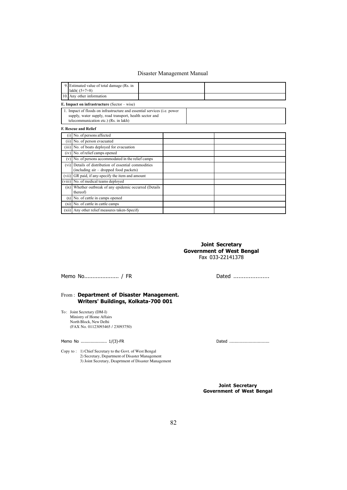| 9. Estimated value of total damage (Rs. in<br>lakh $(5+7+8)$                                                                                                                           |  |  |  |
|----------------------------------------------------------------------------------------------------------------------------------------------------------------------------------------|--|--|--|
| 10. Any other information                                                                                                                                                              |  |  |  |
| E. Impact on infrastructure $(Sector - wise)$                                                                                                                                          |  |  |  |
| 1. Impact of floods on infrastructure and essential services ( <i>i.e. power</i> )<br>supply, water supply, road transport, health sector and<br>telecommunication etc.) (Rs. in lakh) |  |  |  |
| <b>F. Rescue and Relief</b>                                                                                                                                                            |  |  |  |
| $(i)$ No. of persons affected                                                                                                                                                          |  |  |  |
| (ii) No. of person evacuated                                                                                                                                                           |  |  |  |
| (iii) No. of boats deployed for evacuation                                                                                                                                             |  |  |  |
| $(iv)$ No. of relief camps opened                                                                                                                                                      |  |  |  |
| $(v)$ No. of persons accommodated in the relief camps                                                                                                                                  |  |  |  |
| (vi) Details of distribution of essential commodities<br>(including air – dropped food packets)                                                                                        |  |  |  |
| (vii) GR paid, if any-specify the item and amount                                                                                                                                      |  |  |  |
| (viii) No. of medical teams deployed                                                                                                                                                   |  |  |  |
| (ix) Whether outbreak of any epidemic occurred (Details)<br>thereof)                                                                                                                   |  |  |  |
| $(x)$ No. of cattle in camps opened                                                                                                                                                    |  |  |  |
| $(xi)$ No. of cattle in cattle camps                                                                                                                                                   |  |  |  |
| (xii) Any other relief measures taken-Specify                                                                                                                                          |  |  |  |

Joint Secretary Government of West Bengal Fax 033-22141378

Memo No..................... / FR Dated .....................

#### From: Department of Disaster Management. Writers' Buildings, Kolkata-700 001

To: Joint Secretary (DM-I) Ministry of Home Affairs North Block, New Delhi (FAX No. 01123093465 / 23093750)

Memo No ..................... 1/(3)-FR Dated ...............................

Copy to : 1) Chief Secretary to the Govt. of West Bengal 2) Secretary, Department of Disaster Management 3) Joint Secretary, Deaprtment of Disaster Management

> Joint Secretary Government of West Bengal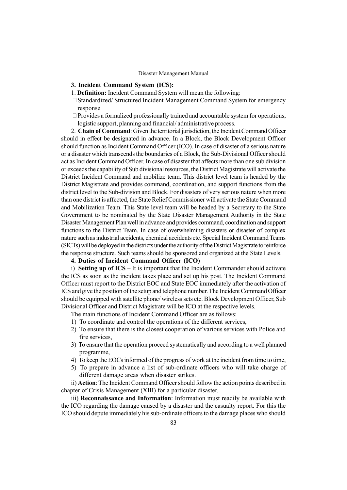#### 3. Incident Command System (ICS):

1. Definition: Incident Command System will mean the following:

 Standardized/ Structured Incident Management Command System for emergency response

 Provides a formalized professionally trained and accountable system for operations, logistic support, planning and financial/ administrative process.

2. Chain of Command: Given the territorial jurisdiction, the Incident Command Officer should in effect be designated in advance. In a Block, the Block Development Officer should function as Incident Command Officer (ICO). In case of disaster of a serious nature or a disaster which transcends the boundaries of a Block, the Sub-Divisional Officer should act as Incident Command Officer. In case of disaster that affects more than one sub division or exceeds the capability of Sub divisional resources, the District Magistrate will activate the District Incident Command and mobilize team. This district level team is headed by the District Magistrate and provides command, coordination, and support functions from the district level to the Sub-division and Block. For disasters of very serious nature when more than one district is affected, the State Relief Commissioner will activate the State Command and Mobilization Team. This State level team will be headed by a Secretary to the State Government to be nominated by the State Disaster Management Authority in the State Disaster Management Plan well in advance and provides command, coordination and support functions to the District Team. In case of overwhelming disasters or disaster of complex nature such as industrial accidents, chemical accidents etc. Special Incident Command Teams (SICTs) will be deployed in the districts under the authority of the District Magistrate to reinforce the response structure. Such teams should be sponsored and organized at the State Levels.

### 4. Duties of Incident Command Officer (ICO)

i) Setting up of  $ICS - It$  is important that the Incident Commander should activate the ICS as soon as the incident takes place and set up his post. The Incident Command Officer must report to the District EOC and State EOC immediately after the activation of ICS and give the position of the setup and telephone number. The Incident Command Officer should be equipped with satellite phone/ wireless sets etc. Block Development Officer, Sub Divisional Officer and District Magistrate will be ICO at the respective levels.

The main functions of Incident Command Officer are as follows:

- 1) To coordinate and control the operations of the different services,
- 2) To ensure that there is the closest cooperation of various services with Police and fire services,
- 3) To ensure that the operation proceed systematically and according to a well planned programme,
- 4) To keep the EOCs informed of the progress of work at the incident from time to time,
- 5) To prepare in advance a list of sub-ordinate officers who will take charge of different damage areas when disaster strikes.

ii) Action: The Incident Command Officer should follow the action points described in chapter of Crisis Management (XIII) for a particular disaster.

iii) Reconnaissance and Information: Information must readily be available with the ICO regarding the damage caused by a disaster and the casualty report. For this the ICO should depute immediately his sub-ordinate officers to the damage places who should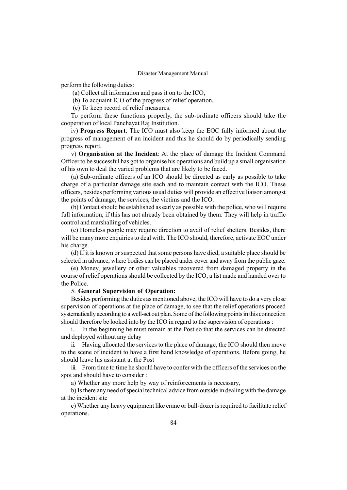perform the following duties:

- (a) Collect all information and pass it on to the ICO,
- (b) To acquaint ICO of the progress of relief operation,

(c) To keep record of relief measures.

To perform these functions properly, the sub-ordinate officers should take the cooperation of local Panchayat Raj Institution.

iv) Progress Report: The ICO must also keep the EOC fully informed about the progress of management of an incident and this he should do by periodically sending progress report.

v) Organisation at the Incident: At the place of damage the Incident Command Officer to be successful has got to organise his operations and build up a small organisation of his own to deal the varied problems that are likely to be faced.

(a) Sub-ordinate officers of an ICO should be directed as early as possible to take charge of a particular damage site each and to maintain contact with the ICO. These officers, besides performing various usual duties will provide an effective liaison amongst the points of damage, the services, the victims and the ICO.

(b) Contact should be established as early as possible with the police, who will require full information, if this has not already been obtained by them. They will help in traffic control and marshalling of vehicles.

(c) Homeless people may require direction to avail of relief shelters. Besides, there will be many more enquiries to deal with. The ICO should, therefore, activate EOC under his charge.

(d) If it is known or suspected that some persons have died, a suitable place should be selected in advance, where bodies can be placed under cover and away from the public gaze.

(e) Money, jewellery or other valuables recovered from damaged property in the course of relief operations should be collected by the ICO, a list made and handed over to the Police.

#### 5. General Supervision of Operation:

Besides performing the duties as mentioned above, the ICO will have to do a very close supervision of operations at the place of damage, to see that the relief operations proceed systematically according to a well-set out plan. Some of the following points in this connection should therefore be looked into by the ICO in regard to the supervision of operations :

i. In the beginning he must remain at the Post so that the services can be directed and deployed without any delay

ii. Having allocated the services to the place of damage, the ICO should then move to the scene of incident to have a first hand knowledge of operations. Before going, he should leave his assistant at the Post

iii. From time to time he should have to confer with the officers of the services on the spot and should have to consider :

a) Whether any more help by way of reinforcements is necessary,

b) Is there any need of special technical advice from outside in dealing with the damage at the incident site

c) Whether any heavy equipment like crane or bull-dozer is required to facilitate relief operations.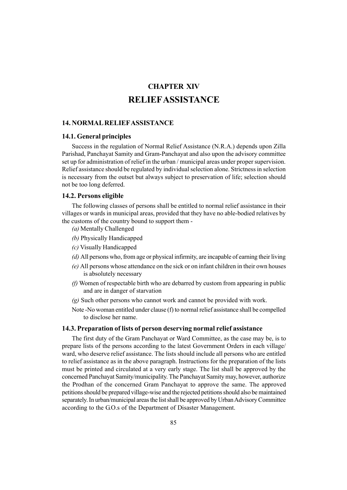### CHAPTER XIV RELIEFASSISTANCE

### 14. NORMAL RELIEFASSISTANCE

### 14.1. General principles

Success in the regulation of Normal Relief Assistance (N.R.A.) depends upon Zilla Parishad, Panchayat Samity and Gram-Panchayat and also upon the advisory committee set up for administration of relief in the urban / municipal areas under proper supervision. Relief assistance should be regulated by individual selection alone. Strictness in selection is necessary from the outset but always subject to preservation of life; selection should not be too long deferred.

#### 14.2. Persons eligible

The following classes of persons shall be entitled to normal relief assistance in their villages or wards in municipal areas, provided that they have no able-bodied relatives by the customs of the country bound to support them -

- (a) Mentally Challenged
- (b) Physically Handicapped
- (c) Visually Handicapped
- (d) All persons who, from age or physical infirmity, are incapable of earning their living
- (e) All persons whose attendance on the sick or on infant children in their own houses is absolutely necessary
- (f) Women of respectable birth who are debarred by custom from appearing in public and are in danger of starvation
- (g) Such other persons who cannot work and cannot be provided with work.
- Note -No woman entitled under clause (f) to normal relief assistance shall be compelled to disclose her name.

### 14.3. Preparation of lists of person deserving normal relief assistance

The first duty of the Gram Panchayat or Ward Committee, as the case may be, is to prepare lists of the persons according to the latest Government Orders in each village/ ward, who deserve relief assistance. The lists should include all persons who are entitled to relief assistance as in the above paragraph. Instructions for the preparation of the lists must be printed and circulated at a very early stage. The list shall be approved by the concerned Panchayat Samity/municipality. The Panchayat Samity may, however, authorize the Prodhan of the concerned Gram Panchayat to approve the same. The approved petitions should be prepared village-wise and the rejected petitions should also be maintained separately. In urban/municipal areas the list shall be approved by Urban Advisory Committee according to the G.O.s of the Department of Disaster Management.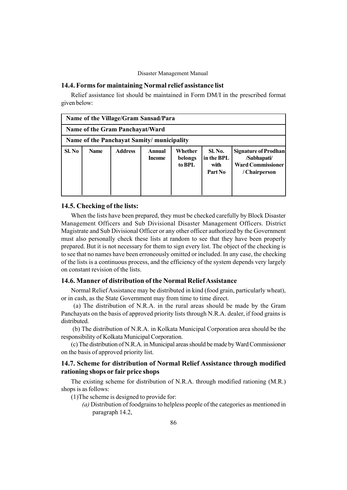### 14.4. Forms for maintaining Normal relief assistance list

Relief assistance list should be maintained in Form DM/I in the prescribed format given below:

|        | Name of the Village/Gram Sansad/Para       |                |                         |                              |                                                 |                                                                                  |  |  |  |  |  |
|--------|--------------------------------------------|----------------|-------------------------|------------------------------|-------------------------------------------------|----------------------------------------------------------------------------------|--|--|--|--|--|
|        | Name of the Gram Panchayat/Ward            |                |                         |                              |                                                 |                                                                                  |  |  |  |  |  |
|        | Name of the Panchayat Samity/ municipality |                |                         |                              |                                                 |                                                                                  |  |  |  |  |  |
| Sl. No | <b>Name</b>                                | <b>Address</b> | Annual<br><b>Income</b> | Whether<br>belongs<br>to BPL | <b>Sl. No.</b><br>in the BPL<br>with<br>Part No | Signature of Prodhan<br>/Sabhapati/<br><b>Ward Commissioner</b><br>/ Chairperson |  |  |  |  |  |

#### 14.5. Checking of the lists:

When the lists have been prepared, they must be checked carefully by Block Disaster Management Officers and Sub Divisional Disaster Management Officers. District Magistrate and Sub Divisional Officer or any other officer authorized by the Government must also personally check these lists at random to see that they have been properly prepared. But it is not necessary for them to sign every list. The object of the checking is to see that no names have been erroneously omitted or included. In any case, the checking of the lists is a continuous process, and the efficiency of the system depends very largely on constant revision of the lists.

### 14.6. Manner of distribution of the Normal Relief Assistance

Normal Relief Assistance may be distributed in kind (food grain, particularly wheat), or in cash, as the State Government may from time to time direct.

(a) The distribution of N.R.A. in the rural areas should be made by the Gram Panchayats on the basis of approved priority lists through N.R.A. dealer, if food grains is distributed.

(b) The distribution of N.R.A. in Kolkata Municipal Corporation area should be the responsibility of Kolkata Municipal Corporation.

(c) The distribution of N.R.A. in Municipal areas should be made byWard Commissioner on the basis of approved priority list.

### 14.7. Scheme for distribution of Normal Relief Assistance through modified rationing shops or fair price shops

The existing scheme for distribution of N.R.A. through modified rationing (M.R.) shops is as follows:

(1)The scheme is designed to provide for:

(a) Distribution of foodgrains to helpless people of the categories as mentioned in paragraph 14.2,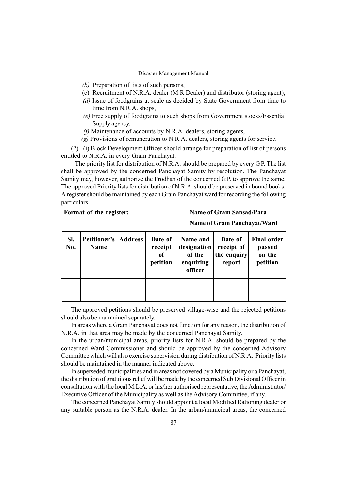- (b) Preparation of lists of such persons,
- (c) Recruitment of N.R.A. dealer (M.R.Dealer) and distributor (storing agent),
- (d) Issue of foodgrains at scale as decided by State Government from time to time from N.R.A. shops,
- (e) Free supply of foodgrains to such shops from Government stocks/Essential Supply agency,
- (f) Maintenance of accounts by N.R.A. dealers, storing agents,
- (g) Provisions of remuneration to N.R.A. dealers, storing agents for service.

(2) (i) Block Development Officer should arrange for preparation of list of persons entitled to N.R.A. in every Gram Panchayat.

The priority list for distribution of N.R.A. should be prepared by every G.P. The list shall be approved by the concerned Panchayat Samity by resolution. The Panchayat Samity may, however, authorize the Prodhan of the concerned G.P. to approve the same. The approved Priority lists for distribution of N.R.A. should be preserved in bound books. A register should be maintained by each Gram Panchayat ward for recording the following particulars.

#### Format of the register: Name of Gram Sansad/Para

#### Name of Gram Panchayat/Ward

| SI.<br>No. | Petitioner's Address<br>Name | Date of<br>receipt<br>of<br>petition | Name and<br>designation<br>of the<br>enquiring<br>officer | Date of<br>receipt of<br>the enquiry<br>report | <b>Final order</b><br>passed<br>on the<br>petition |
|------------|------------------------------|--------------------------------------|-----------------------------------------------------------|------------------------------------------------|----------------------------------------------------|
|            |                              |                                      |                                                           |                                                |                                                    |

The approved petitions should be preserved village-wise and the rejected petitions should also be maintained separately.

In areas where a Gram Panchayat does not function for any reason, the distribution of N.R.A. in that area may be made by the concerned Panchayat Samity.

In the urban/municipal areas, priority lists for N.R.A. should be prepared by the concerned Ward Commissioner and should be approved by the concerned Advisory Committee which will also exercise supervision during distribution of N.R.A. Priority lists should be maintained in the manner indicated above.

In superseded municipalities and in areas not covered by a Municipality or a Panchayat, the distribution of gratuitous relief will be made by the concerned Sub Divisional Officer in consultation with the local M.L.A. or his/her authorised representative, the Administrator/ Executive Officer of the Municipality as well as the Advisory Committee, if any.

The concerned Panchayat Samity should appoint a local Modified Rationing dealer or any suitable person as the N.R.A. dealer. In the urban/municipal areas, the concerned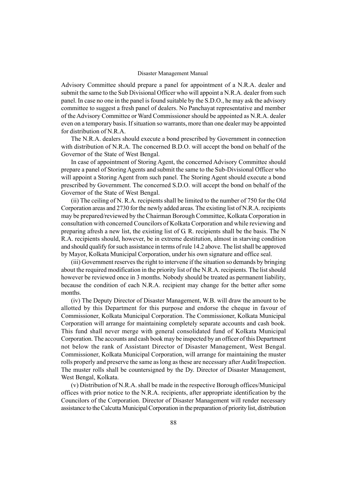Advisory Committee should prepare a panel for appointment of a N.R.A. dealer and submit the same to the Sub Divisional Officer who will appoint a N.R.A. dealer from such panel. In case no one in the panel is found suitable by the S.D.O., he may ask the advisory committee to suggest a fresh panel of dealers. No Panchayat representative and member of the Advisory Committee or Ward Commissioner should be appointed as N.R.A. dealer even on a temporary basis. If situation so warrants, more than one dealer may be appointed for distribution of N.R.A.

The N.R.A. dealers should execute a bond prescribed by Government in connection with distribution of N.R.A. The concerned B.D.O. will accept the bond on behalf of the Governor of the State of West Bengal.

In case of appointment of Storing Agent, the concerned Advisory Committee should prepare a panel of Storing Agents and submit the same to the Sub-Divisional Officer who will appoint a Storing Agent from such panel. The Storing Agent should execute a bond prescribed by Government. The concerned S.D.O. will accept the bond on behalf of the Governor of the State of West Bengal.

(ii) The ceiling of N. R.A. recipients shall be limited to the number of 750 for the Old Corporation areas and 2730 for the newly added areas. The existing list of N.R.A. recipients may be prepared/reviewed by the Chairman Borough Committee, Kolkata Corporation in consultation with concerned Councilors of Kolkata Corporation and while reviewing and preparing afresh a new list, the existing list of G. R. recipients shall be the basis. The N R.A. recipients should, however, be in extreme destitution, almost in starving condition and should qualify for such assistance in terms of rule 14.2 above. The list shall be approved by Mayor, Kolkata Municipal Corporation, under his own signature and office seal.

(iii) Government reserves the right to intervene if the situation so demands by bringing about the required modification in the priority list of the N.R.A. recipients. The list should however be reviewed once in 3 months. Nobody should be treated as permanent liability, because the condition of each N.R.A. recipient may change for the better after some months.

(iv) The Deputy Director of Disaster Management, W.B. will draw the amount to be allotted by this Department for this purpose and endorse the cheque in favour of Commissioner, Kolkata Municipal Corporation. The Commissioner, Kolkata Municipal Corporation will arrange for maintaining completely separate accounts and cash book. This fund shall never merge with general consolidated fund of Kolkata Municipal Corporation. The accounts and cash book may be inspected by an officer of this Department not below the rank of Assistant Director of Disaster Management, West Bengal. Commissioner, Kolkata Municipal Corporation, will arrange for maintaining the muster rolls properly and preserve the same as long as these are necessary after Audit/Inspection. The muster rolls shall be countersigned by the Dy. Director of Disaster Management, West Bengal, Kolkata.

(v) Distribution of N.R.A. shall be made in the respective Borough offices/Municipal offices with prior notice to the N.R.A. recipients, after appropriate identification by the Councilors of the Corporation. Director of Disaster Management will render necessary assistance to the Calcutta Municipal Corporation in the preparation of priority list, distribution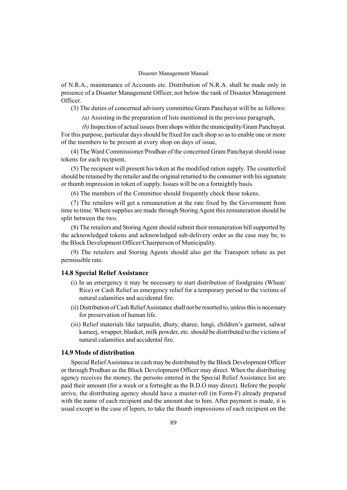of N.R.A., maintenance of Accounts etc. Distribution of N.R.A. shall be made only in presence of a Disaster Management Officer, not below the rank of Disaster Management Officer.

(3) The duties of concerned advisory committee/Gram Panchayat will be as follows:

(a) Assisting in the preparation of lists mentioned in the previous paragraph,

(b) Inspection of actual issues from shops within the municipality/Gram Panchayat. For this purpose, particular days should be fixed for each shop so as to enable one or more of the members to be present at every shop on days of issue,

(4) The Ward Commissioner/Prodhan of the concerned Gram Panchayat should issue tokens for each recipient,

(5) The recipient will present his token at the modified ration supply. The counterfoil should be retained by the retailer and the original returned to the consumer with his signature or thumb impression in token of supply. Issues will be on a fortnightly basis.

(6) The members of the Committee should frequently check these tokens.

(7) The retailers will get a remuneration at the rate fixed by the Government from time to time. Where supplies are made through Storing Agent this remuneration should be split between the two.

(8) The retailers and Storing Agent should submit their remuneration bill supported by the acknowledged tokens and acknowledged sub-delivery order as the case may be, to the Block Development Officer/Chairperson of Municipality.

(9) The retailers and Storing Agents should also get the Transport rebate as per permissible rate.

#### 14.8 Special Relief Assistance

- (i) In an emergency it may be necessary to start distribution of foodgrains (Wheat/ Rice) or Cash Relief as emergency relief for a temporary period to the victims of natural calamities and accidental fire.
- (ii) Distribution of Cash ReliefAssistance shall not be resorted to, unless this is necessary for preservation of human life.
- (iii) Relief materials like tarpaulin, dhuty, sharee, lungi, children's garment, salwar kameej, wrapper, blanket, milk powder, etc. should be distributed to the victims of natural calamities and accidental fire.

#### 14.9 Mode of distribution

Special ReliefAssistance in cash may be distributed by the Block Development Officer or through Prodhan as the Block Development Officer may direct. When the distributing agency receives the money, the persons entered in the Special Relief Assistance list are paid their amount (for a week or a fortnight as the B.D.O may direct). Before the people arrive, the distributing agency should have a muster-roll (in Form-F) already prepared with the name of each recipient and the amount due to him. After payment is made, it is usual except in the case of lepers, to take the thumb impressions of each recipient on the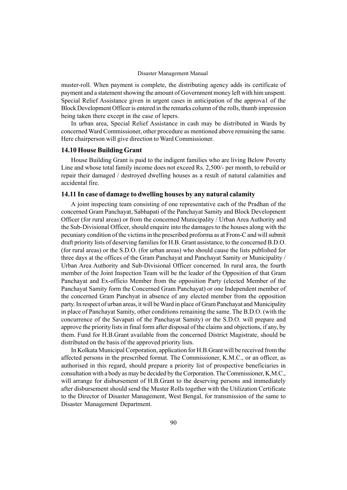muster-roll. When payment is complete, the distributing agency adds its certificate of payment and a statement showing the amount of Government money left with him unspent. Special Relief Assistance given in urgent cases in anticipation of the approva1 of the Block Development Officer is entered in the remarks column of the rolls, thumb impression being taken there except in the case of lepers.

In urban area, Special Relief Assistance in cash may be distributed in Wards by concerned Ward Commissioner, other procedure as mentioned above remaining the same. Here chairperson will give direction to Ward Commissioner.

#### 14.10 House Building Grant

House Building Grant is paid to the indigent families who are living Below Poverty Line and whose total family income does not exceed Rs. 2,500/- per month, to rebuild or repair their damaged / destroyed dwelling houses as a result of natural calamities and accidental fire.

#### 14.11 In case of damage to dwelling houses by any natural calamity

A joint inspecting team consisting of one representative each of the Pradhan of the concerned Gram Panchayat, Sabhapati of the Panchayat Samity and Block Development Officer (for rural areas) or from the concerned Municipality / Urban Area Authority and the Sub-Divisional Officer, should enquire into the damages to the houses along with the pecuniary condition of the victims in the prescribed proforma as at From-C and will submit draft priority lists of deserving families for H.B. Grant assistance, to the concerned B.D.O. (for rural areas) or the S.D.O. (for urban areas) who should cause the lists published for three days at the offices of the Gram Panchayat and Panchayat Samity or Municipality / Urban Area Authority and Sub-Divisional Officer concerned. In rural area, the fourth member of the Joint Inspection Team will be the leader of the Opposition of that Gram Panchayat and Ex-officio Member from the opposition Party (elected Member of the Panchayat Samity form the Concerned Gram Panchayat) or one Independent member of the concerned Gram Panchyat in absence of any elected member from the opposition party. In respect of urban areas, it will beWard in place of Gram Panchayat and Municipality in place of Panchayat Samity, other conditions remaining the same. The B.D.O. (with the concurrence of the Savapati of the Panchayat Samity) or the S.D.O. will prepare and approve the priority lists in final form after disposal of the claims and objections, if any, by them. Fund for H.B.Grant available from the concerned District Magistrate, should be distributed on the basis of the approved priority lists.

In Kolkata Municipal Corporation, application for H.B.Grant will be received from the affected persons in the prescribed format. The Commissioner, K.M.C., or an officer, as authorised in this regard, should prepare a priority list of prospective beneficiaries in consultation with a body as may be decided by the Corporation. The Commissioner, K.M.C., will arrange for disbursement of H.B.Grant to the deserving persons and immediately after disbursement should send the Muster Rolls together with the Utilization Certificate to the Director of Disaster Management, West Bengal, for transmission of the same to Disaster Management Department.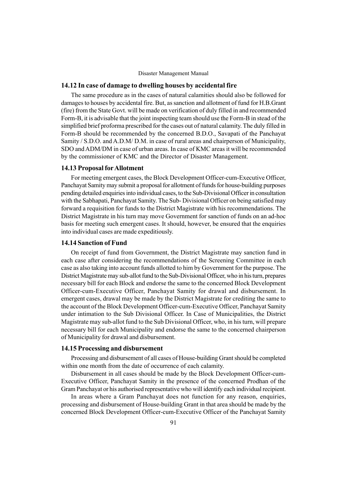#### 14.12 In case of damage to dwelling houses by accidental fire

The same procedure as in the cases of natural calamities should also be followed for damages to houses by accidental fire. But, as sanction and allotment of fund for H.B.Grant (fire) from the State Govt. will be made on verification of duly filled in and recommended Form-B, it is advisable that the joint inspecting team should use the Form-B in stead of the simplified brief proforma prescribed for the cases out of natural calamity. The duly filled in Form-B should be recommended by the concerned B.D.O., Savapati of the Panchayat Samity / S.D.O. and A.D.M/ D.M. in case of rural areas and chairperson of Municipality, SDO and ADM/DM in case of urban areas. In case of KMC areas it will be recommended by the commissioner of KMC and the Director of Disaster Management.

#### 14.13 Proposal forAllotment

For meeting emergent cases, the Block Development Officer-cum-Executive Officer, Panchayat Samity may submit a proposal for allotment of funds for house-building purposes pending detailed enquiries into individual cases, to the Sub-Divisional Officer in consultation with the Sabhapati, Panchayat Samity. The Sub- Divisional Officer on being satisfied may forward a requisition for funds to the District Magistrate with his recommendations. The District Magistrate in his turn may move Government for sanction of funds on an ad-hoc basis for meeting such emergent cases. It should, however, be ensured that the enquiries into individual cases are made expeditiously.

#### 14.14 Sanction of Fund

On receipt of fund from Government, the District Magistrate may sanction fund in each case after considering the recommendations of the Screening Committee in each case as also taking into account funds allotted to him by Government for the purpose. The District Magistrate may sub-allot fund to the Sub-Divisional Officer, who in his turn, prepares necessary bill for each Block and endorse the same to the concerned Block Development Officer-cum-Executive Officer, Panchayat Samity for drawal and disbursement. In emergent cases, drawal may be made by the District Magistrate for crediting the same to the account of the Block Development Officer-cum-Executive Officer, Panchayat Samity under intimation to the Sub Divisional Officer. In Case of Municipalities, the District Magistrate may sub-allot fund to the Sub Divisional Officer, who, in his turn, will prepare necessary bill for each Municipality and endorse the same to the concerned chairperson of Municipality for drawal and disbursement.

### 14.15 Processing and disbursement

Processing and disbursement of all cases of House-building Grant should be completed within one month from the date of occurrence of each calamity.

Disbursement in all cases should be made by the Block Development Officer-cum-Executive Officer, Panchayat Samity in the presence of the concerned Prodhan of the Gram Panchayat or his authorised representative who will identify each individual recipient.

In areas where a Gram Panchayat does not function for any reason, enquiries, processing and disbursement of House-building Grant in that area should be made by the concerned Block Development Officer-cum-Executive Officer of the Panchayat Samity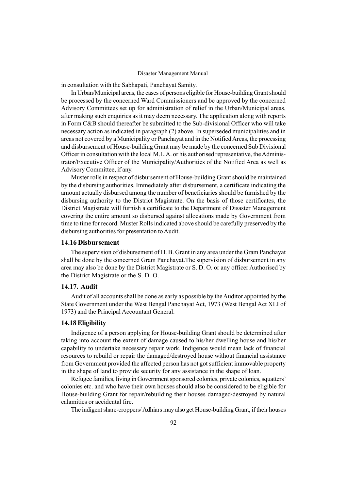in consultation with the Sabhapati, Panchayat Samity.

In Urban/Municipal areas, the cases of persons eligible for House-building Grant should be processed by the concerned Ward Commissioners and be approved by the concerned Advisory Committees set up for administration of relief in the Urban/Municipal areas, after making such enquiries as it may deem necessary. The application along with reports in Form C&B should thereafter be submitted to the Sub-divisional Officer who will take necessary action as indicated in paragraph (2) above. In superseded municipalities and in areas not covered by a Municipality or Panchayat and in the Notified Areas, the processing and disbursement of House-building Grant may be made by the concerned Sub Divisional Officer in consultation with the local M.L.A. or his authorised representative, theAdministrator/Executive Officer of the Municipality/Authorities of the Notified Area as well as Advisory Committee, if any.

Muster rolls in respect of disbursement of House-building Grant should be maintained by the disbursing authorities. Immediately after disbursement, a certificate indicating the amount actually disbursed among the number of beneficiaries should be furnished by the disbursing authority to the District Magistrate. On the basis of those certificates, the District Magistrate will furnish a certificate to the Department of Disaster Management covering the entire amount so disbursed against allocations made by Government from time to time for record. Muster Rolls indicated above should be carefully preserved by the disbursing authorities for presentation to Audit.

#### 14.16 Disbursement

The supervision of disbursement of H. B. Grant in any area under the Gram Panchayat shall be done by the concerned Gram Panchayat.The supervision of disbursement in any area may also be done by the District Magistrate or S. D. O. or any officer Authorised by the District Magistrate or the S. D. O.

### 14.17. Audit

Audit of all accounts shall be done as early as possible by the Auditor appointed by the State Government under the West Bengal Panchayat Act, 1973 (West Bengal Act XLI of 1973) and the Principal Accountant General.

#### 14.18 Eligibility

Indigence of a person applying for House-building Grant should be determined after taking into account the extent of damage caused to his/her dwelling house and his/her capability to undertake necessary repair work. Indigence would mean lack of financial resources to rebuild or repair the damaged/destroyed house without financial assistance from Government provided the affected person has not got sufficient immovable property in the shape of land to provide security for any assistance in the shape of loan.

Refugee families, living in Government sponsored colonies, private colonies, squatters' colonies etc. and who have their own houses should also be considered to be eligible for House-building Grant for repair/rebuilding their houses damaged/destroyed by natural calamities or accidental fire.

The indigent share-croppers/Adhiars may also get House-building Grant, if their houses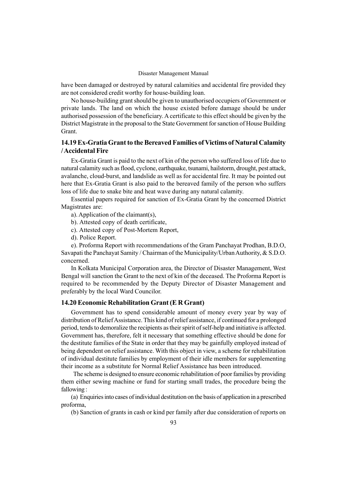have been damaged or destroyed by natural calamities and accidental fire provided they are not considered credit worthy for house-building loan.

No house-building grant should be given to unauthorised occupiers of Government or private lands. The land on which the house existed before damage should be under authorised possession of the beneficiary. A certificate to this effect should be given by the District Magistrate in the proposal to the State Government for sanction of House Building Grant.

### 14.19 Ex-Gratia Grant to the Bereaved Families of Victims of Natural Calamity /Accidental Fire

Ex-Gratia Grant is paid to the next of kin of the person who suffered loss of life due to natural calamity such as flood, cyclone, earthquake, tsunami, hailstorm, drought, pest attack, avalanche, cloud-burst, and landslide as well as for accidental fire. It may be pointed out here that Ex-Gratia Grant is also paid to the bereaved family of the person who suffers loss of life due to snake bite and heat wave during any natural calamity.

Essential papers required for sanction of Ex-Gratia Grant by the concerned District Magistrates are:

a). Application of the claimant(s),

- b). Attested copy of death certificate,
- c). Attested copy of Post-Mortem Report,
- d). Police Report.

e). Proforma Report with recommendations of the Gram Panchayat Prodhan, B.D.O, Savapati the Panchayat Samity / Chairman of the Municipality/UrbanAuthority, & S.D.O. concerned.

In Kolkata Municipal Corporation area, the Director of Disaster Management, West Bengal will sanction the Grant to the next of kin of the deceased. The Proforma Report is required to be recommended by the Deputy Director of Disaster Management and preferably by the local Ward Councilor.

#### 14.20 Economic Rehabilitation Grant (E R Grant)

Government has to spend considerable amount of money every year by way of distribution of ReliefAssistance. This kind of relief assistance, if continued for a prolonged period, tends to demoralize the recipients as their spirit of self-help and initiative is affected. Government has, therefore, felt it necessary that something effective should be done for the destitute families of the State in order that they may be gainfully employed instead of being dependent on relief assistance. With this object in view, a scheme for rehabilitation of individual destitute families by employment of their idle members for supplementing their income as a substitute for Normal Relief Assistance has been introduced.

The scheme is designed to ensure economic rehabilitation of poor families by providing them either sewing machine or fund for starting small trades, the procedure being the fallowing :

(a) Enquiries into cases of individual destitution on the basis of application in a prescribed proforma,

(b) Sanction of grants in cash or kind per family after due consideration of reports on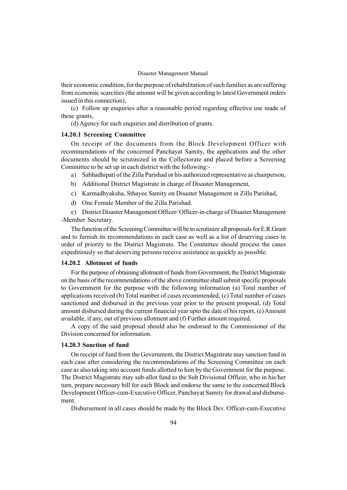their economic condition, for the purpose of rehabilitation of such families as are suffering from economic scarcities (the amount will be given according to latest Government orders issued in this connection),

(c) Follow up enquiries after a reasonable period regarding effective use made of these grants,

(d) Agency for such enquiries and distribution of grants.

#### 14.20.1 Screening Committee

On receipt of the documents from the Block Development Officer with recommendations of the concerned Panchayat Samity, the applications and the other documents should be scrutinized in the Collectorate and placed before a Screening Committee to be set up in each district with the following:-

- a) Sabhadhipati of the Zilla Parishad or his authorized representative as chairperson,
- b) Additional District Magistrate in charge of Disaster Management,
- c) Karmadhyaksha, Sthayee Samity on Disaster Management in Zilla Parishad,
- d) One Female Member of the Zilla Parishad.

e) District Disaster Management Officer/ Officer-in-charge of Disaster Management -Member Secretary.

The function of the Screening Committee will be to scrutinize all proposals for E.R.Grant and to furnish its recommendations in each case as well as a list of deserving cases in order of priority to the District Magistrate. The Committee should process the cases expeditiously so that deserving persons receive assistance as quickly as possible.

#### 14.20.2 Allotment of funds

For the purpose of obtaining allotment of funds from Government, the District Magistrate on the basis of the recommendations of the above committee shall submit specific proposals to Government for the purpose with the following information (a) Total number of applications received (b) Total number of cases recommended, (c) Total number of cases sanctioned and disbursed in the previous year prior to the present proposal, (d) Total amount disbursed during the current financial year upto the date of his report, (e) Amount available, if any, out of previous allotment and (f) Further amount required.

A copy of the said proposal should also be endorsed to the Commissioner of the Division concerned for information.

#### 14.20.3 Sanction of fund

On receipt of fund from the Government, the District Magistrate may sanction fund in each case after considering the recommendations of the Screening Committee on each case as also taking into account funds allotted to him by the Government for the purpose. The District Magistrate may sub-allot fund to the Sub Divisional Officer, who in his/her turn, prepare necessary bill for each Block and endorse the same to the concerned Block Development Officer-cum-Executive Officer, Panchayat Samity for drawal and disbursement.

Disbursement in all cases should be made by the Block Dev. Officer-cum-Executive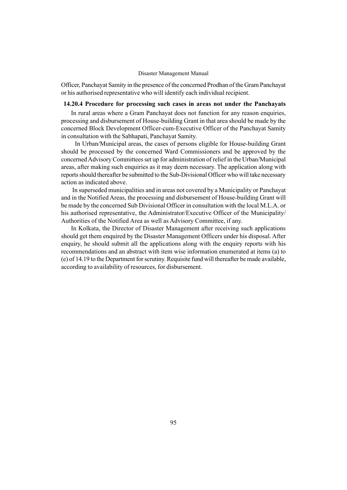Officer, Panchayat Samity in the presence of the concerned Prodhan of the Gram Panchayat or his authorised representative who will identify each individual recipient.

### 14.20.4 Procedure for processing such cases in areas not under the Panchayats

In rural areas where a Gram Panchayat does not function for any reason enquiries, processing and disbursement of House-building Grant in that area should be made by the concerned Block Development Officer-cum-Executive Officer of the Panchayat Samity in consultation with the Sabhapati, Panchayat Samity.

In Urban/Municipal areas, the cases of persons eligible for House-building Grant should be processed by the concerned Ward Commissioners and be approved by the concerned Advisory Committees set up for administration of relief in the Urban/Municipal areas, after making such enquiries as it may deem necessary. The application along with reports should thereafter be submitted to the Sub-Divisional Officer who will take necessary action as indicated above.

In superseded municipalities and in areas not covered by a Municipality or Panchayat and in the Notified Areas, the processing and disbursement of House-building Grant will be made by the concerned Sub Divisional Officer in consultation with the local M.L.A. or his authorised representative, the Administrator/Executive Officer of the Municipality/ Authorities of the Notified Area as well as Advisory Committee, if any.

In Kolkata, the Director of Disaster Management after receiving such applications should get them enquired by the Disaster Management Officers under his disposal. After enquiry, he should submit all the applications along with the enquiry reports with his recommendations and an abstract with item wise information enumerated at items (a) to (e) of 14.19 to the Department for scrutiny. Requisite fund will thereafter be made available, according to availability of resources, for disbursement.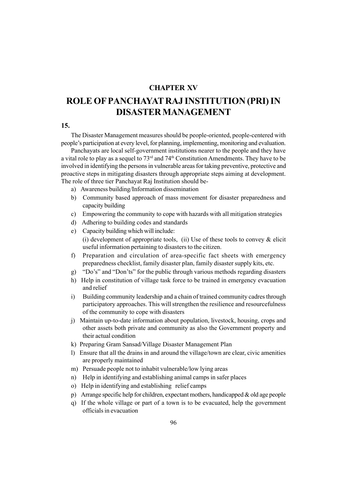### CHAPTER XV

## ROLE OFPANCHAYAT RAJ INSTITUTION (PRI) IN DISASTER MANAGEMENT

### 15.

The Disaster Management measures should be people-oriented, people-centered with people's participation at every level, for planning, implementing, monitoring and evaluation.

Panchayats are local self-government institutions nearer to the people and they have a vital role to play as a sequel to 73rd and 74th Constitution Amendments. They have to be involved in identifying the persons in vulnerable areas for taking preventive, protective and proactive steps in mitigating disasters through appropriate steps aiming at development. The role of three tier Panchayat Raj Institution should be-

- a) Awareness building/Information dissemination
- b) Community based approach of mass movement for disaster preparedness and capacity building
- c) Empowering the community to cope with hazards with all mitigation strategies
- d) Adhering to building codes and standards
- e) Capacity building which will include: (i) development of appropriate tools, (ii) Use of these tools to convey  $\&$  elicit useful information pertaining to disasters to the citizen.
- f) Preparation and circulation of area-specific fact sheets with emergency preparedness checklist, family disaster plan, family disaster supply kits, etc.
- g) "Do's" and "Don'ts" for the public through various methods regarding disasters
- h) Help in constitution of village task force to be trained in emergency evacuation and relief
- i) Building community leadership and a chain of trained community cadres through participatory approaches. This will strengthen the resilience and resourcefulness of the community to cope with disasters
- j) Maintain up-to-date information about population, livestock, housing, crops and other assets both private and community as also the Government property and their actual condition
- k) Preparing Gram Sansad/Village Disaster Management Plan
- l) Ensure that all the drains in and around the village/town are clear, civic amenities are properly maintained
- m) Persuade people not to inhabit vulnerable/low lying areas
- n) Help in identifying and establishing animal camps in safer places
- o) Help in identifying and establishing relief camps
- p) Arrange specific help for children, expectant mothers, handicapped & old age people
- q) If the whole village or part of a town is to be evacuated, help the government officials in evacuation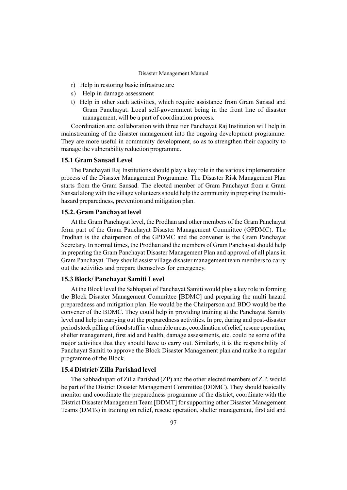- r) Help in restoring basic infrastructure
- s) Help in damage assessment
- t) Help in other such activities, which require assistance from Gram Sansad and Gram Panchayat. Local self-government being in the front line of disaster management, will be a part of coordination process.

Coordination and collaboration with three tier Panchayat Raj Institution will help in mainstreaming of the disaster management into the ongoing development programme. They are more useful in community development, so as to strengthen their capacity to manage the vulnerability reduction programme.

#### 15.1 Gram Sansad Level

The Panchayati Raj Institutions should play a key role in the various implementation process of the Disaster Management Programme. The Disaster Risk Management Plan starts from the Gram Sansad. The elected member of Gram Panchayat from a Gram Sansad along with the village volunteers should help the community in preparing the multihazard preparedness, prevention and mitigation plan.

#### 15.2. Gram Panchayat level

At the Gram Panchayat level, the Prodhan and other members of the Gram Panchayat form part of the Gram Panchayat Disaster Management Committee (GPDMC). The Prodhan is the chairperson of the GPDMC and the convener is the Gram Panchayat Secretary. In normal times, the Prodhan and the members of Gram Panchayat should help in preparing the Gram Panchayat Disaster Management Plan and approval of all plans in Gram Panchayat. They should assist village disaster management team members to carry out the activities and prepare themselves for emergency.

#### 15.3 Block/ Panchayat Samiti Level

At the Block level the Sabhapati of Panchayat Samiti would play a key role in forming the Block Disaster Management Committee [BDMC] and preparing the multi hazard preparedness and mitigation plan. He would be the Chairperson and BDO would be the convener of the BDMC. They could help in providing training at the Panchayat Samity level and help in carrying out the preparedness activities. In pre, during and post-disaster period stock pilling of food stuff in vulnerable areas, coordination of relief, rescue operation, shelter management, first aid and health, damage assessments, etc. could be some of the major activities that they should have to carry out. Similarly, it is the responsibility of Panchayat Samiti to approve the Block Disaster Management plan and make it a regular programme of the Block.

#### 15.4 District/ Zilla Parishad level

The Sabhadhipati of Zilla Parishad (ZP) and the other elected members of Z.P. would be part of the District Disaster Management Committee (DDMC). They should basically monitor and coordinate the preparedness programme of the district, coordinate with the District Disaster Management Team [DDMT] for supporting other Disaster Management Teams (DMTs) in training on relief, rescue operation, shelter management, first aid and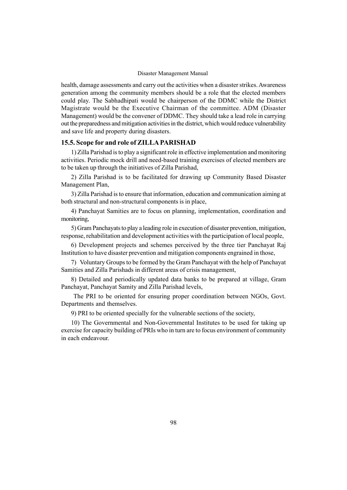health, damage assessments and carry out the activities when a disaster strikes. Awareness generation among the community members should be a role that the elected members could play. The Sabhadhipati would be chairperson of the DDMC while the District Magistrate would be the Executive Chairman of the committee. ADM (Disaster Management) would be the convener of DDMC. They should take a lead role in carrying out the preparedness and mitigation activities in the district, which would reduce vulnerability and save life and property during disasters.

### 15.5. Scope for and role of ZILLA PARISHAD

1) Zilla Parishad is to play a significant role in effective implementation and monitoring activities. Periodic mock drill and need-based training exercises of elected members are to be taken up through the initiatives of Zilla Parishad,

2) Zilla Parishad is to be facilitated for drawing up Community Based Disaster Management Plan,

3) Zilla Parishad is to ensure that information, education and communication aiming at both structural and non-structural components is in place,

4) Panchayat Samities are to focus on planning, implementation, coordination and monitoring,

5) Gram Panchayats to play a leading role in execution of disaster prevention, mitigation, response, rehabilitation and development activities with the participation of local people,

6) Development projects and schemes perceived by the three tier Panchayat Raj Institution to have disaster prevention and mitigation components engrained in those,

7) Voluntary Groups to be formed by the Gram Panchayat with the help of Panchayat Samities and Zilla Parishads in different areas of crisis management,

8) Detailed and periodically updated data banks to be prepared at village, Gram Panchayat, Panchayat Samity and Zilla Parishad levels,

The PRI to be oriented for ensuring proper coordination between NGOs, Govt. Departments and themselves.

9) PRI to be oriented specially for the vulnerable sections of the society,

10) The Governmental and Non-Governmental Institutes to be used for taking up exercise for capacity building of PRIs who in turn are to focus environment of community in each endeavour.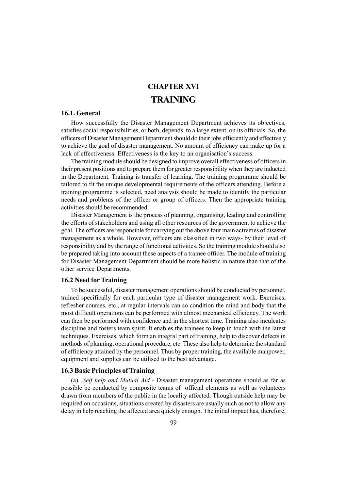### CHAPTER XVI **TRAINING**

### 16.1. General

How successfully the Disaster Management Department achieves its objectives, satisfies social responsibilities, or both, depends, to a large extent, on its officials. So, the officers of Disaster Management Department should do their jobs efficiently and effectively to achieve the goal of disaster management. No amount of efficiency can make up for a lack of effectiveness. Effectiveness is the key to an organisation's success.

The training module should be designed to improve overall effectiveness of officers in their present positions and to prepare them for greater responsibility when they are inducted in the Department. Training is transfer of learning. The training programme should be tailored to fit the unique developmental requirements of the officers attending. Before a training programme is selected, need analysis should be made to identify the particular needs and problems of the officer or group of officers. Then the appropriate training activities should be recommended.

Disaster Management is the process of planning, organising, leading and controlling the efforts of stakeholders and using all other resources of the government to achieve the goal. The officers are responsible for carrying out the above four main activities of disaster management as a whole. However, officers are classified in two ways- by their level of responsibility and by the range of functional activities. So the training module should also be prepared taking into account these aspects of a trainee officer. The module of training for Disaster Management Department should be more holistic in nature than that of the other service Departments.

### 16.2 Need for Training

To be successful, disaster management operations should be conducted by personnel, trained specifically for each particular type of disaster management work. Exercises, refresher courses, etc., at regular intervals can so condition the mind and body that the most difficult operations can be performed with almost mechanical efficiency. The work can then be performed with confidence and in the shortest time. Training also inculcates discipline and fosters team spirit. It enables the trainees to keep in touch with the latest techniques. Exercises, which form an integral part of training, help to discover defects in methods of planning, operational procedure, etc. These also help to determine the standard of efficiency attained by the personnel. Thus by proper training, the available manpower, equipment and supplies can be utilised to the best advantage.

### 16.3 Basic Principles of Training

(a) Self help and Mutual Aid - Disaster management operations should as far as possible be conducted by composite teams of official elements as well as volunteers drawn from members of the public in the locality affected. Though outside help may be required on occasions, situations created by disasters are usually such as not to allow any delay in help reaching the affected area quickly enough. The initial impact has, therefore,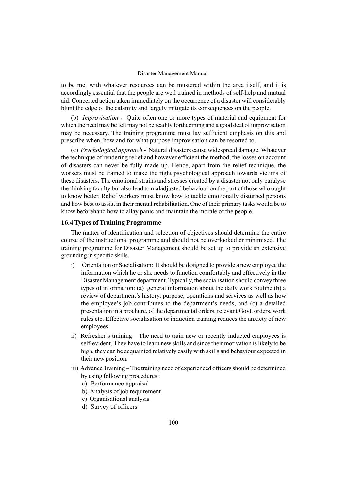to be met with whatever resources can be mustered within the area itself, and it is accordingly essential that the people are well trained in methods of self-help and mutual aid. Concerted action taken immediately on the occurrence of a disaster will considerably blunt the edge of the calamity and largely mitigate its consequences on the people.

(b) Improvisation - Quite often one or more types of material and equipment for which the need may be felt may not be readily forthcoming and a good deal of improvisation may be necessary. The training programme must lay sufficient emphasis on this and prescribe when, how and for what purpose improvisation can be resorted to.

(c) Psychological approach - Natural disasters cause widespread damage. Whatever the technique of rendering relief and however efficient the method, the losses on account of disasters can never be fully made up. Hence, apart from the relief technique, the workers must be trained to make the right psychological approach towards victims of these disasters. The emotional strains and stresses created by a disaster not only paralyse the thinking faculty but also lead to maladjusted behaviour on the part of those who ought to know better. Relief workers must know how to tackle emotionally disturbed persons and how best to assist in their mental rehabilitation. One of their primary tasks would be to know beforehand how to allay panic and maintain the morale of the people.

#### 16.4 Types of Training Programme

The matter of identification and selection of objectives should determine the entire course of the instructional programme and should not be overlooked or minimised. The training programme for Disaster Management should be set up to provide an extensive grounding in specific skills.

- i) Orientation or Socialisation: It should be designed to provide a new employee the information which he or she needs to function comfortably and effectively in the Disaster Management department. Typically, the socialisation should convey three types of information: (a) general information about the daily work routine (b) a review of department's history, purpose, operations and services as well as how the employee's job contributes to the department's needs, and (c) a detailed presentation in a brochure, of the departmental orders, relevant Govt. orders, work rules etc. Effective socialisation or induction training reduces the anxiety of new employees.
- ii) Refresher's training The need to train new or recently inducted employees is self-evident. They have to learn new skills and since their motivation is likely to be high, they can be acquainted relatively easily with skills and behaviour expected in their new position.
- iii) Advance Training The training need of experienced officers should be determined by using following procedures :
	- a) Performance appraisal
	- b) Analysis of job requirement
	- c) Organisational analysis
	- d) Survey of officers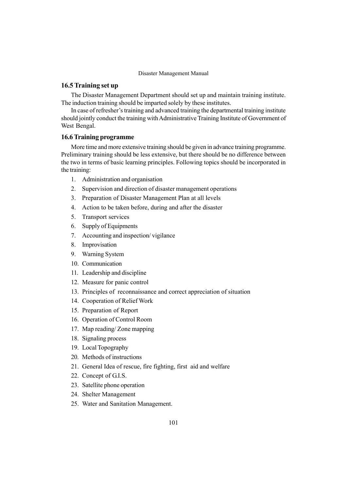### 16.5 Training set up

The Disaster Management Department should set up and maintain training institute. The induction training should be imparted solely by these institutes.

In case of refresher's training and advanced training the departmental training institute should jointly conduct the training withAdministrative Training Institute of Government of West Bengal.

#### 16.6 Training programme

More time and more extensive training should be given in advance training programme. Preliminary training should be less extensive, but there should be no difference between the two in terms of basic learning principles. Following topics should be incorporated in the training:

- 1. Administration and organisation
- 2. Supervision and direction of disaster management operations
- 3. Preparation of Disaster Management Plan at all levels
- 4. Action to be taken before, during and after the disaster
- 5. Transport services
- 6. Supply of Equipments
- 7. Accounting and inspection/ vigilance
- 8. Improvisation
- 9. Warning System
- 10. Communication
- 11. Leadership and discipline
- 12. Measure for panic control
- 13. Principles of reconnaissance and correct appreciation of situation
- 14. Cooperation of Relief Work
- 15. Preparation of Report
- 16. Operation of Control Room
- 17. Map reading/ Zone mapping
- 18. Signaling process
- 19. Local Topography
- 20. Methods of instructions
- 21. General Idea of rescue, fire fighting, first aid and welfare
- 22. Concept of G.I.S.
- 23. Satellite phone operation
- 24. Shelter Management
- 25. Water and Sanitation Management.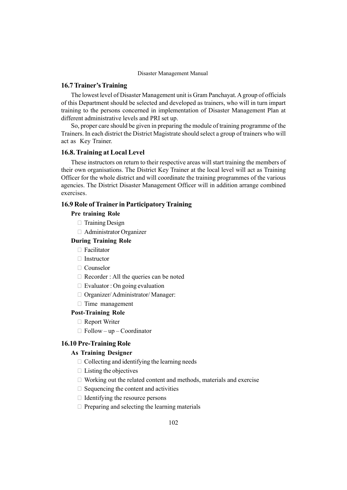#### 16.7 Trainer's Training

The lowest level of Disaster Management unit is Gram Panchayat.A group of officials of this Department should be selected and developed as trainers, who will in turn impart training to the persons concerned in implementation of Disaster Management Plan at different administrative levels and PRI set up.

So, proper care should be given in preparing the module of training programme of the Trainers. In each district the District Magistrate should select a group of trainers who will act as Key Trainer.

#### 16.8. Training at Local Level

These instructors on return to their respective areas will start training the members of their own organisations. The District Key Trainer at the local level will act as Training Officer for the whole district and will coordinate the training programmes of the various agencies. The District Disaster Management Officer will in addition arrange combined exercises.

### 16.9 Role of Trainer in Participatory Training

#### Pre training Role

Training Design

Administrator Organizer

### During Training Role

Facilitator

Instructor

Counselor

Recorder : All the queries can be noted

Evaluator : On going evaluation

Organizer/ Administrator/ Manager:

Time management

#### Post-Training Role

Report Writer

 $Follow-up - Coordinator$ 

### 16.10 Pre-Training Role

#### As Training Designer

 Collecting and identifying the learning needs Listing the objectives Working out the related content and methods, materials and exercise Sequencing the content and activities Identifying the resource persons Preparing and selecting the learning materials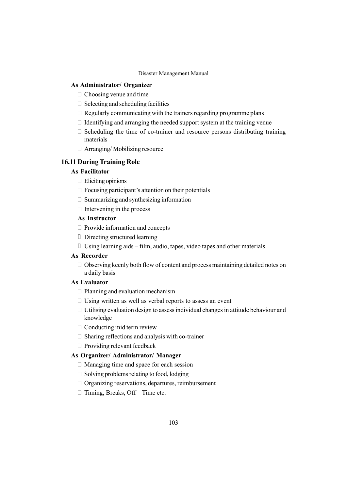#### As Administrator/ Organizer

Choosing venue and time

Selecting and scheduling facilities

Regularly communicating with the trainers regarding programme plans

Identifying and arranging the needed support system at the training venue

 Scheduling the time of co-trainer and resource persons distributing training materials

Arranging/ Mobilizing resource

### 16.11 During Training Role

### As Facilitator

Eliciting opinions

Focusing participant's attention on their potentials

Summarizing and synthesizing information

Intervening in the process

### As Instructor

Provide information and concepts

Directing structured learning

Using learning aids  $-$  film, audio, tapes, video tapes and other materials

### As Recorder

 Observing keenly both flow of content and process maintaining detailed notes on a daily basis

#### As Evaluator

Planning and evaluation mechanism

Using written as well as verbal reports to assess an event

 Utilising evaluation design to assess individual changes in attitude behaviour and knowledge

Conducting mid term review

Sharing reflections and analysis with co-trainer

Providing relevant feedback

### As Organizer/ Administrator/ Manager

Managing time and space for each session

Solving problems relating to food, lodging

Organizing reservations, departures, reimbursement

Timing, Breaks, Off – Time etc.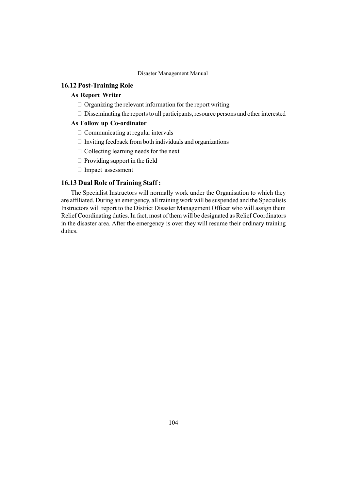### 16.12 Post-Training Role

### As Report Writer

Organizing the relevant information for the report writing

Disseminating the reports to all participants, resource persons and other interested

### As Follow up Co-ordinator

Communicating at regular intervals

Inviting feedback from both individuals and organizations

Collecting learning needs for the next

Providing support in the field

Impact assessment

#### 16.13 Dual Role of Training Staff :

The Specialist Instructors will normally work under the Organisation to which they are affiliated. During an emergency, all training work will be suspended and the Specialists Instructors will report to the District Disaster Management Officer who will assign them Relief Coordinating duties. In fact, most of them will be designated as Relief Coordinators in the disaster area. After the emergency is over they will resume their ordinary training duties.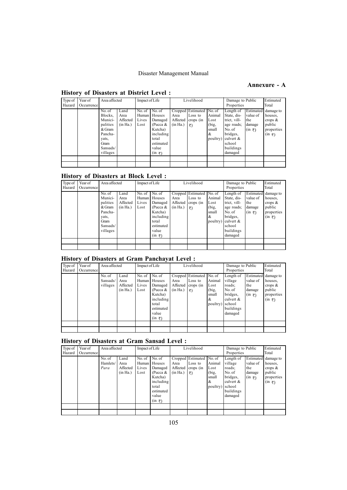### Annexure - A

| Type of | Year of    | Area affected |          | Impact of Life |                      |          | Livelihood               |          | Damage to Public |             | Estimated                  |
|---------|------------|---------------|----------|----------------|----------------------|----------|--------------------------|----------|------------------|-------------|----------------------------|
| Hazard  | Occurrence |               |          |                |                      |          |                          |          | Properties       |             | Total                      |
|         |            | No. of        | Land     | No. of         | No. of               |          | Cropped Estimated No. of |          | Length of        | Estimated   | damage to                  |
|         |            | Blocks.       | Area     | Human          | Houses               | Area     | Loss to                  | Animal   | State, dis-      | value of    | houses.                    |
|         |            | Munici-       | Affected | Lives          | Damaged              |          | Affected crops (in       | Lost     | trict, vill-     | the         | crops $\&$                 |
|         |            | palities      | (in Ha.) | Lost           | (Pucca $&$           | (in Ha.) | ₹)                       | (big,    | age roads;       | damage      | public                     |
|         |            | & Gram        |          |                | Kutcha)              |          |                          | small    | No. of           | $(in \; ₹)$ | properties                 |
|         |            | Pancha-       |          |                | including            |          |                          | l &      | bridges,         |             | $(in \; \bar{\bar{\tau}})$ |
|         |            | yats,         |          |                | total                |          |                          | poultry) | culvert $\&$     |             |                            |
|         |            | Gram          |          |                | estimated            |          |                          |          | school           |             |                            |
|         |            | Sansads/      |          |                | value                |          |                          |          | buildings        |             |                            |
|         |            | villages      |          |                | $(in \; \bar{\tau})$ |          |                          |          | damaged          |             |                            |
|         |            |               |          |                |                      |          |                          |          |                  |             |                            |
|         |            |               |          |                |                      |          |                          |          |                  |             |                            |

### History of Disasters at District Level :

### History of Disasters at Block Level :

| Type of | Year of    | Area affected |          | Impact of Life |                      |          | Livelihood               |          | Damage to Public |                      | Estimated            |
|---------|------------|---------------|----------|----------------|----------------------|----------|--------------------------|----------|------------------|----------------------|----------------------|
| Hazard  | Occurrence |               |          |                |                      |          |                          |          | Properties       |                      | Total                |
|         |            | No. of        | Land     | No. of         | No. of               |          | Cropped Estimated No. of |          | Length of        |                      | Estimated damage to  |
|         |            | Munici-       | Area     | Human I        | Houses               | Area     | Loss to                  | Animal   | State, dis-      | value of             | houses.              |
|         |            | palities      | Affected | Lives          | Damaged              |          | Affected crops (in       | Lost     | trict, vill-     | the                  | crops $\&$           |
|         |            | & Gram        | (in Ha.) | Lost           | (Pucca $&$           | (in Ha.) | $\vert$ ₹)               | (big,    | age roads;       | damage               | public               |
|         |            | Pancha-       |          |                | Kutcha)              |          |                          | small    | No. of           | $(in \; \bar{\tau})$ | properties           |
|         |            | yats,         |          |                | including            |          |                          | $\alpha$ | bridges.         |                      | $(in \; \bar{\tau})$ |
|         |            | Gram          |          |                | total                |          |                          | poultry) | culvert $\&$     |                      |                      |
|         |            | Sansads/      |          |                | estimated            |          |                          |          | school           |                      |                      |
|         |            | villages      |          |                | value                |          |                          |          | buildings        |                      |                      |
|         |            |               |          |                | $(in \; \bar{\tau})$ |          |                          |          | damaged          |                      |                      |
|         |            |               |          |                |                      |          |                          |          |                  |                      |                      |
|         |            |               |          |                |                      |          |                          |          |                  |                      |                      |

### History of Disasters at Gram Panchayat Level :

| Type of | Year of    | Area affected                  |                                      | Impact of Life |                                                                                                                                         |                              | Livelihood                                             |                                                    | Damage to Public                                                                                       |                                                     | Estimated                                                                             |
|---------|------------|--------------------------------|--------------------------------------|----------------|-----------------------------------------------------------------------------------------------------------------------------------------|------------------------------|--------------------------------------------------------|----------------------------------------------------|--------------------------------------------------------------------------------------------------------|-----------------------------------------------------|---------------------------------------------------------------------------------------|
| Hazard  | Occurrence |                                |                                      |                |                                                                                                                                         |                              |                                                        |                                                    | Properties                                                                                             |                                                     | Total                                                                                 |
|         |            | No. of<br>Sansads/<br>villages | Land<br>Area<br>Affected<br>(in Ha.) | Lives<br>Lost  | No. of $\log$<br>Human   Houses<br>Damaged<br>(Pucca $&$<br>Kutcha)<br>including<br>total<br>estimated<br>value<br>$(in \; \bar{\tau})$ | Area<br>Affected<br>(in Ha.) | Cropped Estimated No. of<br>Loss to<br>crops (in<br>₹) | Animal<br>Lost<br>(big,<br>small<br> &<br>poultry) | Length of<br>village<br>roads:<br>No. of<br>bridges,<br>culvert $\&$<br>school<br>buildings<br>damaged | value of<br>the<br>damage<br>$(in \overline{\tau})$ | Estimated damage to<br>houses.<br>crops $\&$<br>public<br>properties<br>$(in \infty)$ |
|         |            |                                |                                      |                |                                                                                                                                         |                              |                                                        |                                                    |                                                                                                        |                                                     |                                                                                       |
|         |            |                                |                                      |                |                                                                                                                                         |                              |                                                        |                                                    |                                                                                                        |                                                     |                                                                                       |

### History of Disasters at Gram Sansad Level :

| Type of | Year of    | Area affected |          | Impact of Life |                      |          | Livelihood               |          | Damage to Public |                      | Estimated           |
|---------|------------|---------------|----------|----------------|----------------------|----------|--------------------------|----------|------------------|----------------------|---------------------|
| Hazard  | Occurrence |               |          |                |                      |          |                          |          | Properties       |                      | Total               |
|         |            | No. of        | Land     | No. of         | No. of               |          | Cropped Estimated No. of |          | Length of        |                      | Estimated damage to |
|         |            | Hamlets/      | Area     | Human I        | Houses               | Area     | Loss to                  | Animal   | village          | value of             | houses.             |
|         |            | Para          | Affected | Lives          | Damaged              |          | Affected crops (in       | Lost     | roads:           | the                  | crops $\&$          |
|         |            |               | (in Ha.) | Lost           | (Pucca $&$           | (in Ha.) | ₹)                       | (big,    | No. of           | damage               | public              |
|         |            |               |          |                | Kutcha)              |          |                          | small    | bridges,         | $(in \; \bar{\tau})$ | properties          |
|         |            |               |          |                | including            |          |                          | l&       | culvert $\&$     |                      | $(in \infty)$       |
|         |            |               |          |                | total                |          |                          | poultry) | school           |                      |                     |
|         |            |               |          |                | estimated            |          |                          |          | buildings        |                      |                     |
|         |            |               |          |                | value                |          |                          |          | damaged          |                      |                     |
|         |            |               |          |                | $(in \; \bar{\tau})$ |          |                          |          |                  |                      |                     |
|         |            |               |          |                |                      |          |                          |          |                  |                      |                     |
|         |            |               |          |                |                      |          |                          |          |                  |                      |                     |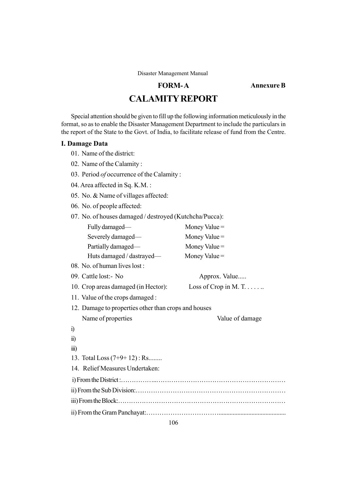### FORM-A

CALAMITYREPORT

Annexure B

Special attention should be given to fill up the following information meticulously in the format, so as to enable the Disaster Management Department to include the particulars in

the report of the State to the Govt. of India, to facilitate release of fund from the Centre.

#### I. Damage Data

- 01. Name of the district:
- 02. Name of the Calamity :
- 03. Period *of* occurrence of the Calamity:
- 04. Area affected in Sq. K.M. :
- 05. No. & Name of villages affected:
- 06. No. of people affected:
- 07. No. of houses damaged / destroyed (Kutchcha/Pucca): Fully damaged— Money Value = Severely damaged— Money Value = Partially damaged— Money Value = Huts damaged / dastrayed  $\rightarrow$  Money Value = 08. No. of human lives lost : 09. Cattle lost:- No Approx. Value..... 10. Crop areas damaged (in Hector): Loss of Crop in M. T. . . . . . . 11. Value of the crops damaged : 12. Damage to properties other than crops and houses Name of properties Value of damage i) ii) iii) 13. Total Loss (7+9+ 12) : Rs........ 14. Relief Measures Undertaken: i) FromtheDistrict:ÖÖÖÖÖ..ÖÖÖÖÖÖÖÖÖÖÖÖÖÖÖÖÖÖÖÖ ii) Fromthe Sub Division:ÖÖÖÖÖÖÖÖÖÖÖÖÖÖÖÖÖÖÖÖÖÖÖ iii)FromtheBlock:ÖÖÖÖÖÖÖÖÖÖÖÖÖÖÖÖÖÖÖÖÖÖÖÖÖÖ ii) From the Gram Panchayat:ÖÖÖÖÖÖÖÖÖÖÖ...........................................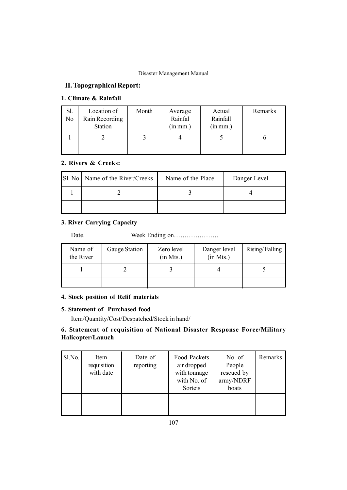### II. Topographical Report:

### 1. Climate & Rainfall

| Sl.<br>N <sub>0</sub> | Location of<br>Rain Recording<br><b>Station</b> | Month | Average<br>Rainfal<br>(in mm.) | Actual<br>Rainfall<br>(in mm.) | Remarks |
|-----------------------|-------------------------------------------------|-------|--------------------------------|--------------------------------|---------|
|                       |                                                 |       |                                |                                |         |
|                       |                                                 |       |                                |                                |         |

### 2. Rivers & Creeks:

| [Sl. No.] Name of the River/Creeks | Name of the Place | Danger Level |
|------------------------------------|-------------------|--------------|
|                                    |                   |              |
|                                    |                   |              |

### 3. River Carrying Capacity

Date. Week Ending onÖÖÖÖÖÖÖ

| Name of<br>the River | Gauge Station | Zero level<br>(in Mts.) | Danger level<br>(in Mts.) | Rising/Falling |
|----------------------|---------------|-------------------------|---------------------------|----------------|
|                      |               |                         |                           |                |
|                      |               |                         |                           |                |

### 4. Stock position of Relif materials

### 5. Statement of Purchased food

Item/Quantity/Cost/Despatched/Stock in hand/

### 6. Statement of requisition of National Disaster Response Force/Military Halicopter/Lauuch

| Sl.No. | Item<br>requisition<br>with date | Date of<br>reporting | Food Packets<br>air dropped<br>with tonnage<br>with No. of<br>Sorteis | No. of<br>People<br>rescued by<br>army/NDRF<br>boats | Remarks |
|--------|----------------------------------|----------------------|-----------------------------------------------------------------------|------------------------------------------------------|---------|
|        |                                  |                      |                                                                       |                                                      |         |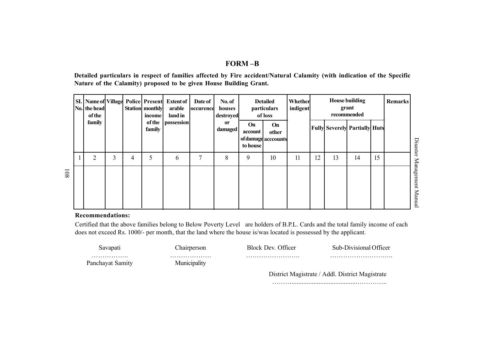### FORM –B

Detailed particulars in respect of families affected by Fire accident/Natural Calamity (with indication of the Specific Nature of the Calamity) proposed to be given House Building Grant.

|     | No. the head<br><b>of the</b> |   |   | Station monthly<br>income | SI.   Name of   Village   Police   Present   Extent of<br>arable<br>land in | Date of<br><b>occurence</b> | No. of<br>houses<br>destroyed | <b>Detailed</b><br>particulars<br>of loss |                                    | <b>House building</b><br>Whether<br>grant<br>indigent<br>recommended |    | <b>Remarks</b> |                                      |    |  |                   |
|-----|-------------------------------|---|---|---------------------------|-----------------------------------------------------------------------------|-----------------------------|-------------------------------|-------------------------------------------|------------------------------------|----------------------------------------------------------------------|----|----------------|--------------------------------------|----|--|-------------------|
|     | family                        |   |   | <b>of the</b><br>family   | <i>possession</i>                                                           |                             | <sub>or</sub><br>damaged      | <b>On</b><br>account<br>to house          | On<br>other<br>of damage acccounts |                                                                      |    |                | <b>Fully Severely Partially Huts</b> |    |  | Disaster          |
|     | $\overline{2}$                | 3 | 4 | 5                         | 6                                                                           | 7                           | 8                             | 9                                         | 10                                 | 11                                                                   | 12 | 13             | 14                                   | 15 |  |                   |
| 108 |                               |   |   |                           |                                                                             |                             |                               |                                           |                                    |                                                                      |    |                |                                      |    |  | Management Manual |

### Recommendations:

Certified that the above families belong to Below Poverty Level are holders of B.P.L. Cards and the total family income of each does not exceed Rs. 1000/- per month, that the land where the house is/was located is possessed by the applicant.

| Savapatı              | hairperson_       | Block Dev. Officer                              | Sub-Divisional Officer |  |
|-----------------------|-------------------|-------------------------------------------------|------------------------|--|
| .<br>Panchayat Samity | .<br>Municipality |                                                 |                        |  |
|                       |                   | District Magistrate / Addl. District Magistrate |                        |  |

ÖÖÖ.......................................ÖÖÖÖ..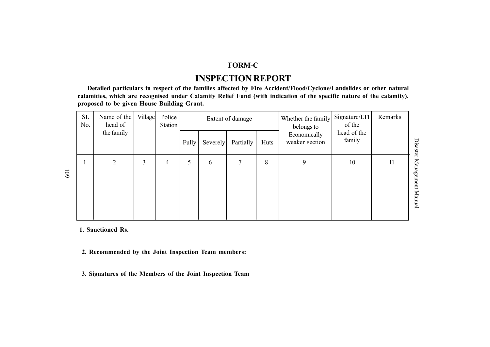# FORM-C

# INSPECTION REPORT

Detailed particulars in respect of the families affected by Fire Accident/Flood/Cyclone/Landslides or other natural calamities, which are recognised under Calamity Relief Fund (with indication of the specific nature of the calamity), proposed to be given House Building Grant.

| SI.<br>No. | Name of the<br>head of | Village | Police<br>Station |       | Extent of damage |           |      | Whether the family<br>belongs to | Signature/LTI<br>of the | Remarks |                      |
|------------|------------------------|---------|-------------------|-------|------------------|-----------|------|----------------------------------|-------------------------|---------|----------------------|
|            | the family             |         |                   | Fully | Severely         | Partially | Huts | Economically<br>weaker section   | head of the<br>family   |         | <b>Disaster</b>      |
| 1          | $\overline{2}$         | 3       | 4                 | 5     | 6                |           | 8    | 9                                | 10                      | 11      |                      |
|            |                        |         |                   |       |                  |           |      |                                  |                         |         | Management<br>Manual |

1. Sanctioned Rs.

- 2. Recommended by the Joint Inspection Team members:
- 3. Signatures of the Members of the Joint Inspection Team

109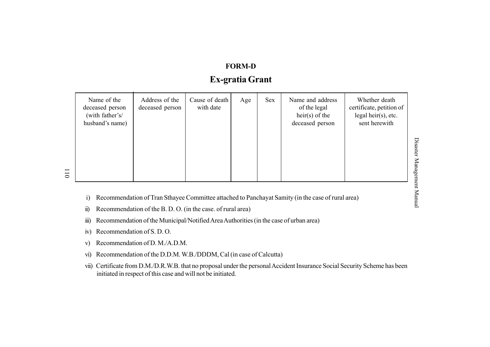# FORM-DEx-gratia Grant

| Name of the<br>deceased person<br>(with father's/<br>husband's name) | Address of the<br>deceased person | Cause of death<br>with date | Age | Sex | Name and address<br>of the legal<br>$heir(s)$ of the<br>deceased person | Whether death<br>certificate, petition of<br>legal heir $(s)$ , etc.<br>sent herewith |
|----------------------------------------------------------------------|-----------------------------------|-----------------------------|-----|-----|-------------------------------------------------------------------------|---------------------------------------------------------------------------------------|
|----------------------------------------------------------------------|-----------------------------------|-----------------------------|-----|-----|-------------------------------------------------------------------------|---------------------------------------------------------------------------------------|

- i) Recommendation of Tran Sthayee Committee attached to Panchayat Samity (in the case of rural area)
- ii) Recommendation of the B. D. O. (in the case. of rural area)
- iii) Recommendation of the Municipal/Notified Area Authorities (in the case of urban area)
- iv) Recommendation of S. D. O.
- v) Recommendation of D. M./A.D.M.
- vi) Recommendation of the D.D.M.W.B./DDDM, Cal (in case of Calcutta)
- vii) Certificate from D.M./D.R.W.B. that no proposal under the personal Accident Insurance Social Security Scheme has been initiated in respec<sup>t</sup> of this case and will not be initiated.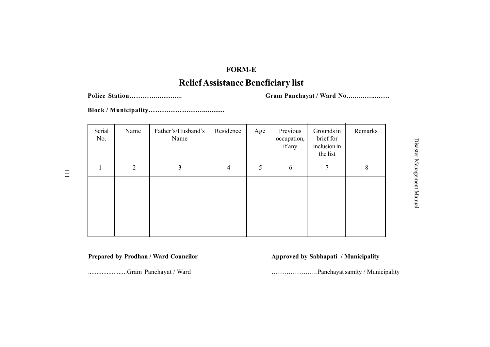### FORM-E

# Relief Assistance Beneficiary list

Police StationÖÖÖÖ.............. Gram Panchayat / Ward NoÖ...ÖÖ...ÖÖ

Block / MunicipalityÖÖÖÖÖÖÖÖ............

| Serial<br>No. | Name           | Father's/Husband's<br>Name | Residence | Age | Previous<br>occupation,<br>if any | Grounds in<br>brief for<br>inclusion in<br>the list | Remarks |
|---------------|----------------|----------------------------|-----------|-----|-----------------------------------|-----------------------------------------------------|---------|
|               | $\overline{2}$ | 3                          | 4         | 5   | 6                                 | 7                                                   | 8       |
|               |                |                            |           |     |                                   |                                                     |         |

Prepared by Prodhan / Ward Councilor Approved by Sabhapati / Municipality

.......................Gram Panchayat / Ward ÖÖÖÖÖÖÖ.Panchayat samity / Municipality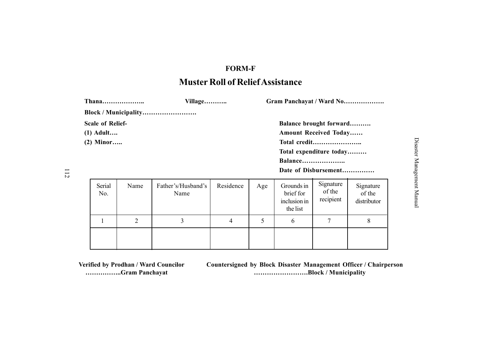# FORM-F Muster Roll of ReliefAssistance

|                                                       | Thana | Village                    |           |     | Gram Panchayat / Ward No                |                                                                                                                            |                                    |  |  |  |
|-------------------------------------------------------|-------|----------------------------|-----------|-----|-----------------------------------------|----------------------------------------------------------------------------------------------------------------------------|------------------------------------|--|--|--|
|                                                       |       | Block / Municipality       |           |     |                                         |                                                                                                                            |                                    |  |  |  |
| <b>Scale of Relief-</b><br>$(1)$ Adult<br>$(2)$ Minor |       |                            |           |     | Balance                                 | Balance brought forward<br><b>Amount Received Today</b><br>Total credit<br>Total expenditure today<br>Date of Disbursement |                                    |  |  |  |
| Serial<br>No.                                         | Name  | Father's/Husband's<br>Name | Residence | Age | Grounds in<br>brief for<br>inclusion in | Signature<br>of the<br>recipient                                                                                           | Signature<br>of the<br>distributor |  |  |  |

the list 1 2 3 4 5 6 7 8

Verified by Prodhan / Ward Councilor Countersigned by Block Disaster Management Officer / Chairperson ÖÖÖÖÖ..Gram Panchayat ÖÖÖÖÖÖÖÖ.Block / Municipality

8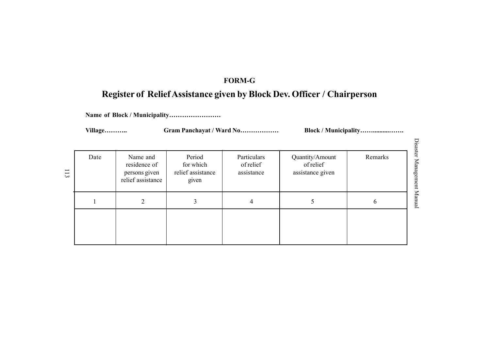# FORM-G

# Register of Relief Assistance given by Block Dev. Officer / Chairperson

Name of Block / Municipality.........................

VillageÖÖÖ.. Gram Panchayat / Ward NoÖÖÖÖÖÖ Block / MunicipalityÖÖ..........ÖÖ.

| Date | Name and<br>residence of<br>persons given<br>relief assistance | Period<br>for which<br>relief assistance<br>given | Particulars<br>of relief<br>assistance | Quantity/Amount<br>of relief<br>assistance given | Remarks |
|------|----------------------------------------------------------------|---------------------------------------------------|----------------------------------------|--------------------------------------------------|---------|
|      |                                                                |                                                   | 4                                      |                                                  | 6       |
|      |                                                                |                                                   |                                        |                                                  |         |

Disast Disaster Management Manual  $\dot{\mathbf{z}}$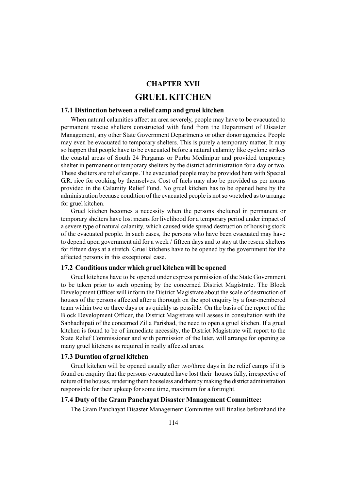### CHAPTER XVII

# GRUEL KITCHEN

### 17.1 Distinction between a relief camp and gruel kitchen

When natural calamities affect an area severely, people may have to be evacuated to permanent rescue shelters constructed with fund from the Department of Disaster Management, any other State Government Departments or other donor agencies. People may even be evacuated to temporary shelters. This is purely a temporary matter. It may so happen that people have to be evacuated before a natural calamity like cyclone strikes the coastal areas of South 24 Parganas or Purba Medinipur and provided temporary shelter in permanent or temporary shelters by the district administration for a day or two. These shelters are relief camps. The evacuated people may be provided here with Special G.R. rice for cooking by themselves. Cost of fuels may also be provided as per norms provided in the Calamity Relief Fund. No gruel kitchen has to be opened here by the administration because condition of the evacuated people is not so wretched as to arrange for gruel kitchen.

Gruel kitchen becomes a necessity when the persons sheltered in permanent or temporary shelters have lost means for livelihood for a temporary period under impact of a severe type of natural calamity, which caused wide spread destruction of housing stock of the evacuated people. In such cases, the persons who have been evacuated may have to depend upon government aid for a week / fifteen days and to stay at the rescue shelters for fifteen days at a stretch. Gruel kitchens have to be opened by the government for the affected persons in this exceptional case.

### 17.2 Conditions under which gruel kitchen will be opened

Gruel kitchens have to be opened under express permission of the State Government to be taken prior to such opening by the concerned District Magistrate. The Block Development Officer will inform the District Magistrate about the scale of destruction of houses of the persons affected after a thorough on the spot enquiry by a four-membered team within two or three days or as quickly as possible. On the basis of the report of the Block Development Officer, the District Magistrate will assess in consultation with the Sabhadhipati of the concerned Zilla Parishad, the need to open a gruel kitchen. If a gruel kitchen is found to be of immediate necessity, the District Magistrate will report to the State Relief Commissioner and with permission of the later, will arrange for opening as many gruel kitchens as required in really affected areas.

### 17.3 Duration of gruel kitchen

Gruel kitchen will be opened usually after two/three days in the relief camps if it is found on enquiry that the persons evacuated have lost their houses fully, irrespective of nature of the houses, rendering them houseless and thereby making the district administration responsible for their upkeep for some time, maximum for a fortnight.

### 17.4 Duty of the Gram Panchayat Disaster Management Committee:

The Gram Panchayat Disaster Management Committee will finalise beforehand the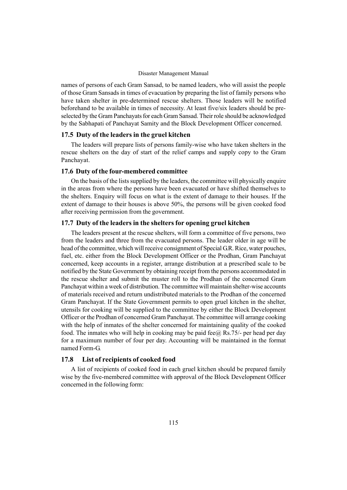names of persons of each Gram Sansad, to be named leaders, who will assist the people of those Gram Sansads in times of evacuation by preparing the list of family persons who have taken shelter in pre-determined rescue shelters. Those leaders will be notified beforehand to be available in times of necessity. At least five/six leaders should be preselected by the Gram Panchayats for each Gram Sansad. Their role should be acknowledged by the Sabhapati of Panchayat Samity and the Block Development Officer concerned.

### 17.5 Duty of the leaders in the gruel kitchen

The leaders will prepare lists of persons family-wise who have taken shelters in the rescue shelters on the day of start of the relief camps and supply copy to the Gram Panchayat.

#### 17.6 Duty of the four-membered committee

On the basis of the lists supplied by the leaders, the committee will physically enquire in the areas from where the persons have been evacuated or have shifted themselves to the shelters. Enquiry will focus on what is the extent of damage to their houses. If the extent of damage to their houses is above 50%, the persons will be given cooked food after receiving permission from the government.

### 17.7 Duty of the leaders in the shelters for opening gruel kitchen

The leaders present at the rescue shelters, will form a committee of five persons, two from the leaders and three from the evacuated persons. The leader older in age will be head of the committee, which will receive consignment of Special G.R. Rice, water pouches, fuel, etc. either from the Block Development Officer or the Prodhan, Gram Panchayat concerned, keep accounts in a register, arrange distribution at a prescribed scale to be notified by the State Government by obtaining receipt from the persons accommodated in the rescue shelter and submit the muster roll to the Prodhan of the concerned Gram Panchayat within a week of distribution. The committee will maintain shelter-wise accounts of materials received and return undistributed materials to the Prodhan of the concerned Gram Panchayat. If the State Government permits to open gruel kitchen in the shelter, utensils for cooking will be supplied to the committee by either the Block Development Officer or the Prodhan of concerned Gram Panchayat. The committee will arrange cooking with the help of inmates of the shelter concerned for maintaining quality of the cooked food. The inmates who will help in cooking may be paid fee $@$  Rs.75/- per head per day for a maximum number of four per day. Accounting will be maintained in the format named Form-G.

### 17.8 List of recipients of cooked food

A list of recipients of cooked food in each gruel kitchen should be prepared family wise by the five-membered committee with approval of the Block Development Officer concerned in the following form: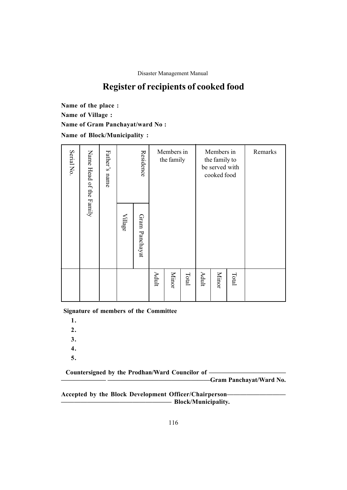# Register of recipients of cooked food

Name of the place : Name of Village : Name of Gram Panchayat/ward No : Name of Block/Municipality :

| Serial No.                 | Name Head of the Family                                                                                         | Father's name |                | Residence      | Members in<br>the family |              |       | Members in<br>the family to<br>be served with<br>cooked food |              |       | Remarks |
|----------------------------|-----------------------------------------------------------------------------------------------------------------|---------------|----------------|----------------|--------------------------|--------------|-------|--------------------------------------------------------------|--------------|-------|---------|
|                            |                                                                                                                 |               | <b>Village</b> | Gram Panchayat |                          |              |       |                                                              |              |       |         |
|                            |                                                                                                                 |               |                |                | Adult                    | <b>Minor</b> | Total | Adult                                                        | <b>Minor</b> | Total |         |
| 1.<br>2.<br>3.<br>4.<br>5. | <b>Signature of members of the Committee</b><br>Countersigned by the Prodhan/Ward Councilor of -                |               |                |                |                          |              |       |                                                              |              |       |         |
|                            | Gram Panchayat/Ward No.<br>Accepted by the Block Development Officer/Chairperson-<br><b>Block/Municipality.</b> |               |                |                |                          |              |       |                                                              |              |       |         |

- 1.
- 2.
- 3.
- 4.
- 5.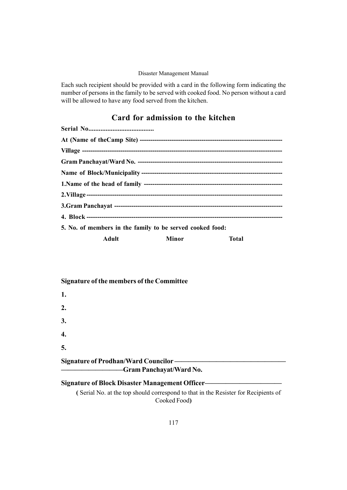Each such recipient should be provided with a card in the following form indicating the number of persons in the family to be served with cooked food. No person without a card will be allowed to have any food served from the kitchen.

# Card for admission to the kitchen

| 5. No. of members in the family to be served cooked food: |              |  |
|-----------------------------------------------------------|--------------|--|
| <b>Adult</b> Minor                                        | <b>Total</b> |  |

### Signature of the members of the Committee

| 1.                                                                      |  |
|-------------------------------------------------------------------------|--|
| 2.                                                                      |  |
| 3.                                                                      |  |
| $\boldsymbol{4}$ .                                                      |  |
| 5.                                                                      |  |
| <b>Signature of Prodhan/Ward Councilor-</b><br>-Gram Panchayat/Ward No. |  |
| Signature of Blook Diseator Managament Officer                          |  |

# Signature of Block Disaster Management Officer-

( Serial No. at the top should correspond to that in the Resister for Recipients of Cooked Food)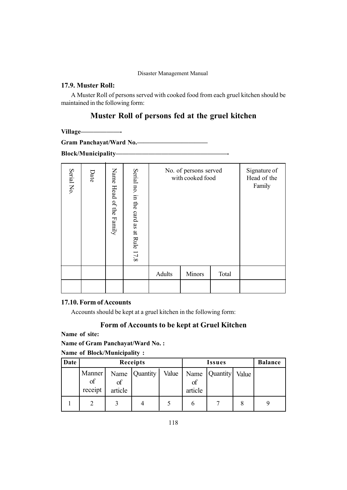## 17.9. Muster Roll:

A Muster Roll of persons served with cooked food from each gruel kitchen should be maintained in the following form:

# Muster Roll of persons fed at the gruel kitchen

Village

Gram Panchayat/Ward No.

Block/Municipalityóóóóóóóóóóóóóóóóó-

| Serial No     | Date                                                   | Name Head of the Family | Serial no. in the card as at Rule 17.8  | No. of persons served<br>with cooked food                                                                         |               |       | Signature of<br>Head of the<br>Family |
|---------------|--------------------------------------------------------|-------------------------|-----------------------------------------|-------------------------------------------------------------------------------------------------------------------|---------------|-------|---------------------------------------|
|               |                                                        |                         |                                         | Adults                                                                                                            | <b>Minors</b> | Total |                                       |
|               |                                                        |                         |                                         |                                                                                                                   |               |       |                                       |
| Name of site: | 17.10. Form of Accounts<br>Name of Block/Municipality: |                         | <b>Name of Gram Panchayat/Ward No.:</b> | Accounts should be kept at a gruel kitchen in the following form:<br>Form of Accounts to be kept at Gruel Kitchen |               |       |                                       |

### 17.10. Form of Accounts

### Form of Accounts to be kept at Gruel Kitchen

| Date |                                    |  | Receipts      |       |                       | <b>Balance</b>  |  |  |
|------|------------------------------------|--|---------------|-------|-----------------------|-----------------|--|--|
|      | Manner<br>of<br>receipt<br>article |  | Name Quantity | Value | Name<br>of<br>article | <b>Quantity</b> |  |  |
|      |                                    |  |               |       | n                     |                 |  |  |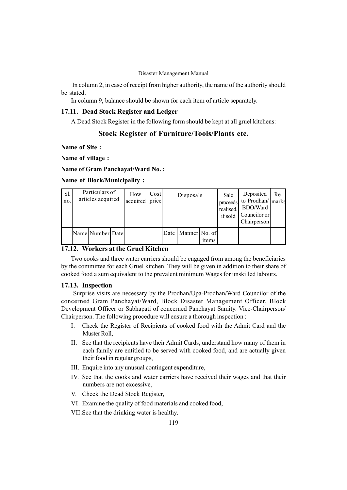In column 2, in case of receipt from higher authority, the name of the authority should be stated.

In column 9, balance should be shown for each item of article separately.

### 17.11. Dead Stock Register and Ledger

A Dead Stock Register in the following form should be kept at all gruel kitchens:

### Stock Register of Furniture/Tools/Plants etc.

Name of Site :

Name of village :

Name of Gram Panchayat/Ward No. :

#### Name of Block/Municipality :

| Sl.<br>no. | Particulars of<br>articles acquired | How<br>acquired | Costl<br>price | Disposals              |       | Sale<br>proceeds<br>realised,<br>if sold | Deposited<br>to Prodhan/ marks<br>BDO/Ward<br>  Councilor or<br>Chairperson | $Re-$ |
|------------|-------------------------------------|-----------------|----------------|------------------------|-------|------------------------------------------|-----------------------------------------------------------------------------|-------|
|            | Name Number Date                    |                 |                | Date   Manner   No. of | items |                                          |                                                                             |       |

### 17.12. Workers at the Gruel Kitchen

Two cooks and three water carriers should be engaged from among the beneficiaries by the committee for each Gruel kitchen. They will be given in addition to their share of cooked food a sum equivalent to the prevalent minimum Wages for unskilled labours.

### 17.13. Inspection

Surprise visits are necessary by the Prodhan/Upa-Prodhan/Ward Councilor of the concerned Gram Panchayat/Ward, Block Disaster Management Officer, Block Development Officer or Sabhapati of concerned Panchayat Samity. Vice-Chairperson/ Chairperson. The following procedure will ensure a thorough inspection :

- I. Check the Register of Recipients of cooked food with the Admit Card and the Muster Roll,
- II. See that the recipients have their Admit Cards, understand how many of them in each family are entitled to be served with cooked food, and are actually given their food in regular groups,
- III. Enquire into any unusual contingent expenditure,
- IV. See that the cooks and water carriers have received their wages and that their numbers are not excessive,
- V. Check the Dead Stock Register,
- VI. Examine the quality of food materials and cooked food,

VII.See that the drinking water is healthy.